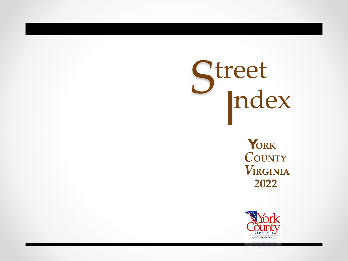## S ndex treet I

**Y ORK** *C***OUNTY** *V***IRGINIA 2022**

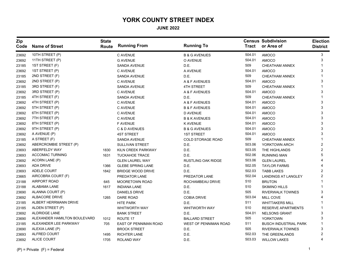## **YORK COUNTY STREET INDEX**

**JUNE 2022**

| Zip<br>Code | <b>Name of Street</b>        | <b>State</b><br>Route | <b>Running From</b>      | <b>Running To</b>         | <b>Tract</b> | <b>Census Subdivision</b><br>or Area of | <b>Election</b><br><b>District</b> |
|-------------|------------------------------|-----------------------|--------------------------|---------------------------|--------------|-----------------------------------------|------------------------------------|
| 23692       | 10TH STREET (P)              |                       | C AVENUE                 | <b>B &amp; G AVENUES</b>  | 504.01       | <b>AMOCO</b>                            | 3                                  |
| 23692       | 11TH STREET (P)              |                       | <b>G AVENUE</b>          | O AVENUE                  | 504.01       | AMOCO                                   | 3                                  |
| 23185       | 1ST STREET (F)               |                       | <b>SANDA AVENUE</b>      | D.E.                      | 509          | <b>CHEATHAM ANNEX</b>                   |                                    |
| 23692       | 1ST STREET (P)               |                       | C AVENUE                 | A AVENUE                  | 504.01       | <b>AMOCO</b>                            | 3                                  |
| 23185       | 2ND STREET (F)               |                       | <b>SANDA AVENUE</b>      | D.E.                      | 509          | CHEATHAM ANNEX                          |                                    |
| 23692       | 2ND STREET (P)               |                       | C AVENUE                 | A & F AVENUES             | 504.01       | <b>AMOCO</b>                            | 3                                  |
| 23185       | 3RD STREET (F)               |                       | <b>SANDA AVENUE</b>      | <b>4TH STREET</b>         | 509          | <b>CHEATHAM ANNEX</b>                   |                                    |
| 23692       | 3RD STREET (P)               |                       | C AVENUE                 | A & F AVENUES             | 504.01       | <b>AMOCO</b>                            | 3                                  |
| 23185       | 4TH STREET (F)               |                       | SANDA AVENUE             | D.E.                      | 509          | <b>CHEATHAM ANNEX</b>                   |                                    |
| 23692       | 4TH STREET (P)               |                       | C AVENUE                 | A & F AVENUES             | 504.01       | <b>AMOCO</b>                            | 3                                  |
| 23692       | 5TH STREET (P)               |                       | C AVENUE                 | <b>B &amp; F AVENUES</b>  | 504.01       | <b>AMOCO</b>                            | 3                                  |
| 23692       | 6TH STREET (P)               |                       | C AVENUE                 | <b>D AVENUE</b>           | 504.01       | <b>AMOCO</b>                            | 3                                  |
| 23692       | 7TH STREET (P)               |                       | C AVENUE                 | <b>B &amp; K AVENUES</b>  | 504.01       | AMOCO                                   | 3                                  |
| 23692       | 8TH STREET (P)               |                       | <b>F AVENUE</b>          | <b>K AVENUE</b>           | 504.01       | AMOCO                                   | 3                                  |
| 23692       | 9TH STREET (P)               |                       | C & D AVENUES            | <b>B &amp; G AVENUES</b>  | 504.01       | <b>AMOCO</b>                            | 3                                  |
| 23692       | A AVENUE (P)                 |                       | <b>4ST STREET</b>        | <b>1ST STREET</b>         | 504.01       | AMOCO                                   | 3                                  |
| 23185       | A STREET (F)                 |                       | SANDA AVENUE             | <b>COLD STORAGE ROAD</b>  | 509          | CHEATHAM ANNEX                          |                                    |
| 23692       | ABERCROMBIE STREET (P)       |                       | SULLIVAN STREET          | D.E.                      | 503.06       | YORKTOWN ARCH                           | 2                                  |
| 23693       | ABERFELDY WAY                | 1830                  | KILN CREEK PARKWAY       | D.E.                      | 503.05       | THE HIGHLANDS                           | 2                                  |
| 23693       | <b>ACCOMAC TURNING</b>       | 1631                  | <b>TUCKAHOE TRACE</b>    | D.E.                      | 502.06       | <b>RUNNING MAN</b>                      | 5                                  |
| 23692       | ACORN LANE (P)               |                       | <b>GLEN LAUREL WAY</b>   | <b>RUSTLING OAK RIDGE</b> | 503.06       | <b>GLEN LAUREL</b>                      |                                    |
| 23693       | ADA DRIVE                    | 1366                  | <b>GLEBE SPRING LANE</b> | D.E.                      | 502.05       | <b>TAYLOR FARMS</b>                     |                                    |
| 23693       | ADELE COURT                  | 1842                  | <b>BRIDGE WOOD DRIVE</b> | D.E.                      | 502.03       | <b>TABB LAKES</b>                       | $\overline{2}$                     |
| 23665       | AIRCOBRA COURT (F)           |                       | PREDATOR LANE            | PREDATOR LANE             | 502.04       | <b>LANDINGS AT LANGLEY</b>              | $\overline{2}$                     |
| 23188       | AIRPORT ROAD                 | 645                   | <b>MOORETOWN ROAD</b>    | ROCHAMBEAU DRIVE          | 510          | <b>BRUTON</b>                           |                                    |
| 23188       | ALABAMA LANE                 | 1617                  | <b>INDIANA LANE</b>      | D.E.                      | 510          | <b>SKIMINO HILLS</b>                    |                                    |
| 23690       | ALANNA COURT (P)             |                       | <b>DANIELS DRIVE</b>     | D.E.                      | 505          | <b>RIVERWALK TOWNES</b>                 | 3                                  |
| 23692       | ALBACORE DRIVE               | 1265                  | <b>DARE ROAD</b>         | <b>COBIA DRIVE</b>        | 503.04       | MILL COVE                               |                                    |
| 23185       | ALBERT HERRMANN DRIVE        |                       | <b>HITE PARK</b>         | D.E.                      | 511          | <b>WHITTAKERS MILL</b>                  |                                    |
| 23185       | ALDEN STREET (P)             |                       | <b>WHITWORTH WAY</b>     | <b>WHITWORTH WAY</b>      | 510          | <b>RESERVE APARTMENTS</b>               |                                    |
| 23692       | <b>ALDRIDGE LANE</b>         |                       | <b>BANK STREET</b>       | D.E.                      | 504.01       | <b>NELSONS GRANT</b>                    | 3                                  |
| 23690       | ALEXANDER HAMILTON BOULEVARD | 1012                  | ROUTE 17                 | <b>BALLARD STREET</b>     | 505          | <b>YORKTOWN</b>                         | 3                                  |
| 23185       | ALEXANDER LEE PARKWAY        | 705                   | EAST OF PENNIMAN ROAD    | WEST OF PENNIMAN ROAD     | 511          | <b>BUSCH INDUSTRIAL PARK</b>            |                                    |
| 23690       | ALEXIA LANE (P)              |                       | <b>BROCK STREET</b>      | D.E.                      | 505          | <b>RIVERWALK TOWNES</b>                 | 3                                  |
| 23693       | ALFRED COURT                 | 1495                  | <b>RICHTER LANE</b>      | D.E.                      | 502.03       | THE GREENLANDS                          | 2                                  |
| 23692       | <b>ALICE COURT</b>           | 1705                  | <b>ROLAND WAY</b>        | D.E.                      | 503.03       | <b>WILLOW LAKES</b>                     | 4                                  |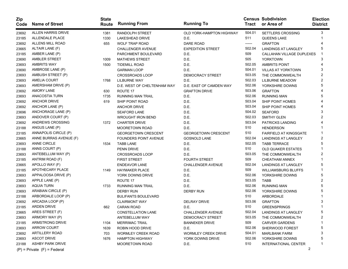| <b>Zip</b><br>Code | <b>Name of Street</b>           | <b>State</b><br>Route | <b>Running From</b>          | <b>Running To</b>          | Tract  | <b>Census Subdivision</b><br>or Area of | <b>Election</b><br><b>District</b> |
|--------------------|---------------------------------|-----------------------|------------------------------|----------------------------|--------|-----------------------------------------|------------------------------------|
| 23692              | ALLEN HARRIS DRIVE              | 1381                  | RANDOLPH STREET              | OLD YORK-HAMPTON HIGHWAY   | 504.01 | <b>SETTLERS CROSSING</b>                | 3                                  |
| 23185              | ALLENDALE PLACE                 | 1330                  | LAKESHEAD DRIVE              | D.E.                       | 511    | QUEENS LAKE                             |                                    |
| 23692              | ALLENS MILL ROAD                | 655                   | <b>WOLF TRAP ROAD</b>        | <b>DARE ROAD</b>           | ------ | <b>GRAFTON</b>                          |                                    |
| 23665              | ALTAIR LANE (F)                 |                       | CHALLENGER AVENUE            | <b>EXPEDITION STREET</b>   | 502.04 | <b>LANDINGS AT LANGLEY</b>              | 5                                  |
| 23185              | AMBER LANE (P)                  |                       | PARCHMENT BOULEVARD          | D.E.                       | 509    | CALLAHAN VILLAGE DUPLEXES               |                                    |
| 23690              | AMBLER STREET                   | 1009                  | <b>MATHEWS STREET</b>        | D.E.                       | 505    | <b>YORKTOWN</b>                         | 3                                  |
| 23693              | <b>AMBRITS WAY</b>              | 1500                  | <b>TIDEMILL ROAD</b>         | D.E.                       | 502.05 | <b>AMBRITS POINT</b>                    |                                    |
| 23690              | AMBROSE LANE (P)                |                       | <b>GARMAN LOOP</b>           | D.E.                       | 504.01 | <b>VILLAS AT YORKTOWN</b>               | 3                                  |
| 23693              | AMBUSH STREET (P)               |                       | <b>CROSSROADS LOOP</b>       | DEMOCRACY STREET           | 503.05 | THE COMMONWEALTH                        | 2                                  |
| 23693              | <b>AMELIA COURT</b>             | 1768                  | LILBURNE WAY                 | D.E.                       | 502.03 | LILBURNE MEADOW                         | 2                                  |
| 23693              | AMERSHAM DRIVE (P)              |                       | D.E. WEST OF CHELTENHAM WAY  | D.E. EAST OF CAMDEN WAY    | 502.06 | YORKSHIRE DOWNS                         | 5                                  |
| 23692              | <b>AMORY LANE</b>               | 630                   | ROUTE 17                     | <b>GRAFTON DRIVE</b>       | 503.06 | <b>GRAFTON</b>                          |                                    |
| 23693              | ANACOSTIA TURN                  | 1735                  | <b>RUNNING MAN TRAIL</b>     | D.E.                       | 502.06 | <b>RUNNING MAN</b>                      | 5                                  |
| 23692              | <b>ANCHOR DRIVE</b>             | 619                   | SHIP POINT ROAD              | D.E.                       | 503.04 | SHIP POINT HOMES                        |                                    |
| 23692              | ANCHOR LANE (P)                 |                       | <b>ANCHOR DRIVE</b>          | D.E.                       | 503.04 | SHIP POINT HOMES                        |                                    |
| 23696              | ANCHORAGE LANE (P)              |                       | <b>SEAFORD LANE</b>          | D.E.                       | 504.02 | <b>SEAFORD</b>                          | 3                                  |
| 23693              | ANDOVER COURT (P)               |                       | <b>WROUGHT IRON BEND</b>     | D.E.                       | 502.03 | <b>SMITHY GLEN</b>                      | 2                                  |
| 23692              | ANDREWS CROSSING                | 1372                  | <b>CHARTER DRIVE</b>         | D.E.                       | 503.04 | <b>PATRICKS LANDING</b>                 |                                    |
| 23188              | ANGUS LANE (P)                  |                       | <b>MOORETOWN ROAD</b>        | D.E.                       | 510    | <b>HENDERSON</b>                        |                                    |
| 23185              | ANNAPOLIS CIRCLE (P)            |                       | <b>GEORGETOWN CRESCENT</b>   | <b>GEORGETOWN CRESCENT</b> | 510    | <b>FAIRFIELD AT KINGSGATE</b>           |                                    |
| 23665              | ANNE BURRAS AVENUE (F)          |                       | <b>FOUNDERS POINT AVENUE</b> | <b>GOSNOLD LANE</b>        | 502.04 | <b>LANDINGS AT LANGLEY</b>              | 2                                  |
| 23693              | ANNE CIRCLE                     | 1534                  | <b>TABB LANE</b>             | D.E.                       | 502.05 | <b>TABB TERRACE</b>                     | 5                                  |
| 23188              | ANNS COURT (P)                  |                       | <b>PENN DRIVE</b>            | D.E.                       | 510    | <b>OLD QUAKER ESTATES</b>               |                                    |
| 23693              | ANTEBELLUM WAY (P)              |                       | <b>CROSSROADS LOOP</b>       | D.E.                       | 503.05 | THE COMMONWEALTH                        | 2                                  |
| 23185              | ANTRIM ROAD (F)                 |                       | <b>FIRST STREET</b>          | <b>FOURTH STREET</b>       | 509    | CHEATHAM ANNEX                          |                                    |
| 23665              | APOLLO WAY (F)                  |                       | <b>ENDEAVOR LANE</b>         | <b>CHALLENGER AVENUE</b>   | 502.04 | <b>LANDINGS AT LANGLEY</b>              | 5                                  |
| 23185              | APOTHECARY PLACE                | 1149                  | <b>HAYMAKER PLACE</b>        | D.E.                       | 509    | <b>WILLIAMSBURG BLUFFS</b>              |                                    |
| 23693              | APPALOOSA DRIVE (P)             |                       | YORK DOWNS DRIVE             | D.E.                       | 502.06 | YORKSHIRE DOWNS                         | 5                                  |
| 23693              | APPLE LANE (P)                  |                       | ROUTE 17                     | D.E.                       | 503.05 | TABB                                    | $\overline{2}$                     |
| 23693              | <b>AQUIA TURN</b>               | 1733                  | <b>RUNNING MAN TRAIL</b>     | D.E.                       | 502.06 | <b>RUNNING MAN</b>                      | 5                                  |
| 23693              | ARABIAN CIRCLE (P)              |                       | <b>DERBY RUN</b>             | <b>DERBY RUN</b>           | 502.06 | YORKSHIRE DOWNS                         | 5                                  |
| 23188              | ARBORDALE LOOP (P)              |                       | <b>BULIFANTS BOULEVARD</b>   |                            | 510    | ARBORDALE                               |                                    |
| 23692              | ARCADIA LOOP (P)                |                       | <b>CLAIRMONT WAY</b>         | <b>DELRAY DRIVE</b>        | 503.06 | <b>GRAFTON</b>                          | 3                                  |
| 23185              | <b>ARDEN DRIVE</b>              | 662                   | <b>CARAN ROAD</b>            | D.E.                       | 510    | <b>GREENSPRINGS</b>                     |                                    |
| 23665              | ARES STREET (F)                 |                       | <b>CONSTELLATION LANE</b>    | <b>CHALLENGER AVENUE</b>   | 502.04 | LANDINGS AT LANGLEY                     | 5                                  |
| 23693              | ARMORY WAY (P)                  |                       | ANTEBELLUM WAY               | DEMOCRACY STREET           | 503.05 | THE COMMONWEALTH                        | 2                                  |
| 23185              | <b>ARMSTRONG DRIVE</b>          | 1104                  | <b>MERRIMAC TRAIL</b>        | <b>BANNEKER DRIVE</b>      | 509    | <b>CARVER GARDENS</b>                   |                                    |
| 23693              | <b>ARROW COURT</b>              | 1639                  | ROBIN HOOD DRIVE             | D.E.                       | 502.06 | SHERWOOD FOREST                         |                                    |
| 23692              | <b>ARTILLERY ROAD</b>           | 703                   | <b>WORMLEY CREEK ROAD</b>    | <b>WORMLEY CREEK DRIVE</b> | 504.01 | <b>MARLBANK FARM</b>                    |                                    |
| 23693              | <b>ASCOT DRIVE</b>              | 1676                  | <b>HAMPTON HIGHWAY</b>       | YORK DOWNS DRIVE           | 502.06 | YORKSHIRE DOWNS                         |                                    |
| 23188              | <b>ASHBY PARK DRIVE</b>         |                       | <b>MOORETOWN ROAD</b>        | D.E.                       | 510    | INTERNATIONAL CENTER                    |                                    |
|                    | $(P)$ = Private $(F)$ = Federal |                       |                              |                            |        | 2                                       |                                    |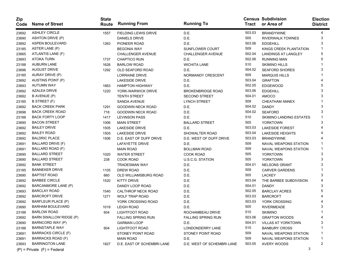| Zip<br>Code | <b>Name of Street</b>           | <b>State</b><br>Route | <b>Running From</b>         | <b>Running To</b>          | <b>Tract</b> | <b>Census Subdivision</b><br>or Area of | <b>Election</b><br><b>District</b> |
|-------------|---------------------------------|-----------------------|-----------------------------|----------------------------|--------------|-----------------------------------------|------------------------------------|
| 23692       | <b>ASHLEY CIRCLE</b>            | 1557                  | <b>FIELDING LEWIS DRIVE</b> | D.E.                       | 503.03       | <b>BRANDYWINE</b>                       | 4                                  |
| 23690       | ASHTON DRIVE (P)                |                       | <b>DANIELS DRIVE</b>        | D.E.                       | 505          | <b>RIVERWALK TOWNES</b>                 | 3                                  |
| 23692       | ASPEN BOULEVARD                 | 1263                  | PIONEER ROAD                | D.E.                       | 503.06       | <b>EDGEHILL</b>                         | 3                                  |
| 23185       | ASTER LANE (P)                  |                       | <b>BEGONIA WAY</b>          | <b>SUNFLOWER COURT</b>     | 509          | KINGS CREEK PLANTATION                  |                                    |
| 23665       | ATLANTIS LANE (F)               |                       | <b>CHALLENGER AVENUE</b>    | <b>CHALLENGER AVENUE</b>   | 502.04       | <b>LANDINGS AT LANGLEY</b>              | 5                                  |
| 23693       | <b>ATOKA TURN</b>               | 1737                  | <b>CHAPTICO RUN</b>         | D.E.                       | 502.06       | <b>RUNNING MAN</b>                      | 5                                  |
| 23188       | <b>AUBURN LANE</b>              | 1626                  | <b>BARLOW ROAD</b>          | <b>WICHITA LANE</b>        | 510          | <b>SKIMINO HILLS</b>                    |                                    |
| 23696       | <b>AUGUST DRIVE</b>             | 1292                  | OLD SEAFORD ROAD            | D.E.                       | 504.02       | <b>SEAFORD SHORES</b>                   | 3                                  |
| 23185       | AURAY DRIVE (P)                 |                       | <b>LORRAINE DRIVE</b>       | NORMANDY CRESCENT          | 509          | <b>MARQUIS HILLS</b>                    |                                    |
| 23692       | AUSTINS POINT (P)               |                       | <b>LAKESIDE DRIVE</b>       | D.E.                       | 503.04       | <b>GRAFTON</b>                          |                                    |
| 23693       | <b>AUTUMN WAY</b>               | 1663                  | <b>HAMPTON HIGHWAY</b>      | D.E.                       | 502.05       | <b>EDGEWOOD</b>                         | 5                                  |
| 23692       | AZALEA DRIVE                    | 1220                  | YORK-WARWICK DRIVE          | <b>BROKENBRIDGE ROAD</b>   | 503.06       | <b>EDGEHILL</b>                         | 3                                  |
| 23692       | B AVENUE (P)                    |                       | <b>TENTH STREET</b>         | <b>SECOND STREET</b>       | 504.01       | AMOCO                                   |                                    |
| 23185       | B STREET (F)                    |                       | SANDA AVENUE                | <b>LYNCH STREET</b>        | 509          | <b>CHEATHAM ANNEX</b>                   |                                    |
| 23692       | <b>BACK CREEK PARK</b>          | 1291                  | <b>GOODWIN NECK ROAD</b>    | D.E.                       | 504.02       | <b>DANDY</b>                            | 3                                  |
| 23696       | <b>BACK CREEK ROAD</b>          | 718                   | <b>GOODWIN NECK ROAD</b>    | D.E.                       | 504.02       | <b>SEAFORD</b>                          | 3                                  |
| 23188       | <b>BACK FORTY LOOP</b>          | 1417                  | <b>LEVINSON PASS</b>        | D.E.                       | 510          | <b>SKIMINO LANDING ESTATES</b>          |                                    |
| 23690       | <b>BACON STREET</b>             | 1006                  | <b>MAIN STREET</b>          | <b>BALLARD STREET</b>      | 505          | <b>YORKTOWN</b>                         | 3                                  |
| 23692       | <b>BAILEY DRIVE</b>             | 1505                  | <b>LAKESIDE DRIVE</b>       | D.E.                       | 503.03       | <b>LAKESIDE FOREST</b>                  |                                    |
| 23692       | <b>BAILEY ROAD</b>              | 1505                  | <b>LAKESIDE DRIVE</b>       | SHOWALTER ROAD             | 503.04       | <b>LAKESIDE HEIGHTS</b>                 |                                    |
| 23692       | <b>BALDRIC PLACE</b>            | 1506                  | D.E. EAST OF DUFF DRIVE     | D.E. WEST OF DUFF DRIVE    | 503.03       | <b>BRANDYWINE</b>                       |                                    |
| 23691       | BALLARD DRIVE (F)               |                       | LAFAYETTE DRIVE             | D.E.                       | 509          | <b>NAVAL WEAPONS STATION</b>            |                                    |
| 23691       | BALLARD ROAD (F)                |                       | <b>MAIN ROAD</b>            | <b>BOLLMAN ROAD</b>        | 509          | <b>NAVAL WEAPONS STATION</b>            |                                    |
| 23690       | <b>BALLARD STREET</b>           | 1020                  | <b>WATER STREET</b>         | <b>COOK ROAD</b>           | 505          | <b>YORKTOWN</b>                         | 3                                  |
| 23690       | <b>BALLARD STREET</b>           | 238                   | <b>COOK ROAD</b>            | <b>U.S.C.G. STATION</b>    | 505          | <b>YORKTOWN</b>                         | 3                                  |
| 23692       | <b>BANK STREET</b>              |                       | <b>TRADESMAN WAY</b>        | D.E.                       | 504.01       | <b>NELSONS GRANT</b>                    | 3                                  |
| 23185       | <b>BANNEKER DRIVE</b>           | 1105                  | DREW ROAD                   | D.E.                       | 509          | <b>CARVER GARDENS</b>                   |                                    |
| 23690       | <b>BAPTIST ROAD</b>             | 660                   | OLD WILLIAMSBURG ROAD       | D.E.                       | 505          | <b>LACKEY</b>                           | 3                                  |
| 23692       | <b>BARBEE CIRCLE</b>            | 1520                  | <b>KITTY DRIVE</b>          | D.E.                       | 503.04       | THE BARBEE SUBDIVISION                  |                                    |
| 23692       | BARCANMORE LANE (P)             |                       | DANDY LOOP ROAD             | D.E.                       | 504.01       | <b>DANDY</b>                            | 3                                  |
| 23693       | <b>BARCLAY ROAD</b>             | 1540                  | CALTHROP NECK ROAD          | D.E.                       | 502.05       | <b>BARCLAY ACRES</b>                    | 5                                  |
| 23692       | <b>BARCROFT DRIVE</b>           | 1271                  | <b>WOLF TRAP ROAD</b>       | D.E.                       | 503.03       | <b>BARCROFT</b>                         |                                    |
| 23692       | BARFLEUR PLACE (P)              |                       | YORK CROSSING ROAD          | D.E.                       | 503.03       | YORK CROSSING                           |                                    |
| 23690       | <b>BARHAM BOULEVARD</b>         | 1019                  | <b>LEIGH ROAD</b>           | D.E.                       | 505          | <b>RIVERMEADE</b>                       | 3                                  |
| 23188       | <b>BARLOW ROAD</b>              | 604                   | LIGHTFOOT ROAD              | ROCHAMBEAU DRIVE           | 510          | <b>SKIMINO</b>                          |                                    |
| 23692       | BARN SWALLOW RIDGE (P)          |                       | <b>FALLING SPRING RUN</b>   | <b>FALLING SPRING RUN</b>  | 503.06       | <b>GRAFTON WOODS</b>                    | 4                                  |
| 23690       | BARNCORD WAY (P)                |                       | <b>GARMAN LOOP</b>          | D.E.                       | 504.01       | <b>VILLAS AT YORKTOWN</b>               | 3                                  |
| 23188       | <b>BARNSTAPLE WAY</b>           | 604                   | LIGHTFOOT ROAD              | LONDONDERRY LANE           | 510          | <b>BANBURY CROSS</b>                    |                                    |
| 23691       | <b>BARRACKS CIRCLE (F)</b>      |                       | STONEY POINT ROAD           | STONEY POINT ROAD          | 509          | <b>NAVAL WEAPONS STATION</b>            |                                    |
| 23691       | BARRACKS ROAD (F)               |                       | <b>MAIN ROAD</b>            | D.E.                       | 509          | NAVAL WEAPONS STATION                   | -1                                 |
| 23693       | <b>BARRINGTON LANE</b>          | 1827                  | D.E. EAST OF SCHEMBRI LANE  | D.E. WEST OF SCHEMBRI LANE | 503.05       | AVERY WOODS                             | 2                                  |
|             | $(P)$ = Private $(F)$ = Federal |                       |                             |                            |              | 3                                       |                                    |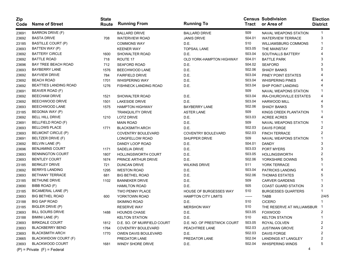| Zip<br>Code | <b>Name of Street</b>           | <b>State</b><br>Route | <b>Running From</b>         | <b>Running To</b>           | Tract  | <b>Census Subdivision</b><br>or Area of | <b>Election</b><br><b>District</b> |
|-------------|---------------------------------|-----------------------|-----------------------------|-----------------------------|--------|-----------------------------------------|------------------------------------|
| 23691       | <b>BARRON DRIVE (F)</b>         |                       | <b>BALLARD DRIVE</b>        | <b>BALLARD DRIVE</b>        | 509    | <b>NAVAL WEAPONS STATION</b>            | 1                                  |
| 23692       | <b>BASTA DRIVE</b>              | 708                   | <b>WATERVIEW ROAD</b>       | <b>JANIS DRIVE</b>          | 504.01 | <b>WATERVIEW TERRACE</b>                | 3                                  |
| 23185       | <b>BASTILLE COURT (P)</b>       |                       | <b>COMMONS WAY</b>          | D.E.                        | 510    | <b>WILLIAMSBURG COMMONS</b>             |                                    |
| 23693       | BATTEN WAY (P)                  |                       | <b>KEENER WAY</b>           | <b>TOPSAIL LANE</b>         | 503.05 | THE MAINSTAY                            | 2                                  |
| 23692       | <b>BATTERY CIRCLE</b>           | 1600                  | SHOWALTER ROAD              | D.E.                        | 503.04 | SOUTHALLS BATTERY                       |                                    |
| 23692       | <b>BATTLE ROAD</b>              | 718                   | ROUTE 17                    | OLD YORK-HAMPTON HIGHWAY    | 504.01 | <b>BATTLE PARK</b>                      | 3                                  |
| 23696       | <b>BAY TREE BEACH ROAD</b>      | 712                   | <b>SEAFORD ROAD</b>         | D.E.                        | 504.02 | <b>SEAFORD</b>                          |                                    |
| 23693       | <b>BAYBERRY LANE</b>            | 1576                  | BEECHWOOD LANE              | D.E.                        | 502.06 | <b>SHADY BANKS</b>                      |                                    |
| 23692       | <b>BAYVIEW DRIVE</b>            | 784                   | <b>FAIRFIELD DRIVE</b>      | D.E.                        | 503.04 | PINEY POINT ESTATES                     |                                    |
| 23692       | <b>BEACH ROAD</b>               | 1701                  | <b>WHISPERING WAY</b>       | D.E.                        | 503.04 | <b>WHISPERING PINES</b>                 |                                    |
| 23692       | <b>BEATTIES LANDING ROAD</b>    | 1276                  | FISHNECK LANDING ROAD       | D.E.                        | 503.04 | <b>SHIP POINT LANDING</b>               |                                    |
| 23691       | BEAVER ROAD (F)                 |                       |                             |                             | 509    | NAVAL WEAPONS STATION                   |                                    |
| 23692       | <b>BEECHAM DRIVE</b>            | 1521                  | SHOWALTER ROAD              | D.E.                        | 503.04 | <b>IRA-CHURCHVILLE ESTATES</b>          |                                    |
| 23692       | BEECHWOOD DRIVE                 | 1501                  | <b>LAKESIDE DRIVE</b>       | D.E.                        | 503.04 | <b>HARWOOD MILL</b>                     |                                    |
| 23693       | BEECHWOOD LANE                  | 1575                  | <b>HAMPTON HIGHWAY</b>      | <b>BAYBERRY LANE</b>        | 502.06 | <b>SHADY BANKS</b>                      | 5                                  |
| 23185       | BEGONIA WAY (P)                 |                       | <b>TRANQUILITY DRIVE</b>    | <b>ASTER LANE</b>           | 509    | KINGS CREEK PLANTATION                  |                                    |
| 23692       | <b>BELL HILL DRIVE</b>          | 1210                  | <b>LOTZ DRIVE</b>           | D.E.                        | 503.03 | <b>ACREE ACRES</b>                      |                                    |
| 23691       | BELLFIELD ROAD (F)              |                       | <b>MAIN ROAD</b>            | D.E.                        | 509    | NAVAL WEAPONS STATION                   | 1                                  |
| 23693       | <b>BELLOWS PLACE</b>            | 1771                  | <b>BLACKSMITH ARCH</b>      | D.E.                        | 502.03 | <b>DAVIS FORGE</b>                      | 2                                  |
| 23693       | <b>BELMONT CIRCLE (P)</b>       |                       | <b>COVENTRY BOULEVARD</b>   | <b>COVENTRY BOULEVARD</b>   | 502.03 | <b>FINCH TERRACE</b>                    | 2                                  |
| 23691       | BELTZER DRIVE (F)               |                       | LONGFELLOW ROAD             | SHUPPER DRIVE               | 509    | NAVAL WEAPONS STATION                   | 1                                  |
| 23692       | BELVIN LANE (P)                 |                       | DANDY LOOP ROAD             | D.E.                        | 504.01 | <b>DANDY</b>                            | 3                                  |
| 23696       | <b>BENJAMINS COURT</b>          | 1171                  | <b>SADELIA DRIVE</b>        | D.E.                        | 503.03 | PORT MYERS                              | 3                                  |
| 23693       | <b>BENNINGTON COURT</b>         | 1807                  | <b>HOLLINGSWORTH COURT</b>  | D.E.                        | 503.05 | <b>HOLLINGSWORTH</b>                    | 2                                  |
| 23693       | <b>BENTLEY COURT</b>            | 1674                  | PRINCE ARTHUR DRIVE         | D.E.                        | 502.06 | YORKSHIRE DOWNS                         | 5                                  |
| 23185       | <b>BERKLEY DRIVE</b>            | 721                   | <b>DUNCAN DRIVE</b>         | <b>WILKINS DRIVE</b>        | 511    | YORK TERRACE                            |                                    |
| 23692       | <b>BERRYS LANDING</b>           | 1295                  | <b>WESTON ROAD</b>          | D.E.                        | 503.04 | PATRICKS LANDING                        |                                    |
| 23693       | <b>BETHANY TERRACE</b>          | 681                   | <b>BIG BETHEL ROAD</b>      | D.E.                        | 502.06 | <b>THOMAS ESTATES</b>                   | 5                                  |
| 23185       | <b>BETHUNE DRIVE</b>            | 1102                  | <b>BANNEKER DRIVE</b>       | D.E.                        | 509    | <b>CARVER GARDENS</b>                   |                                    |
| 23690       | BIBB ROAD (F)                   |                       | <b>HAMILTON ROAD</b>        | D.E.                        | 505    | <b>COAST GUARD STATION</b>              | 3                                  |
| 23185       | BICAMERAL LANE (P)              |                       | <b>TWO PENNY PLACE</b>      | HOUSE OF BURGESSES WAY      | 510    | <b>BURGESSES QUARTERS</b>               |                                    |
| 23693       | <b>BIG BETHEL ROAD</b>          | 600                   | YORKTOWN ROAD               | <b>HAMPTON CITY LIMITS</b>  | ------ | <b>TABB</b>                             | 2/4/5                              |
| 23188       | <b>BIG GAP ROAD</b>             |                       | <b>SKIMINO ROAD</b>         | D.E.                        | 510    | <b>CICERO</b>                           |                                    |
| 23185       | BIGLER DRIVE (P)                |                       | <b>RESERVE WAY</b>          | <b>MERSHON WAY</b>          | 510    | THE RESERVE AT WILLIAMSBUR              |                                    |
| 23693       | <b>BILL SOURS DRIVE</b>         | 1488                  | <b>HOUNDS CHASE</b>         | D.E.                        | 503.05 | <b>FOXWOOD</b>                          |                                    |
| 23188       | BIMINI LANE (P)                 |                       | <b>KELTON STATION</b>       | D.E.                        | 510    | <b>KELTON STATION</b>                   | 1                                  |
| 23693       | <b>BIRKDALE COURT</b>           | 1812                  | D.E. SO. OF MUIRFIELD COURT | D.E. NO. OF PRESTWICK COURT | 503.05 | ROYAL COLVEN                            | 2                                  |
| 23693       | <b>BLACKBERRY BEND</b>          | 1764                  | <b>COVENTRY BOULEVARD</b>   | PEACHTREE LANE              | 502.03 | <b>JUSTINIAN GROVE</b>                  | 2                                  |
| 23693       | <b>BLACKSMITH ARCH</b>          | 1770                  | OWEN DAVIS BOULEVARD        | D.E.                        | 502.03 | <b>DAVIS FORGE</b>                      | 2                                  |
| 23665       | BLACKWIDOW COURT (F)            |                       | PREDATOR LANE               | PREDATOR LANE               | 502.04 | LANDINGS AT LANGLEY                     | 2                                  |
| 23693       | <b>BLACKWOOD COURT</b>          | 1681                  | WINDY SHORE DRIVE           | D.E.                        | 502.04 | <b>WHISPERING WINDS</b>                 | 5                                  |
|             | $(P)$ = Private $(F)$ = Federal |                       |                             |                             |        | 4                                       |                                    |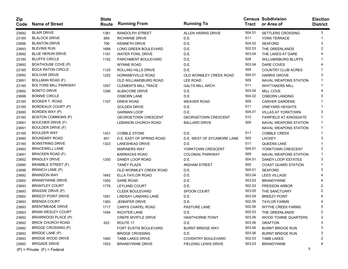| Zip<br>Code | <b>Name of Street</b>           | <b>State</b><br>Route | <b>Running From</b>        | <b>Running To</b>          | <b>Tract</b> | <b>Census Subdivision</b><br>or Area of | <b>Election</b><br><b>District</b> |
|-------------|---------------------------------|-----------------------|----------------------------|----------------------------|--------------|-----------------------------------------|------------------------------------|
| 23692       | <b>BLAIR DRIVE</b>              | 1381                  | RANDOLPH STREET            | <b>ALLEN HARRIS DRIVE</b>  | 504.01       | SETTLERS CROSSING                       | 3                                  |
| 23185       | <b>BLALOCK DRIVE</b>            | 685                   | <b>RICHWINE DRIVE</b>      | D.E.                       | 511          | YORK TERRACE                            |                                    |
| 23696       | <b>BLANTON DRIVE</b>            | 790                   | <b>KENNETH DRIVE</b>       | D.E.                       | 504.02       | <b>SEAFORD</b>                          | 3                                  |
| 23693       | <b>BLEVINS RUN</b>              | 1668                  | LONG GREEN BOULEVARD       | D.E.                       | 502.03       | THE GREENLANDS                          |                                    |
| 23692       | <b>BLUE HERON DRIVE</b>         | 1181                  | <b>WATER FOWL DRIVE</b>    | D.E.                       | 503.04       | THE LAKES AT DARE                       |                                    |
| 23185       | <b>BLUFFS CIRCLE</b>            | 1152                  | PARCHMENT BOULEVARD        | D.E.                       | 509          | <b>WILLIAMSBURG BLUFFS</b>              |                                    |
| 23692       | <b>BOATHOUSE COVE (P)</b>       |                       | <b>WYNNE ROAD</b>          | D.E.                       | 503.04       | DARE COVES                              |                                    |
| 23185       | <b>BOCA RATON CIRCLE</b>        | 1125                  | <b>ROLLING HILLS DRIVE</b> | D.E.                       | 509          | <b>COUNTRY CLUB ACRES</b>               |                                    |
| 23692       | <b>BOLIVAR DRIVE</b>            | 1252                  | HORNSBYVILLE ROAD          | OLD WORMLEY CREEK ROAD     | 504.01       | <b>HARRIS GROVE</b>                     | 3                                  |
| 23691       | BOLLMAN ROAD (F)                |                       | OLD WILLIAMSBURG ROAD      | <b>LEE ROAD</b>            | 509          | <b>NAVAL WEAPONS STATION</b>            |                                    |
| 23185       | <b>BOLTONS MILL PARKWAY</b>     | 1057                  | <b>CLEMENTS MILL TRACE</b> | <b>GALTS MILL ARCH</b>     | 511          | <b>WHITTAKERS MILL</b>                  |                                    |
| 23692       | <b>BONITO DRIVE</b>             | 1266                  | ALBACORE DRIVE             | D.E.                       | 503.04       | MILL COVE                               |                                    |
| 23696       | <b>BONNIE CIRCLE</b>            |                       | <b>OSBORN LANE</b>         | D.E.                       | 504.02       | <b>OSBORN LANDING</b>                   | 3                                  |
| 23185       | <b>BOOKER T. ROAD</b>           | 1107                  | <b>DREW ROAD</b>           | <b>WEAVER ROAD</b>         | 509          | <b>CARVER GARDENS</b>                   |                                    |
| 23185       | BORDEAUX COURT (P)              |                       | <b>GOLDEN DRIVE</b>        | D.E.                       | 511          | <b>VINEYARD HEIGHTS</b>                 |                                    |
| 23690       | BORDEN WAY (P)                  |                       | <b>GARMAN LOOP</b>         | D.E.                       | 504.01       | <b>VILLAS AT YORKTOWN</b>               | 3                                  |
| 23185       | <b>BOSTON COMMONS (P)</b>       |                       | <b>GEORGETOWN CRESCENT</b> | <b>GEORGETOWN CRESCENT</b> | 510          | <b>FAIRFIELD AT KINGSGATE</b>           |                                    |
| 23691       | <b>BOUCHER DRIVE (F)</b>        |                       | LEBANON CHURCH ROAD        | <b>BALLARD DRIVE</b>       | 509          | <b>NAVAL WEAPONS STATION</b>            | 1                                  |
| 23691       | <b>BOULDER DRIVE (F)</b>        |                       |                            |                            |              | NAVAL WEAPONS STATION                   | 1                                  |
| 23185       | <b>BOULDER WAY</b>              | 1431                  | <b>COBBLE STONE</b>        | D.E.                       | 511          | COBBLE CREEK                            |                                    |
| 23690       | <b>BOUNDARY ROAD</b>            | 601                   | D.E. EAST OF SPRING ROAD   | D.E. WEST OF SYCAMORE LANE | 505          | <b>LACKEY</b>                           | 3                                  |
| 23185       | <b>BOWSTRING DRIVE</b>          | 1323                  | LAKESHEAD DRIVE            | D.E.                       | 511          | QUEENS LAKE                             |                                    |
| 23692       | <b>BRACEWELL LANE</b>           |                       | <b>MARINERS WAY</b>        | YORKTOWN CRESCENT          | 504.01       | YORKTOWN CRESCENT                       | 3                                  |
| 23691       | BRACKEN ROAD (F)                |                       | <b>BARRACKS ROAD</b>       | <b>COLONIAL PARKWAY</b>    | 509          | NAVAL WEAPONS STATION                   |                                    |
| 23692       | <b>BRADLEY DRIVE</b>            | 1200                  | DANDY LOOP ROAD            | D.E.                       | 504.01       | DANDY LOOP ESTATES                      | 3                                  |
| 23690       | <b>BRAMBLE STREET (F)</b>       |                       | <b>TANEY PLAZA</b>         | <b>INGHAM STREET</b>       | 505          | <b>COAST GUARD STATION</b>              |                                    |
| 23696       | BRANCH LANE (P)                 |                       | OLD WORMLEY CREEK ROAD     | D.E.                       | 504.01       | <b>SEAFORD</b>                          | 3                                  |
| 23692       | <b>BRANDON WAY</b>              | 1642                  | ELLA TAYLOR ROAD           | D.E.                       | 503.04       | <b>LEES VILLAGE</b>                     |                                    |
| 23692       | <b>BRANDYWINE DRIVE</b>         | 1550                  | DARE ROAD                  | D.E.                       | 503.03       | <b>BRANDYWINE</b>                       |                                    |
| 23693       | <b>BRANTLEY COURT</b>           | 1778                  | <b>LEYLAND COURT</b>       | D.E.                       | 502.03       | PRESSON ARBOR                           |                                    |
| 23693       | <b>BRASSIE DRIVE (P)</b>        |                       | <b>CLEEK BOULEVARD</b>     | SPOON COURT                | 503.05       | THE SANCTUARY                           | 2                                  |
| 23692       | <b>BREEZY POINT DRIVE</b>       | 1581                  | LINDSAY LANDING LANE       | D.E.                       | 503.04       | <b>BREEZY POINT</b>                     |                                    |
| 23693       | <b>BRENDA COURT</b>             | 1363                  | <b>JENNIFER DRIVE</b>      | D.E.                       | 502.05       | <b>TAYLOR FARMS</b>                     |                                    |
| 23693       | <b>BRENTMEADE DRIVE</b>         | 1717                  | <b>CARYS CHAPEL ROAD</b>   | PASTURE LANE               | 502.06       | <b>WYTHE CREEK FARMS</b>                | 5                                  |
| 23693       | <b>BRIAN WESLEY COURT</b>       | 1494                  | <b>RICHTER LANE</b>        | D.E.                       | 502.03       | THE GREENLANDS                          | 2                                  |
| 23692       | BRIARWOOD PLACE (P)             |                       | <b>CREPE MYRTLE DRIVE</b>  | <b>HAWTHORNE POINT</b>     | 503.06       | WOOD TOWNE QUARTERS                     | 2                                  |
| 23692       | <b>BRICK CHURCH ROAD</b>        | 622                   | ROUTE 17                   | D.E.                       | 503.06       | <b>GRAFTON</b>                          | 3                                  |
| 23692       | BRIDGE CROSSING (P)             |                       | FORT EUSTIS BOULEVARD      | <b>BURNT BRIDGE WAY</b>    | 503.06       | <b>BURNT BRIDGE RUN</b>                 |                                    |
| 23692       | BRIDGE LANE (P)                 |                       | <b>BRIDGE CROSSING</b>     | D.E.                       | 503.06       | <b>BURNT BRIDGE RUN</b>                 |                                    |
| 23693       | <b>BRIDGE WOOD DRIVE</b>        | 1840                  | <b>TABB LAKES DRIVE</b>    | COVENTRY BOULEVARD         | 502.03       | <b>TABB LAKES</b>                       |                                    |
| 23692       | <b>BRIGADE DRIVE</b>            | 1553                  | <b>BRANDYWINE DRIVE</b>    | FIELDING LEWIS DRIVE       | 503.03       | <b>BRANDYWINE</b>                       |                                    |
|             | $(P)$ = Private $(F)$ = Federal |                       |                            |                            |              | 5                                       |                                    |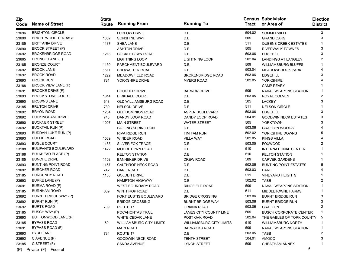| <b>Zip</b><br>Code | <b>Name of Street</b>           | <b>State</b><br>Route | <b>Running From</b>             | <b>Running To</b>               | Tract  | <b>Census Subdivision</b><br>or Area of | <b>Election</b><br><b>District</b> |
|--------------------|---------------------------------|-----------------------|---------------------------------|---------------------------------|--------|-----------------------------------------|------------------------------------|
| 23696              | <b>BRIGHTON CIRCLE</b>          |                       | LUDLOW DRIVE                    | D.E.                            | 504.02 | SOMMERVILLE                             | 3                                  |
| 23690              | <b>BRIGHTWOOD TERRACE</b>       | 1032                  | SONSHINE WAY                    | D.E.                            | 505    | <b>GRAND OAKS</b>                       | 3                                  |
| 23185              | <b>BRITTANIA DRIVE</b>          | 1137                  | <b>SHEA LANE</b>                | D.E.                            | 511    | <b>QUEENS CREEK ESTATES</b>             |                                    |
| 23690              | <b>BROCK STREET (P)</b>         |                       | <b>ASHTON DRIVE</b>             | D.E.                            | 505    | <b>RIVERWALK TOWNES</b>                 | 3                                  |
| 23692              | <b>BROKENBRIDGE ROAD</b>        | 1218                  | <b>COCKLETOWN ROAD</b>          | D.E.                            | 503.06 | <b>EDGEHILL</b>                         | 3                                  |
| 23665              | BRONCO LANE (F)                 |                       | <b>LIGHTNING LOOP</b>           | <b>LIGHTNING LOOP</b>           | 502.04 | <b>LANDINGS AT LANGLEY</b>              |                                    |
| 23185              | <b>BRONZE COURT</b>             | 1150                  | PARCHMENT BOULEVARD             | D.E.                            | 509    | <b>WILLIAMSBURG BLUFFS</b>              |                                    |
| 23692              | <b>BROOK LANE</b>               | 1511                  | SHOWALTER ROAD                  | D.E.                            | 503.04 | <b>MEADOWBROOK PARK</b>                 |                                    |
| 23692              | <b>BROOK ROAD</b>               | 1222                  | <b>MEADOWFIELD ROAD</b>         | <b>BROKENBRIDGE ROAD</b>        | 503.06 | <b>EDGEHILL</b>                         | 3                                  |
| 23693              | <b>BROOK RUN</b>                | 781                   | YORKSHIRE DRIVE                 | <b>MYERS ROAD</b>               | 502.05 | <b>YORKSHIRE</b>                        |                                    |
| 23188              | BROOK VIEW LANE (F)             |                       |                                 |                                 |        | <b>CAMP PEARY</b>                       |                                    |
| 23691              | <b>BROOKE DRIVE (F)</b>         |                       | <b>BOUCHER DRIVE</b>            | <b>BARRON DRIVE</b>             | 509    | <b>NAVAL WEAPONS STATION</b>            |                                    |
| 23693              | <b>BROOKSTONE COURT</b>         | 1814                  | <b>BIRKDALE COURT</b>           | D.E.                            | 503.05 | ROYAL COLVEN                            | 2                                  |
| 23690              | <b>BROWNS LANE</b>              | 648                   | OLD WILLIAMSBURG ROAD           | D.E.                            | 505    | <b>LACKEY</b>                           | 3                                  |
| 23185              | <b>BRUTON DRIVE</b>             | 730                   | <b>NELSON DRIVE</b>             | D.E.                            | 511    | <b>NELSON CIRCLE</b>                    |                                    |
| 23692              | <b>BRYON ROAD</b>               | 1264                  | <b>OLD DOMINION ROAD</b>        | <b>ASPEN BOULEVARD</b>          | 503.06 | <b>EDGEHILL</b>                         | 3                                  |
| 23692              | <b>BUCKINGHAM DRIVE</b>         | 743                   | DANDY LOOP ROAD                 | DANDY LOOP ROAD                 | 504.01 | <b>GOODWIN NECK ESTATES</b>             | 3                                  |
| 23690              | <b>BUCKNER STREET</b>           | 1007                  | <b>MAIN STREET</b>              | <b>WATER STREET</b>             | 505    | <b>YORKTOWN</b>                         | 3                                  |
| 23692              | <b>BUCKTAIL RUN (P)</b>         |                       | <b>FALLING SPRING RUN</b>       | D.E.                            | 503.06 | <b>GRAFTON WOODS</b>                    |                                    |
| 23693              | <b>BUDDAH LUKE RUN (P)</b>      |                       | RIVA RIDGE RUN                  | TIM TAM RUN                     | 502.02 | YORKSHIRE DOWNS                         | 5                                  |
| 23693              | <b>BUFFIE ROAD</b>              | 1569                  | <b>WINDER ROAD</b>              | <b>VILLA WAY</b>                | 502.05 | <b>KINGS VILLA</b>                      |                                    |
| 23693              | <b>BUGLE COURT</b>              | 1483                  | SILVER FOX TRACE                | D.E.                            | 503.05 | <b>FOXWOOD</b>                          |                                    |
| 23188              | <b>BULIFANTS BOULEVARD</b>      | 1422                  | MOORETOWN ROAD                  | D.E.                            | 510    | <b>INTERNATIONAL CENTER</b>             |                                    |
| 23188              | <b>BULKHEAD PLACE (P)</b>       |                       | <b>KELTON STATION</b>           | D.E.                            | 510    | <b>KELTON STATION</b>                   |                                    |
| 23185              | <b>BUNCHE DRIVE</b>             | 1103                  | <b>BANNEKER DRIVE</b>           | <b>DREW ROAD</b>                | 509    | <b>CARVER GARDENS</b>                   |                                    |
| 23693              | <b>BUNTING POINT ROAD</b>       | 1467                  | CALTHROP NECK ROAD              | D.E.                            | 502.05 | <b>BUNTING POINT ESTATES</b>            | 5                                  |
| 23692              | <b>BURCHER ROAD</b>             | 742                   | DARE ROAD                       | D.E.                            | 503.03 | <b>DARE</b>                             |                                    |
| 23185              | <b>BURGUNDY ROAD</b>            | 1168                  | <b>GOLDEN DRIVE</b>             | D.E.                            | 511    | <b>VINEYARD HEIGHTS</b>                 |                                    |
| 23693              | <b>BURKE LANE (P)</b>           |                       | <b>HAMPTON HIGHWAY</b>          | D.E.                            | 502.02 | <b>TABB</b>                             |                                    |
| 23691              | BURMA ROAD (F)                  |                       | WEST BOUNDARY ROAD              | <b>RINGFIELD ROAD</b>           | 509    | NAVAL WEAPONS STATION                   |                                    |
| 23185              | <b>BURNHAM ROAD</b>             | 609                   | <b>WINTHROP ROAD</b>            | D.E.                            | 511    | <b>MIDDLETOWNE FARMS</b>                |                                    |
| 23692              | BURNT BRIDGE WAY (P)            |                       | <b>FORT EUSTIS BOULEVARD</b>    | <b>BRIDGE CROSSING</b>          | 503.06 | <b>BURNT BRIDGE RUN</b>                 | 3                                  |
| 23692              | BURNT RUN (P)                   |                       | <b>BRIDGE CROSSING</b>          | <b>BURNT BRIDGE WAY</b>         | 503.06 | <b>BURNT BRIDGE RUN</b>                 | 3                                  |
| 23692              | <b>BURTS ROAD</b>               | 709                   | ROUTE 17                        | ORIANA ROAD                     | 503.06 | <b>GRAFTON</b>                          |                                    |
| 23185              | BUSCH WAY (P)                   |                       | POCAHONTAS TRAIL                | JAMES CITY COUNTY LINE          | 509    | <b>BUSCH CORPORATE CENTER</b>           |                                    |
| 23693              | BUTTONWOOD LANE (P)             |                       | WHITE CEDAR LANE                | POST OAK ROAD                   | 502.04 | THE GABLES OF YORK COUNTY               | -5                                 |
| 23185              | <b>BYPASS ROAD</b>              | 60                    | <b>WILLIAMSBURG CITY LIMITS</b> | <b>WILLIAMSBURG CITY LIMITS</b> | 510    | <b>WILLIAMSBURG NORTH</b>               |                                    |
| 23691              | BYPASS ROAD (F)                 |                       | <b>MAIN ROAD</b>                | <b>BARRACKS ROAD</b>            | 509    | NAVAL WEAPONS STATION                   |                                    |
| 23693              | <b>BYRD LANE</b>                | 734                   | ROUTE 17                        | D.E.                            | 503.05 | <b>TABB</b>                             |                                    |
| 23692              | C AVENUE (P)                    |                       | <b>GOODWIN NECK ROAD</b>        | <b>TENTH STREET</b>             | 504.01 | <b>AMOCO</b>                            |                                    |
| 23185              | C STREET (F)                    |                       | SANDA AVENUE                    | <b>LYNCH STREET</b>             | 509    | CHEATHAM ANNEX                          |                                    |
|                    | $(P)$ = Private $(F)$ = Federal |                       |                                 |                                 |        | 6                                       |                                    |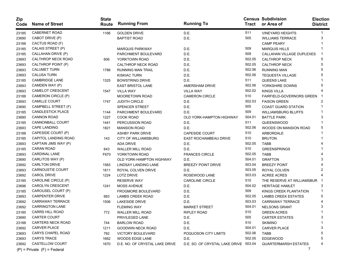| Zip<br>Code | <b>Name of Street</b>           | <b>State</b><br>Route | <b>Running From</b>            | <b>Running To</b>                     |        | <b>Census Subdivision</b><br>Tract or Area of | <b>Election</b><br><b>District</b> |
|-------------|---------------------------------|-----------------------|--------------------------------|---------------------------------------|--------|-----------------------------------------------|------------------------------------|
| 23185       | <b>CABERNET ROAD</b>            | 1166                  | <b>GOLDEN DRIVE</b>            | D.E.                                  | 511    | <b>VINEYARD HEIGHTS</b>                       |                                    |
| 23690       | CABOT DRIVE (P)                 |                       | <b>BAPTIST ROAD</b>            | D.E.                                  | 505    | <b>WILLIAMS TERRACE</b>                       | 3                                  |
| 23188       | CACTUS ROAD (F)                 |                       |                                |                                       |        | <b>CAMP PEARY</b>                             |                                    |
| 23185       | CALAIS STREET (P)               |                       | <b>MARQUIS PARKWAY</b>         | D.E.                                  | 509    | <b>MARQUIS HILLS</b>                          |                                    |
| 23185       | CALLAHAN DRIVE (P)              |                       | PARCHMENT BOULEVARD            | D.E.                                  | 509    | CALLAHAN VILLAGE DUPLEXES                     |                                    |
| 23693       | CALTHROP NECK ROAD              | 606                   | YORKTOWN ROAD                  | D.E.                                  | 502.05 | <b>CALTHROP NECK</b>                          |                                    |
| 23693       | CALTHROP POINT (P)              |                       | CALTHROP NECK ROAD             | D.E.                                  | 502.05 | <b>CALTHROP NECK</b>                          |                                    |
| 23693       | <b>CALUMET TURN</b>             | 1786                  | <b>RUNNING MAN TRAIL</b>       | D.E.                                  | 502.06 | <b>RUNNING MAN</b>                            |                                    |
| 23693       | <b>CALUSA TURN</b>              |                       | <b>KISKIAC TURN</b>            | D.E.                                  | 502.06 | <b>TEQUESTA VILLAGE</b>                       |                                    |
| 23185       | <b>CAMBRIDGE LANE</b>           | 1325                  | <b>BOWSTRING DRIVE</b>         | D.E.                                  | 511    | <b>QUEENS LAKE</b>                            |                                    |
| 23693       | CAMDEN WAY (P)                  |                       | <b>EAST BRISTOL LANE</b>       | <b>AMERSHAM DRIVE</b>                 | 502.06 | YORKSHIRE DOWNS                               |                                    |
| 23693       | <b>CAMELOT CRESCENT</b>         | 1547                  | <b>VILLA WAY</b>               | <b>VILLA WAY</b>                      | 502.02 | <b>KINGS VILLA</b>                            |                                    |
| 23188       | CAMERON CIRCLE (P)              |                       | <b>MOORETOWN ROAD</b>          | <b>CAMERON CIRCLE</b>                 | 510    | <b>FAIRFIELD-GOVERNORS GREEN</b>              |                                    |
| 23693       | <b>CAMILLE COURT</b>            | 1747                  | <b>JUDITH CIRCLE</b>           | D.E.                                  | 502.03 | <b>FAISON GREEN</b>                           |                                    |
| 23690       | CAMPBELL STREET (F)             |                       | SPENCER STREET                 | D.E.                                  | 505    | <b>COAST GUARD STATION</b>                    |                                    |
| 23185       | <b>CANDLESTICK PLACE</b>        | 1144                  | PARCHMENT BOULEVARD            | D.E.                                  | 509    | <b>WILLIAMSBURG BLUFFS</b>                    |                                    |
| 23690       | <b>CANNON ROAD</b>              | 1227                  | <b>COOK ROAD</b>               | OLD YORK-HAMPTON HIGHWAY              | 504.01 | <b>BATTLE PARK</b>                            |                                    |
| 23185       | <b>CANNONBALL COURT</b>         | 1441                  | PERCUSSION ROAD                | D.E.                                  | 511    | <b>QUEENSWOOD</b>                             |                                    |
| 23693       | <b>CAPE LANDING</b>             | 1821                  | <b>MANSION ROAD</b>            | D.E.                                  | 502.06 | WOODS ON MANSION ROAD                         | 5                                  |
| 23188       | CAPESIDE COURT (P)              |                       | ASHBY PARK DRIVE               | <b>CAPESIDE COURT</b>                 | 510    | ARBORDALE                                     |                                    |
| 23185       | CAPITOL LANDING ROAD            | 143                   | <b>CITY OF WILLIAMSBURG</b>    | <b>EAST ROCHAMBEAU DRIVE</b>          | 510    | <b>BRUTON</b>                                 |                                    |
| 23693       | CAPTAIN JIMS WAY (P)            |                       | <b>ADA DRIVE</b>               | D.E.                                  | 502.05 | <b>TABB</b>                                   |                                    |
| 23185       | <b>CARAN ROAD</b>               | 643                   | WALLER MILL ROAD               | D.E.                                  | 510    | <b>GREENSPRINGS</b>                           |                                    |
| 23693       | <b>CARDINAL LANE</b>            | F670                  | YORKTOWN ROAD                  | <b>FRANCES CIRCLE</b>                 | 502.05 | <b>TABB</b>                                   |                                    |
| 23690       | CARLITOS WAY (P)                |                       | OLD YORK-HAMPTON HIGHWAY       | D.E.                                  | 504.01 | <b>GRAFTON</b>                                |                                    |
| 23692       | <b>CARLTON DRIVE</b>            | 1583                  | LINDSAY LANDING LANE           | <b>BREEZY POINT DRIVE</b>             | 503.04 | <b>BREEZY POINT</b>                           |                                    |
| 23693       | <b>CARNOUSTIE COURT</b>         | 1811                  | ROYAL COLVEN DRIVE             | D.E.                                  | 503.05 | ROYAL COLVEN                                  |                                    |
| 23692       | <b>CAROL DRIVE</b>              | 1224                  | <b>LOTZ DRIVE</b>              | ROSEWOOD LANE                         | 503.03 | <b>ACREE ACRES</b>                            |                                    |
| 23185       | CAROLINE CIRCLE (P)             |                       | <b>RESERVE WAY</b>             | <b>CAROLINE CIRCLE</b>                | 510    | THE RESERVE AT WILLIAMSBUR                    |                                    |
| 23696       | <b>CAROLYN CRESCENT</b>         | 1241                  | <b>MOSS AVENUE</b>             | D.E.                                  | 504.02 | <b>HERITAGE HAMLET</b>                        |                                    |
| 23185       | CAROUSEL COURT (P)              |                       | <b>FROGMORE BOULEVARD</b>      | D.E.                                  | 509    | KINGS CREEK PLANTATION                        |                                    |
| 23693       | <b>CARPENTER DRIVE</b>          | 683                   | <b>LAMBS CREEK ROAD</b>        | D.E.                                  | 502.05 | <b>LAMBS CREEK ESTATES</b>                    |                                    |
| 23692       | <b>CARRAWAY TERRACE</b>         | 1506                  | <b>LAKESIDE DRIVE</b>          | D.E.                                  | 503.03 | <b>CARRAWAY TERRACE</b>                       |                                    |
| 23692       | <b>CARRINGTON LANE</b>          |                       | <b>FLEMING WAY</b>             | <b>MARKET STREET</b>                  | 504.01 | <b>NELSONS GRANT</b>                          |                                    |
| 23185       | <b>CARRS HILL ROAD</b>          | 772                   | <b>WALLER MILL ROAD</b>        | RIPLEY ROAD                           | 510    | <b>GREEN ACRES</b>                            |                                    |
| 23690       | <b>CARTER COURT</b>             |                       | PRIVILEGED LANE                | D.E.                                  | 505    | <b>CARTER ESTATES</b>                         | 3                                  |
| 23188       | <b>CARTERS NECK ROAD</b>        | 744                   | <b>BARLOW ROAD</b>             | D.E.                                  | 510    | <b>SKIMINO</b>                                |                                    |
| 23692       | <b>CARVER PLACE</b>             | 1211                  | GOODWIN NECK ROAD              | D.E.                                  | 504.01 | <b>CARVER PLACE</b>                           |                                    |
| 23693       | CARYS CHAPEL ROAD               | 782                   | <b>VICTORY BOULEVARD</b>       | POQUOSON CITY LIMITS                  | 502.06 | <b>TABB</b>                                   |                                    |
| 23693       | <b>CARYS TRACE</b>              | 1662                  | WOODS EDGE LANE                | D.E.                                  | 502.05 | <b>EDGEWOOD</b>                               |                                    |
| 23692       | CASTELLOW COURT                 | 1670                  | D.E. NO. OF CRYSTAL LAKE DRIVE | D.E. SO. OF CRYSTAL LAKE DRIVE 503.04 |        | <b>QUARTERMARSH ESTATES</b>                   |                                    |
|             | $(P)$ = Private $(F)$ = Federal |                       |                                |                                       |        | 7                                             |                                    |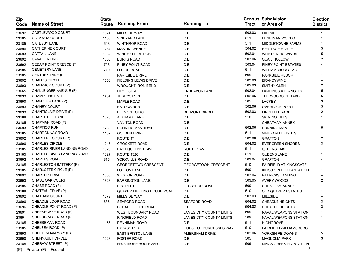| <b>Zip</b><br>Code | <b>Name of Street</b>           | <b>State</b><br>Route | <b>Running From</b>         | <b>Running To</b>               | <b>Tract</b> | <b>Census Subdivision</b><br>or Area of | <b>Election</b><br><b>District</b> |
|--------------------|---------------------------------|-----------------------|-----------------------------|---------------------------------|--------------|-----------------------------------------|------------------------------------|
| 23692              | CASTLEWOOD COURT                | 1574                  | <b>MILLSIDE WAY</b>         | D.E.                            | 503.03       | <b>MILLSIDE</b>                         | 4                                  |
| 23185              | CATAWBA COURT                   | 1136                  | <b>VINEYARD LANE</b>        | D.E.                            | 511          | PENNIMAN WOODS                          |                                    |
| 23185              | CATESBY LANE                    | 608                   | <b>WINTHROP ROAD</b>        | D.E.                            | 511          | <b>MIDDLETOWNE FARMS</b>                |                                    |
| 23696              | <b>CATHERINE COURT</b>          | 1234                  | <b>MASTIN AVENUE</b>        | D.E.                            | 504.02       | <b>HERITAGE HAMLET</b>                  | 3                                  |
| 23693              | <b>CATTAIL LANE</b>             | 1682                  | <b>WINDY SHORE DRIVE</b>    | D.E.                            | 502.04       | <b>WHISPERING WINDS</b>                 | 5                                  |
| 23692              | <b>CAVALIER DRIVE</b>           | 1608                  | <b>BURTS ROAD</b>           | D.E.                            | 503.06       | <b>QUAIL HOLLOW</b>                     |                                    |
| 23692              | CEDAR POINT CRESCENT            | 758                   | PINEY POINT ROAD            | D.E.                            | 503.04       | PINEY POINT ESTATES                     |                                    |
| 23185              | <b>CEMETERY LANE</b>            | 770                   | <b>LODGE ROAD</b>           | D.E.                            | 511          | <b>WILLIAMSBURG EAST</b>                |                                    |
| 23185              | CENTURY LANE (P)                |                       | <b>PARKSIDE DRIVE</b>       | D.E.                            | 509          | <b>PARKSIDE RESORT</b>                  |                                    |
| 23692              | <b>CHADDS CIRCLE</b>            | 1558                  | <b>FIELDING LEWIS DRIVE</b> | D.E.                            | 503.03       | <b>BRANDYWINE</b>                       |                                    |
| 23693              | CHADWICK COURT (P)              |                       | <b>WROUGHT IRON BEND</b>    | D.E.                            | 502.03       | <b>SMITHY GLEN</b>                      |                                    |
| 23665              | CHALLENGER AVENUE (F)           |                       | <b>FIRST STREET</b>         | <b>ENDEAVOR LANE</b>            | 502.04       | <b>LANDINGS AT LANGLEY</b>              | 5                                  |
| 23693              | <b>CHAMPIONS PATH</b>           | 1454                  | <b>TERRYS RUN</b>           | D.E.                            | 502.06       | THE WOODS OF TABB                       | 5                                  |
| 23690              | CHANDLER LANE (P)               |                       | <b>MAPLE ROAD</b>           | D.E.                            | 505          | <b>LACKEY</b>                           | 3                                  |
| 23693              | <b>CHANEY COURT</b>             |                       | <b>ESTONS RUN</b>           | D.E.                            | 502.06       | <b>OVERLOOK POINT</b>                   | 5                                  |
| 23693              | CHANTICLAIR DRIVE (P)           |                       | <b>BELMONT CIRCLE</b>       | <b>BELMONT CIRCLE</b>           | 502.03       | <b>FINCH TERRACE</b>                    |                                    |
| 23188              | CHAPEL HILL LANE                | 1620                  | ALABAMA LANE                | D.E.                            | 510          | <b>SKIMINO HILLS</b>                    |                                    |
| 23185              | CHAPMAN ROAD (F)                |                       | VAN TOL ROAD                | D.E.                            |              | <b>CHEATHAM ANNEX</b>                   |                                    |
| 23693              | <b>CHAPTICO RUN</b>             | 1736                  | <b>RUNNING MAN TRAIL</b>    | D.E.                            | 502.06       | <b>RUNNING MAN</b>                      | 5                                  |
| 23185              | CHARDONNAY ROAD                 | 1167                  | <b>GOLDEN DRIVE</b>         | D.E.                            | 511          | <b>VINEYARD HEIGHTS</b>                 |                                    |
| 23692              | CHARLENE COURT (P)              |                       | ROUTE 17                    | D.E.                            | 503.06       | <b>GRAFTON</b>                          |                                    |
| 23696              | <b>CHARLES CIRCLE</b>           | 1246                  | <b>CROCKETT ROAD</b>        | D.E.                            | 504.02       | <b>EVERGREEN SHORES</b>                 |                                    |
| 23185              | CHARLES RIVER LANDING ROAD      | 1326                  | <b>EAST QUEENS DRIVE</b>    | <b>ROUTE 1327</b>               | 511          | <b>QUEENS LAKE</b>                      |                                    |
| 23185              | CHARLES RIVER LANDING ROAD      | 1327                  | <b>ROUTE 1326</b>           | D.E.                            | 511          | QUEENS LAKE                             |                                    |
| 23692              | <b>CHARLES ROAD</b>             | 615                   | YORKVILLE ROAD              | D.E.                            | 503.04       | <b>GRAFTON</b>                          |                                    |
| 23185              | CHARLESTON BATTERY (P)          |                       | <b>GEORGETOWN CRESCENT</b>  | <b>GEORGETOWN CRESCENT</b>      | 510          | <b>FAIRFIELD AT KINGSGATE</b>           |                                    |
| 23185              | CHARLOTTE CIRCLE (P)            |                       | <b>LOFTON LANE</b>          | D.E.                            | 509          | KINGS CREEK PLANTATION                  |                                    |
| 23692              | <b>CHARTER DRIVE</b>            | 1300                  | <b>WESTON ROAD</b>          | D.E.                            | 503.04       | <b>PATRICKS LANDING</b>                 |                                    |
| 23693              | <b>CHASE OAK COURT</b>          | 1828                  | <b>BARRINGTON LANE</b>      | D.E.                            | 503.05       | AVERY WOODS                             |                                    |
| 23185              | CHASE ROAD (F)                  |                       | <b>D STREET</b>             | LEUSSEUR ROAD                   | 509          | <b>CHEATHAM ANNEX</b>                   |                                    |
| 23188              | CHATEAU DRIVE (P)               |                       | QUAKER MEETING HOUSE ROAD   | D.E.                            | 510          | <b>OLD QUAKER ESTATES</b>               |                                    |
| 23692              | CHATHAM COURT                   | 1572                  | <b>MILLSIDE WAY</b>         | D.E.                            | 503.03       | <b>MILLSIDE</b>                         |                                    |
| 23696              | CHEADLE LOOP ROAD               | 686                   | <b>SEAFORD ROAD</b>         | <b>SEAFORD ROAD</b>             | 504.02       | <b>CHEADLE HEIGHTS</b>                  |                                    |
| 23696              | CHEADLE POINT ROAD (P)          |                       | CHEADLE LOOP ROAD           | D.E.                            | 504.02       | <b>CHEADLE HEIGHTS</b>                  | 3                                  |
| 23691              | CHEESECAKE ROAD (F)             |                       | WEST BOUNDARY ROAD          | <b>JAMES CITY COUNTY LIMITS</b> | 509          | <b>NAVAL WEAPONS STATION</b>            |                                    |
| 23691              | CHEESECAKE ROAD (F)             |                       | RINGFIELD ROAD              | JAMES CITY COUNTY LIMITS        | 509          | NAVAL WEAPONS STATION                   | -1                                 |
| 23185              | <b>CHEESEMAN ROAD</b>           | 1156                  | PENNIMAN ROAD               | D.E.                            | 511          | <b>HIGHGROVE</b>                        |                                    |
| 23185              | CHELSEA ROAD (P)                |                       | <b>BYPASS ROAD</b>          | HOUSE OF BURGESSES WAY          | 510          | FAIRFIELD WILLIAMSBURG                  | 1                                  |
| 23693              | CHELTENHAM WAY (P)              |                       | <b>EAST BRISTOL LANE</b>    | AMERSHAM DRIVE                  | 502.06       | YORKSHIRE DOWNS                         | 5                                  |
| 23690              | CHENNAULT CIRCLE                | 1028                  | <b>FOSTER ROAD</b>          | D.E.                            | 505          | <b>MAGNOLIA PARK</b>                    | 3                                  |
| 23185              | CHERAW STREET (P)               |                       | FROGMORE BOULEVARD          | D.E.                            | 509          | KINGS CREEK PLANTATION                  |                                    |
|                    | $(P)$ = Private $(F)$ = Federal |                       |                             |                                 |              | 8                                       |                                    |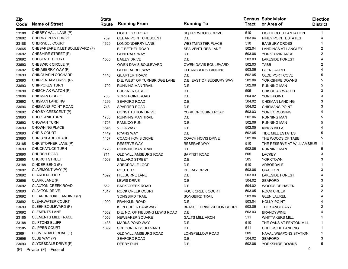| Zip<br>Code | <b>Name of Street</b>           | <b>State</b><br>Route | <b>Running From</b>             | <b>Running To</b>                | Tract  | <b>Census Subdivision</b><br>or Area of | <b>Election</b><br><b>District</b> |
|-------------|---------------------------------|-----------------------|---------------------------------|----------------------------------|--------|-----------------------------------------|------------------------------------|
| 23188       | CHERRY HALL LANE (P)            |                       | <b>LIGHTFOOT ROAD</b>           | SQUIREWOODS DRIVE                | 510    | LIGHTFOOT PLANTATION                    | 1                                  |
| 23692       | <b>CHERRY POINT DRIVE</b>       | 759                   | CEDAR POINT CRESCENT            | D.E.                             | 503.04 | PINEY POINT ESTATES                     |                                    |
| 23188       | <b>CHERWELL COURT</b>           | 1629                  | LONDONDERRY LANE                | <b>WESTMINSTER PLACE</b>         | 510    | <b>BANBURY CROSS</b>                    |                                    |
| 23665       | CHESAPEAKE INLET BOULEVARD (F)  |                       | <b>BIG BETHEL ROAD</b>          | <b>SEA VENTURES LANE</b>         | 502.04 | <b>LANDINGS AT LANGLEY</b>              | 2                                  |
| 23692       | CHESHIRE STREET (P)             |                       | <b>GENERALS WAY</b>             | D.E.                             | 503.06 | YORKTOWN ARCH                           | 2                                  |
| 23692       | CHESTNUT COURT                  | 1505                  | <b>BAILEY DRIVE</b>             | D.E.                             | 503.03 | <b>LAKESIDE FOREST</b>                  |                                    |
| 23693       | CHESWICK CIRCLE (P)             |                       | <b>OWEN DAVIS BOULEVARD</b>     | <b>OWEN DAVIS BOULEVARD</b>      | 502.03 | <b>TABB</b>                             |                                    |
| 23692       | CHINABERRY WAY (P)              |                       | <b>GLEN LAUREL WAY</b>          | <b>CLEARBROOK LANDING</b>        | 503.06 | <b>GLEN LAUREL</b>                      |                                    |
| 23693       | CHINQUAPIN ORCHARD              | 1446                  | <b>QUARTER TRACK</b>            | D.E.                             | 502.05 | OLDE PORT COVE                          | 5                                  |
| 23693       | CHIPPENHAM DRIVE (P)            |                       | D.E. WEST OF TURNBRIDGE LANE    | D.E. EAST OF SUDBURY WAY         | 502.06 | YORKSHIRE DOWNS                         | 5                                  |
| 23693       | <b>CHIPPOKES TURN</b>           | 1792                  | <b>RUNNING MAN TRAIL</b>        | D.E.                             | 502.06 | <b>RUNNING MAN</b>                      | 5                                  |
| 23690       | CHISCHIAK WATCH (P)             |                       | <b>BUCKNER STREET</b>           | D.E.                             | 505    | <b>CHISCHIAK WATCH</b>                  | 3                                  |
| 23696       | <b>CHISMAN CIRCLE</b>           | 763                   | YORK POINT ROAD                 | D.E.                             | 504.02 | YORK POINT                              | 3                                  |
| 23692       | <b>CHISMAN LANDING</b>          | 1299                  | <b>SEAFORD ROAD</b>             | D.E.                             | 504.02 | <b>CHISMAN LANDING</b>                  | 3                                  |
| 23696       | CHISMANS POINT ROAD             | 748                   | <b>SPARRER ROAD</b>             | D.E.                             | 504.02 | <b>CHISMANS POINT</b>                   | 3                                  |
| 23692       | CHOISY CRESCENT (P)             |                       | <b>CONSTITUTION DRIVE</b>       | YORK CROSSING ROAD               | 503.03 | YORK CROSSING                           |                                    |
| 23693       | <b>CHOPTANK TURN</b>            | 1788                  | <b>RUNNING MAN TRAIL</b>        | D.E.                             | 502.06 | <b>RUNNING MAN</b>                      | 5                                  |
| 23693       | <b>CHOWAN TURN</b>              | 1726                  | PAMLICO RUN                     | D.E.                             | 502.06 | <b>RUNNING MAN</b>                      | 5                                  |
| 23693       | <b>CHOWNING PLACE</b>           | 1546                  | <b>VILLA WAY</b>                | D.E.                             | 502.05 | <b>KINGS VILLA</b>                      |                                    |
| 23693       | <b>CHRIS COURT</b>              | 1449                  | <b>RYANS WAY</b>                | D.E.                             | 502.05 | <b>TIDE MILL ESTATES</b>                |                                    |
| 23693       | CHRIS SLADE CHASE               | 1457                  | <b>COACH HOVIS DRIVE</b>        | <b>COACH HOVIS DRIVE</b>         | 502.06 | THE WOODS OF TABB                       | 5                                  |
| 23185       | CHRISTOPHER LANE (P)            |                       | <b>RESERVE WAY</b>              | <b>RESERVE WAY</b>               | 510    | THE RESERVE AT WILLIAMSBUR              |                                    |
| 23693       | <b>CHUCKATUCK TURN</b>          | 1728                  | <b>RUNNING MAN TRAIL</b>        | D.E.                             | 502.06 | <b>RUNNING MAN</b>                      | 5                                  |
| 23690       | <b>CHURCH ROAD</b>              | 711                   | OLD WILLIAMSBURG ROAD           | <b>BAPTIST ROAD</b>              | 505    | <b>LACKEY</b>                           | 3                                  |
| 23690       | <b>CHURCH STREET</b>            | 1003                  | <b>BALLARD STREET</b>           | D.E.                             | 505    | <b>YORKTOWN</b>                         | 3                                  |
| 23188       | CINDER BEND (P)                 |                       | ARBORDALE LOOP                  | D.E.                             | 510    | ARBORDALE                               |                                    |
| 23692       | CLAIRMONT WAY (P)               |                       | ROUTE 17                        | DELRAY DRIVE                     | 503.06 | <b>GRAFTON</b>                          | 3                                  |
| 23692       | <b>CLARDEN COURT</b>            | 1592                  | <b>HILLBURNE LANE</b>           | D.E.                             | 503.03 | <b>LAKESIDE FOREST</b>                  |                                    |
| 23696       | CLARK LANE (P)                  |                       | <b>LEWIS DRIVE</b>              | D.E.                             | 504.02 | <b>SEAFORD</b>                          | 3                                  |
| 23692       | <b>CLAXTON CREEK ROAD</b>       | 652                   | <b>BACK CREEK ROAD</b>          | D.E.                             | 504.02 | <b>WOODSIDE HAVEN</b>                   | 3                                  |
| 23693       | <b>CLAYTON DRIVE</b>            | 1817                  | <b>ROCK CREEK COURT</b>         | ROCK CREEK COURT                 | 503.05 | <b>ROCK CREEK</b>                       | 2                                  |
| 23692       | CLEARBROOKE LANDING (P)         |                       | SONGBIRD TRAIL                  | <b>SONGBIRD TRAIL</b>            | 503.06 | <b>GLEN LAUREL</b>                      |                                    |
| 23692       | <b>CLEARWATER COURT</b>         | 1099                  | <b>FRANKLIN ROAD</b>            | D.E.                             | 503.04 | <b>HOLLY POINT</b>                      |                                    |
| 23693       | CLEEK BOULEVARD (P)             |                       | KILN CREEK PARKWAY              | <b>BRASSIE DRIVE-SPOON COURT</b> | 503.05 | THE SANCTUARY                           |                                    |
| 23692       | <b>CLEMENTS LANE</b>            | 1552                  | D.E. NO. OF FIELDING LEWIS ROAD | D.E.                             | 503.03 | <b>BRANDYWINE</b>                       | 4                                  |
| 23185       | <b>CLEMENTS MILL TRACE</b>      | 1056                  | NEWBAKER SQUARE                 | <b>GALTS MILL ARCH</b>           | 511    | <b>WHITTAKERS MILL</b>                  | -1                                 |
| 23188       | <b>CLIFTONS BLUFF</b>           | 1438                  | <b>MARKS POND WAY</b>           | D.E.                             | 510    | THE OAKS AT FENTON MILL                 |                                    |
| 23185       | <b>CLIPPER COURT</b>            | 1392                  | SCHOONER BOULEVARD              | D.E.                             | 511    | <b>CREEKSIDE LANDING</b>                |                                    |
| 23691       | CLOVERDALE ROAD (F)             |                       | OLD WILLIAMSBURG ROAD           | LONGFELLOW ROAD                  | 509    | NAVAL WEAPONS STATION                   | -1                                 |
| 23696       | CLUB WAY (P)                    |                       | <b>SEAFORD ROAD</b>             | D.E.                             | 504.02 | <b>SEAFORD</b>                          | 3                                  |
| 23693       | CLYDESDALE DRIVE (P)            |                       | <b>DERBY RUN</b>                | D.E.                             | 502.06 | YORKSHIRE DOWNS                         | 5                                  |
|             | $(P)$ = Private $(F)$ = Federal |                       |                                 |                                  |        | 9                                       |                                    |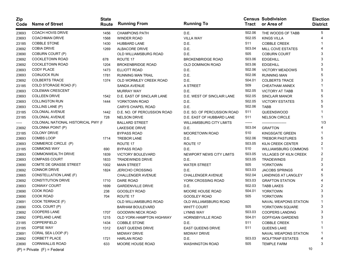| Zip<br>Code | <b>Name of Street</b>               | <b>State</b><br>Route | <b>Running From</b>         | <b>Running To</b>               |        | <b>Census Subdivision</b><br>Tract or Area of | <b>Election</b><br><b>District</b> |
|-------------|-------------------------------------|-----------------------|-----------------------------|---------------------------------|--------|-----------------------------------------------|------------------------------------|
| 23693       | <b>COACH HOVIS DRIVE</b>            | 1456                  | <b>CHAMPIONS PATH</b>       | D.E.                            | 502.06 | THE WOODS OF TABB                             | 5                                  |
| 23693       | COACHMAN DRIVE                      | 1568                  | <b>WINDER ROAD</b>          | <b>VILLA WAY</b>                | 502.05 | <b>KINGS VILLA</b>                            |                                    |
| 23185       | <b>COBBLE STONE</b>                 | 1430                  | <b>HUBBARD LANE</b>         | D.E.                            | 511    | <b>COBBLE CREEK</b>                           |                                    |
| 23692       | <b>COBIA DRIVE</b>                  | 1269                  | ALBACORE DRIVE              | D.E.                            | 503.04 | MILL COVE ESTATES                             |                                    |
| 23690       | COBURN COURT (P)                    |                       | OLD WILLIAMSBURG ROAD       | D.E.                            | 505    | <b>COBURN COURT</b>                           |                                    |
| 23692       | <b>COCKLETOWN ROAD</b>              | 678                   | ROUTE 17                    | <b>BROKENBRIDGE ROAD</b>        | 503.06 | <b>EDGEHILL</b>                               |                                    |
| 23692       | <b>COCKLETOWN ROAD</b>              | 1204                  | <b>BROKENBRIDGE ROAD</b>    | OLD DOMINION ROAD               | 503.06 | <b>EDGEHILL</b>                               |                                    |
| 23693       | <b>CODY PLACE</b>                   | 1473                  | ELLIOTT ROAD                | D.E.                            | 502.06 | <b>VICTORY MEADOWS</b>                        |                                    |
| 23693       | <b>COINJOCK RUN</b>                 | 1781                  | <b>RUNNING MAN TRAIL</b>    | D.E.                            | 502.06 | <b>RUNNING MAN</b>                            |                                    |
| 23692       | <b>COLBERTS TRACE</b>               | 1374                  | OLD WORMLEY CREEK ROAD      | D.E.                            | 504.01 | <b>COLBERTS TRACE</b>                         |                                    |
| 23185       | COLD STORAGE ROAD (F)               |                       | SANDA AVENUE                | A STREET                        | 509    | <b>CHEATHAM ANNEX</b>                         |                                    |
| 23693       | <b>COLEMAN CRESCENT</b>             |                       | <b>MURRAY WAY</b>           | D.E.                            | 502.05 | <b>VICTORY AT TABB</b>                        |                                    |
| 23693       | <b>COLLEEN DRIVE</b>                | 1542                  | D.E. EAST OF SINCLAIR LANE  | D.E. WEST OF SINCLAIR LANE      | 502.05 | <b>SINCLAIR MANOR</b>                         |                                    |
| 23693       | <b>COLLINGTON RUN</b>               | 1444                  | YORKTOWN ROAD               | D.E.                            | 502.05 | <b>VICTORY ESTATES</b>                        |                                    |
| 23693       | <b>COLLINS LANE (P)</b>             |                       | <b>CARYS CHAPEL ROAD</b>    | D.E.                            | 502.06 | <b>TABB</b>                                   |                                    |
| 23185       | <b>COLONIAL AVENUE</b>              | 1442                  | D.E. NO. OF PERCUSSION ROAD | D.E. SO. OF PERCUSSION ROAD     | 511    | QUEENSWOOD                                    |                                    |
| 23185       | <b>COLONIAL AVENUE</b>              | 728                   | <b>NELSON DRIVE</b>         | D.E. EAST OF HUBBARD LANE       | 511    | <b>NELSON CIRCLE</b>                          |                                    |
| -----       | COLONIAL NATIONAL HISTORICAL PWY (F |                       | <b>BALLARD STREET</b>       | <b>WILLIAMSBURG CITY LIMITS</b> | ------ | ---------------------                         | 1/3                                |
| 23692       | COLONNA POINT (P)                   |                       | <b>LAKESIDE DRIVE</b>       | D.E.                            | 503.04 | <b>GRAFTON</b>                                |                                    |
| 23185       | <b>COLONY DRIVE</b>                 |                       | <b>BYPASS ROAD</b>          | MOORETOWN ROAD                  | 510    | KINGSGATE GREEN                               |                                    |
| 23693       | <b>COMBS LOOP</b>                   | 1714                  | <b>TREBOR LANE</b>          | D.E.                            | 502.06 | <b>TREBOR PASTURES</b>                        |                                    |
| 23693       | COMMERCE CIRCLE (P)                 |                       | ROUTE 17                    | ROUTE 17                        | 503.05 | KILN CREEK CENTER                             |                                    |
| 23185       | <b>COMMONS WAY</b>                  | 690                   | <b>BYPASS ROAD</b>          | D.E.                            | 510    | <b>WILLIAMSBURG COMMONS</b>                   |                                    |
| 23693       | <b>COMMONWEALTH DRIVE</b>           | 1839                  | <b>VICTORY BOULEVARD</b>    | NEWPORT NEWS CITY LIMITS        | 503.05 | <b>VILLAGES OF KILN CREEK</b>                 | 2                                  |
| 23693       | <b>COMPASS COURT</b>                | 1833                  | <b>TRADEWINDS DRIVE</b>     | D.E.                            | 503.05 | <b>TRADEWINDS</b>                             | 2                                  |
| 23690       | COMTE DE GRASSE STREET              | 1002                  | <b>MAIN STREET</b>          | <b>WATER STREET</b>             | 505    | <b>YORKTOWN</b>                               |                                    |
| 23692       | <b>CONNOR DRIVE</b>                 | 1824                  | <b>JERICHO CROSSING</b>     | D.E.                            | 503.03 | <b>JACOBS SPRINGS</b>                         |                                    |
| 23665       | CONSTELLATION LANE (F)              |                       | CHALLENGER AVENUE           | <b>CHALLENGER AVENUE</b>        | 502.04 | <b>LANDINGS AT LANGLEY</b>                    |                                    |
| 23692       | <b>CONSTITUTION DRIVE</b>           | 1710                  | DARE ROAD                   | YORK CROSSING ROAD              | 503.03 | <b>GRAFTON STATION</b>                        |                                    |
| 23693       | <b>CONWAY COURT</b>                 | 1699                  | <b>GARDENVILLE DRIVE</b>    | D.E.                            | 502.03 | <b>TABB LAKES</b>                             |                                    |
| 23690       | COOK ROAD                           | 238                   | <b>GOOSLEY ROAD</b>         | MOORE HOUSE ROAD                | 504.01 | <b>YORKTOWN</b>                               |                                    |
| 23690       | <b>COOK ROAD</b>                    | 704                   | ROUTE 17                    | GOOSLEY ROAD                    | 505    | <b>YORKTOWN</b>                               |                                    |
| 23691       | COOK TERRACE (F)                    |                       | OLD WILLIAMSBURG ROAD       | OLD WILLIAMSBURG ROAD           |        | NAVAL WEAPONS STATION                         |                                    |
| 23690       | COOL COURT (P)                      |                       | <b>BARHAM BOULEVARD</b>     | <b>WHITT COURT</b>              | 505    | YORKTOWN SQUARE                               | 3                                  |
| 23692       | <b>COOPERS LANE</b>                 | 1707                  | GOODWIN NECK ROAD           | <b>LYNNS WAY</b>                | 503.03 | <b>COOPERS LANDING</b>                        |                                    |
| 23692       | COPELAND LANE                       | 1215                  | OLD YORK-HAMPTON HIGHWAY    | <b>HORNSBYVILLE ROAD</b>        | 504.01 | <b>GOFFIGAN GARDENS</b>                       | 3                                  |
| 23185       | COPPERFIELD                         | 1434                  | COBBLE STONE                | D.E.                            | 511    | <b>COBBLE CREEK</b>                           |                                    |
| 23185       | COPSE WAY                           | 1312                  | <b>EAST QUEENS DRIVE</b>    | <b>EAST QUEENS DRIVE</b>        | 511    | QUEENS LAKE                                   |                                    |
| 23691       | CORAL SEA LOOP (F)                  |                       | <b>MIDWAY DRIVE</b>         | MIDWAY DRIVE                    |        | NAVAL WEAPONS STATION                         |                                    |
| 23692       | <b>CORBETT PLACE</b>                | 1721                  | <b>HARLAN ROAD</b>          | D.E.                            | 503.03 | <b>WOLFTRAP ESTATES</b>                       |                                    |
| 23690       | <b>CORNWALLIS ROAD</b>              | 633                   | MOORE HOUSE ROAD            | <b>WASHINGTON ROAD</b>          | 505    | <b>TEMPLE FARM</b>                            |                                    |
|             | $(P)$ = Private $(F)$ = Federal     |                       |                             |                                 |        |                                               | 10                                 |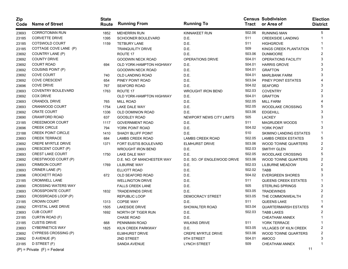| Zip<br>Code | <b>Name of Street</b>           | <b>State</b><br>Route | <b>Running From</b>          | <b>Running To</b>           | <b>Tract</b> | <b>Census Subdivision</b><br>or Area of | <b>Election</b><br><b>District</b> |
|-------------|---------------------------------|-----------------------|------------------------------|-----------------------------|--------------|-----------------------------------------|------------------------------------|
| 23693       | CORROTOMAN RUN                  | 1852                  | <b>MEHERRIN RUN</b>          | <b>KINNAKEET RUN</b>        | 502.06       | <b>RUNNING MAN</b>                      | 5                                  |
| 23185       | <b>CORVETTE DRIVE</b>           | 1395                  | <b>SCHOONER BOULEVARD</b>    | D.E.                        | 511          | <b>CREEKSIDE LANDING</b>                |                                    |
| 23185       | COTSWOLD COURT                  | 1159                  | <b>TETBURY LANE</b>          | D.E.                        | 511          | <b>HIGHGROVE</b>                        |                                    |
| 23185       | COTTAGE COVE LANE (P)           |                       | <b>TRANQUILITY DRIVE</b>     | D.E.                        | 509          | KINGS CREEK PLANTATION                  |                                    |
| 23692       | COUNTRY LANE (P)                |                       | ROUTE 17                     | D.E.                        | 503.06       | <b>DUNMOORE</b>                         | 2                                  |
| 23692       | <b>COUNTY DRIVE</b>             |                       | <b>GOODWIN NECK ROAD</b>     | <b>OPERATIONS DRIVE</b>     | 504.01       | <b>OPERATIONS FACILITY</b>              | 3                                  |
| 23692       | <b>COURT ROAD</b>               | 694                   | OLD YORK-HAMPTON HIGHWAY     | D.E.                        | 504.01       | <b>HARRIS GROVE</b>                     |                                    |
| 23692       | COUSINS POINT (P)               |                       | <b>GOODWIN NECK ROAD</b>     | D.E.                        | 504.01       | <b>GRAFTON</b>                          |                                    |
| 23692       | <b>COVE COURT</b>               | 740                   | OLD LANDING ROAD             | D.E.                        | 504.01       | <b>MARLBANK FARM</b>                    |                                    |
| 23692       | <b>COVE CRESCENT</b>            | 654                   | PINEY POINT ROAD             | D.E.                        | 503.04       | PINEY POINT ESTATES                     |                                    |
| 23696       | <b>COVE DRIVE</b>               | 767                   | <b>SEAFORD ROAD</b>          | D.E.                        | 504.02       | <b>SEAFORD</b>                          | 3                                  |
| 23693       | COVENTRY BOULEVARD              | 1763                  | ROUTE 17                     | <b>WROUGHT IRON BEND</b>    | 502.03       | <b>COVENTRY</b>                         |                                    |
| 23692       | <b>COX DRIVE</b>                |                       | OLD YORK-HAMPTON HIGHWAY     | D.E.                        | 504.01       | <b>GRAFTON</b>                          |                                    |
| 23693       | CRANDOL DRIVE                   | 765                   | <b>MILL ROAD</b>             | D.E.                        | 502.05       | <b>MILL FARM</b>                        |                                    |
| 23693       | <b>CRANWOOD COURT</b>           | 1754                  | LAKE DALE WAY                | D.E.                        | 502.05       | <b>WOODLAKE CROSSING</b>                |                                    |
| 23692       | <b>CRATE COURT</b>              | 1336                  | <b>OLD DOMINION ROAD</b>     | D.E.                        | 503.06       | <b>EDGEHILL</b>                         |                                    |
| 23690       | <b>CRAWFORD ROAD</b>            | 637                   | <b>GOOSLEY ROAD</b>          | NEWPORT NEWS CITY LIMITS    | 505          | <b>LACKEY</b>                           |                                    |
| 23185       | <b>CREEDMOOR COURT</b>          | 1117                  | <b>GOVERNMENT ROAD</b>       | D.E.                        | 511          | <b>MAGRUDER WOODS</b>                   |                                    |
| 23696       | <b>CREEK CIRCLE</b>             | 794                   | YORK POINT ROAD              | D.E.                        | 504.02       | YORK POINT                              | 3                                  |
| 23188       | <b>CREEK POINT CIRCLE</b>       | 1410                  | <b>SHADY BLUFF POINT</b>     | D.E.                        | 510          | <b>SKIMINO LANDING ESTATES</b>          |                                    |
| 23693       | <b>CREEK TERRACE</b>            | 684                   | <b>LAMBS CREEK ROAD</b>      | <b>LAMBS CREEK ROAD</b>     | 502.05       | <b>LAMBS CREEK ESTATES</b>              | 5                                  |
| 23692       | <b>CREPE MYRTLE DRIVE</b>       | 1371                  | <b>FORT EUSTIS BOULEVARD</b> | <b>ELMHURST DRIVE</b>       | 503.06       | WOOD TOWNE QUARTERS                     | 2                                  |
| 23693       | CRESCENT COURT (P)              |                       | <b>WROUGHT IRON BEND</b>     | D.E.                        | 502.03       | <b>SMITHY GLEN</b>                      | 2                                  |
| 23693       | <b>CREST LAKE COURT</b>         | 1750                  | LAKE DALE WAY                | D.E.                        | 502.05       | <b>WOODLAKE CROSSING</b>                |                                    |
| 23692       | CRESTWOOD COURT (P)             |                       | D.E. NO. OF MANCHESTER WAY   | D.E. SO. OF ENGLEWOOD DRIVE | 503.06       | <b>WOOD TOWNE QUARTERS</b>              |                                    |
| 23693       | <b>CRIMSON COURT</b>            | 1769                  | LILBURNE WAY                 | D.E.                        | 502.03       | <b>LILBURNE MEADOW</b>                  |                                    |
| 23693       | CRINER LANE (P)                 |                       | ELLIOTT ROAD                 | D.E.                        | 502.02       | <b>TABB</b>                             |                                    |
| 23696       | CROCKETT ROAD                   | 672                   | OLD SEAFORD ROAD             | D.E.                        | 504.02       | <b>EVERGREEN SHORES</b>                 |                                    |
| 23185       | <b>CROMWELL LANE</b>            |                       | <b>WELLINGTON DRIVE</b>      | D.E.                        | 511          | <b>QUEENS CREEK ESTATES</b>             |                                    |
| 23690       | <b>CROSSING WATERS WAY</b>      |                       | <b>FALLS CREEK LANE</b>      | D.E.                        | 505          | <b>STERLING SPRINGS</b>                 | 3                                  |
| 23693       | <b>CROSSPOINTE COURT</b>        | 1832                  | <b>TRADEWINDS DRIVE</b>      | D.E.                        | 503.05       | <b>TRADEWINDS</b>                       |                                    |
| 23693       | CROSSROADS LOOP (P)             |                       | <b>REPUBLIC LOOP</b>         | DEMOCRACY STREET            | 503.05       | THE COMMONWEALTH                        |                                    |
| 23185       | <b>CROWN COURT</b>              | 1313                  | <b>COPSE WAY</b>             | D.E.                        | 511          | <b>QUEENS LAKE</b>                      |                                    |
| 23692       | <b>CRYSTAL LAKE DRIVE</b>       | 1505                  | <b>LAKESIDE DRIVE</b>        | SHOWALTER ROAD              | 503.04       | <b>QUARTERMARSH ESTATES</b>             |                                    |
| 23693       | <b>CUB COURT</b>                | 1692                  | NORTH OF TIGER RUN           | D.E.                        | 502.03       | TABB LAKES                              |                                    |
| 23185       | CURTIN ROAD (F)                 |                       | <b>CHASE ROAD</b>            | D.E.                        |              | CHEATHAM ANNEX                          |                                    |
| 23185       | <b>CUSTIS DRIVE</b>             | 668                   | PENNIMAN ROAD                | <b>WILKINS DRIVE</b>        | 511          | YORK TERRACE                            |                                    |
| 23693       | <b>CYBERNETICS WAY</b>          | 1825                  | KILN CREEK PARKWAY           | D.E.                        | 503.05       | <b>VILLAGES OF KILN CREEK</b>           | 2                                  |
| 23692       | CYPRESS CROSSING (P)            |                       | <b>ELMHURST DRIVE</b>        | <b>CREPE MYRTLE DRIVE</b>   | 503.06       | WOOD TOWNE QUARTERS                     |                                    |
| 23692       | D AVENUE (P)                    |                       | 2ND STREET                   | 9TH STREET                  | 504.01       | AMOCO                                   |                                    |
| 23185       | D STREET (F)                    |                       | SANDA AVENUE                 | <b>LYNCH STREET</b>         | 509          | CHEATHAM ANNEX                          |                                    |
|             | $(P)$ = Private $(F)$ = Federal |                       |                              |                             |              |                                         | 11                                 |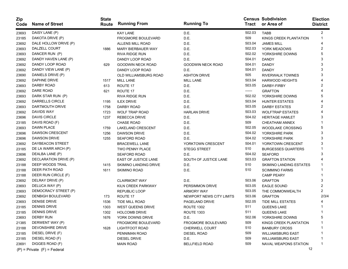| <b>Zip</b><br>Code | <b>Name of Street</b>           | <b>State</b><br>Route | <b>Running From</b>         | <b>Running To</b>        | Tract  | <b>Census Subdivision</b><br>or Area of | <b>Election</b><br><b>District</b> |
|--------------------|---------------------------------|-----------------------|-----------------------------|--------------------------|--------|-----------------------------------------|------------------------------------|
| 23693              | DAISY LANE (P)                  |                       | <b>KAY LANE</b>             | D.E.                     | 502.03 | TABB                                    | $\overline{2}$                     |
| 23185              | DAKOTA DRIVE (P)                |                       | <b>FROGMORE BOULEVARD</b>   | D.E.                     | 509    | KINGS CREEK PLANTATION                  |                                    |
| 23692              | DALE HOLLOW DRIVE (P)           |                       | ALLENS MILL ROAD            | D.E.                     | 503.04 | <b>JAMES MILL</b>                       |                                    |
| 23693              | DALZELL COURT                   | 1886                  | <b>MARY BIERBAUER WAY</b>   | D.E.                     | 502.03 | YORK MEADOWS                            | 2                                  |
| 23693              | DANCER RUN (P)                  |                       | <b>RIVA RIDGE RUN</b>       | D.E.                     | 502.02 | YORKSHIRE DOWNS                         | 5                                  |
| 23692              | DANDY HAVEN LANE (P)            |                       | DANDY LOOP ROAD             | D.E.                     | 504.01 | <b>DANDY</b>                            | 3                                  |
| 23692              | DANDY LOOP ROAD                 | 629                   | GOODWIN NECK ROAD           | <b>GOODWIN NECK ROAD</b> | 504.01 | <b>DANDY</b>                            | 3                                  |
| 23692              | DANDY VIEW LANE (P)             |                       | DANDY LOOP ROAD             | D.E.                     | 504.01 | <b>DANDY</b>                            | 3                                  |
| 23690              | DANIELS DRIVE (P)               |                       | OLD WILLIAMSBURG ROAD       | <b>ASHTON DRIVE</b>      | 505    | <b>RIVERWALK TOWNES</b>                 | 3                                  |
| 23692              | DAPHNE DRIVE                    | 1517                  | <b>MILL LANE</b>            | <b>MILL LANE</b>         | 503.04 | <b>HARWOOD HEIGHTS</b>                  |                                    |
| 23693              | DARBY ROAD                      | 613                   | ROUTE 17                    | D.E.                     | 503.05 | DARBY-FIRBY                             | 2                                  |
| 23692              | DARE ROAD                       | 621                   | ROUTE 17                    | D.E.                     | ------ | <b>GRAFTON</b>                          |                                    |
| 23693              | DARK STAR RUN (P)               |                       | <b>RIVA RIDGE RUN</b>       | D.E.                     | 502.02 | YORKSHIRE DOWNS                         |                                    |
| 23692              | DARRELLS CIRCLE                 | 1195                  | <b>ILEX DRIVE</b>           | D.E.                     | 503.04 | <b>HUNTER ESTATES</b>                   |                                    |
| 23693              | DARTMOUTH DRIVE                 | 1758                  | <b>DARBY ROAD</b>           | D.E.                     | 503.05 | DARBY ESTATES                           | 2                                  |
| 23692              | <b>DAVIDS WAY</b>               | 1723                  | <b>WOLF TRAP ROAD</b>       | <b>HARLAN DRIVE</b>      | 503.03 | <b>WOLFTRAP ESTATES</b>                 |                                    |
| 23696              | <b>DAVIS CIRCLE</b>             | 1237                  | <b>REBECCA DRIVE</b>        | D.E.                     | 504.02 | <b>HERITAGE HAMLET</b>                  | 3                                  |
| 23185              | DAVIS ROAD (F)                  |                       | <b>CHASE ROAD</b>           | D.E.                     | 509    | <b>CHEATHAM ANNEX</b>                   |                                    |
| 23693              | DAWN PLACE                      | 1759                  | <b>LAKELAND CRESCENT</b>    | D.E.                     | 502.05 | <b>WOODLAKE CROSSING</b>                | 5                                  |
| 23696              | <b>DAWSON CRESCENT</b>          | 1256                  | <b>DAWSON DRIVE</b>         | D.E.                     | 504.02 | YORKSHIRE PARK                          | 3                                  |
| 23696              | <b>DAWSON DRIVE</b>             | 1255                  | <b>SEAFORD ROAD</b>         | D.E.                     | 504.02 | YORKSHIRE PARK                          | 3                                  |
| 23692              | DAYBEACON STREET                |                       | <b>BRACEWELL LANE</b>       | YORKTOWN CRESCENT        | 504.01 | YORKTOWN CRESCENT                       | 3                                  |
| 23185              | DE LA WARR ARCH (P)             |                       | <b>TWO PENNY PLACE</b>      | <b>STEGG STREET</b>      | 510    | <b>BURGESSES QUARTERS</b>               |                                    |
| 23696              | DEALBA LANE (P)                 |                       | <b>SEAFORD ROAD</b>         | D.E.                     | 504.02 | <b>SEAFORD</b>                          | 3                                  |
| 23692              | DECLARATION DRIVE (P)           |                       | <b>EAST OF JUSTICE LANE</b> | SOUTH OF JUSTICE LANE    | 503.03 | <b>GRAFTON STATION</b>                  |                                    |
| 23188              | DEEP WOODS TRAIL                | 1415                  | SKIMINO LANDING DRIVE       | D.E.                     | 510    | SKIMINO LANDING ESTATES                 |                                    |
| 23188              | DEER PATH ROAD                  | 1611                  | <b>SKIMINO ROAD</b>         | D.E.                     | 510    | <b>SCIMMINO FARMS</b>                   |                                    |
| 23188              | DEER RUN CIRCLE (F)             |                       |                             |                          |        | <b>CAMP PEARY</b>                       |                                    |
| 23692              | DELRAY DRIVE (P)                |                       | <b>CLAIRMONT WAY</b>        | D.E.                     | 503.06 | <b>GRAFTON</b>                          | 3                                  |
| 23693              | DELUCA WAY (P)                  |                       | KILN CREEK PARKWAY          | PERSIMMON DRIVE          | 503.05 | <b>EAGLE SOUND</b>                      | 2                                  |
| 23693              | DEMOCRACY STREET (P)            |                       | <b>REPUBLIC LOOP</b>        | ARMORY WAY               | 503.05 | THE COMMONWEALTH                        | 2                                  |
| 23692              | <b>DENBIGH BOULEVARD</b>        | 173                   | ROUTE 17                    | NEWPORT NEWS CITY LIMITS | 503.06 | <b>GRAFTON</b>                          | 2/3/4                              |
| 23693              | <b>DENISE DRIVE</b>             | 1536                  | <b>TIDE MILL ROAD</b>       | PAGELAND DRIVE           | 502.05 | <b>TIDE MILL ESTATES</b>                |                                    |
| 23185              | <b>DENNIS DRIVE</b>             | 1303                  | <b>WEST QUEENS DRIVE</b>    | <b>ROUTE 1302</b>        | 511    | <b>QUEENS LAKE</b>                      |                                    |
| 23185              | <b>DENNIS DRIVE</b>             | 1302                  | <b>HOLCOMB DRIVE</b>        | <b>ROUTE 1303</b>        | 511    | <b>QUEENS LAKE</b>                      |                                    |
| 23693              | <b>DERBY RUN</b>                | 1676                  | YORK DOWNS DRIVE            | D.E.                     | 502.06 | YORKSHIRE DOWNS                         | 5                                  |
| 21385              | DERWENT WAY (P)                 |                       | FROGMORE BOULEVARD          | FROGMORE BOULEVARD       | 509    | KINGS CREEK PLANTATION                  |                                    |
| 23188              | DEVONSHIRE DRIVE                | 1628                  | <b>LIGHTFOOT ROAD</b>       | <b>CHERWELL COURT</b>    | 510    | <b>BANBURY CROSS</b>                    |                                    |
| 23185              | DIESEL DRIVE (F)                |                       | PENNIMAN ROAD               | <b>DIESEL ROAD</b>       | 509    | <b>WILLIAMSBURG EAST</b>                |                                    |
| 23185              | DIESEL ROAD (F)                 |                       | <b>DIESEL DRIVE</b>         | D.E.                     | 509    | <b>WILLIAMSBURG EAST</b>                |                                    |
| 23691              | DIGGES ROAD (F)                 |                       | <b>MAIN ROAD</b>            | <b>BELLFIELD ROAD</b>    | 509    | NAVAL WEAPONS STATION                   |                                    |
|                    | $(P)$ = Private $(F)$ = Federal |                       |                             |                          |        |                                         | 12                                 |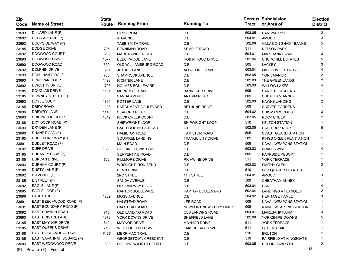| Zip<br>Code | <b>Name of Street</b>           | <b>State</b><br>Route | <b>Running From</b>         | <b>Running To</b>        | Tract  | <b>Census Subdivision</b><br>or Area of | <b>Election</b><br><b>District</b> |
|-------------|---------------------------------|-----------------------|-----------------------------|--------------------------|--------|-----------------------------------------|------------------------------------|
| 23693       | DILLARD LANE (P)                |                       | <b>FIRBY ROAD</b>           | D.E.                     | 503.05 | DARBY-FIRBY                             | $\overline{2}$                     |
| 23692       | DOCK AVENUE (P)                 |                       | A AVENUE                    | D.E.                     | 504.01 | <b>AMOCO</b>                            | 3                                  |
| 23693       | DOCKSIDE WAY (P)                |                       | <b>TABB SMITH TRAIL</b>     | D.E.                     | 502.06 | <b>VILLAS ON SHADY BANKS</b>            | 5                                  |
| 23185       | DODGE DRIVE                     | 725                   | PENNIMAN ROAD               | <b>SEMPLE ROAD</b>       | 511    | <b>NELSON PARK</b>                      |                                    |
| 23692       | DOGWOOD COURT                   | 1202                  | MARL RAVINE ROAD            | D.E.                     | 504.01 | <b>MARLBANK FARM</b>                    | 3                                  |
| 23693       | DOGWOOD DRIVE                   | 1577                  | BEECHWOOD LANE              | ROBIN HOOD DRIVE         | 502.06 | <b>CHURCHILL ESTATES</b>                | 5                                  |
| 23690       | DOGWOOD ROAD                    | 659                   | OLD WILLIAMSBURG ROAD       | D.E.                     | 505    | <b>LACKEY</b>                           | 3                                  |
| 23692       | <b>DOLPHIN DRIVE</b>            | 1267                  | <b>JETHRO LANE</b>          | ALBACORE DRIVE           | 503.04 | <b>MILL COVE ESTATES</b>                |                                    |
| 23693       | DON JUAN CIRCLE                 | 756                   | <b>SHAMROCK AVENUE</b>      | D.E.                     | 503.05 | YORK MANOR                              | 2                                  |
| 23693       | DONOVAN COURT                   | 1493                  | <b>RICHTER LANE</b>         | D.E.                     | 502.03 | THE GREENLANDS                          | 2                                  |
| 23692       | DOROTHY DRIVE                   | 1703                  | <b>HOLMES BOULEVARD</b>     | D.E.                     | 503.03 | <b>WILLOW LAKES</b>                     |                                    |
| 23185       | <b>DOUGLAS DRIVE</b>            | 1101                  | <b>MERRIMAC TRAIL</b>       | <b>BANNEKER DRIVE</b>    | 509    | <b>CARVER GARDENS</b>                   |                                    |
| 23185       | DOWNEY STREET (F)               |                       | SANDA AVENUE                | <b>ANTRIM ROAD</b>       | 509    | CHEATHAM ANNEX                          |                                    |
| 23693       | DOYLE COURT                     | 1894                  | POTTER LANE                 | D.E.                     | 502.03 | <b>HAWKS LANDING</b>                    | 2                                  |
| 23185       | DREW ROAD                       | 1108                  | PARCHMENT BOULEVARD         | <b>BETHUNE DRIVE</b>     | 509    | <b>CARVER GARDENS</b>                   |                                    |
| 23696       | DREWRY LANE                     | 1140                  | <b>SEAFORD ROAD</b>         | D.E.                     | 504.02 | <b>CHISMAN WOODS</b>                    | 3                                  |
| 23693       | DRIFTWOOD COURT                 | 1819                  | ROCK CREEK COURT            | D.E.                     | 503.05 | <b>ROCK CREEK</b>                       | 2                                  |
| 23188       | DRY DOCK ROAD (P)               |                       | SHIPWRIGHT LOOP             | <b>SHIPWRIGHT LOOP</b>   | 510    | <b>KELTON STATION</b>                   |                                    |
| 23693       | DRYDEN LANE (P)                 |                       | <b>CALTHROP NECK ROAD</b>   | D.E.                     | 502.05 | <b>CALTHROP NECK</b>                    | 5                                  |
| 23690       | DUANE ROAD (F)                  |                       | <b>HAMILTON ROAD</b>        | <b>HAMILTON ROAD</b>     | 505    | <b>COAST GUARD STATION</b>              |                                    |
| 23185       | DUCK BLIND WAY (P)              |                       | SQUIRREL LANDING            | <b>TRANQUILITY DRIVE</b> | 509    | KINGS CREEK PLANTATION                  |                                    |
| 23691       | DUDLEY ROAD (F)                 |                       | <b>MAIN ROAD</b>            | D.E.                     | 509    | NAVAL WEAPONS STATION                   |                                    |
| 23692       | <b>DUFF DRIVE</b>               | 1556                  | <b>FIELDING LEWIS DRIVE</b> | D.E.                     | 503.03 | <b>BRANDYWINE</b>                       |                                    |
| 23185       | DUHANEY PARK (P)                |                       | <b>SERPENTINE ROAD</b>      | D.E.                     | 509    | PARKSIDE RESORT                         |                                    |
| 23185       | DUNCAN DRIVE                    | 722                   | <b>FILLMORE DRIVE</b>       | <b>RICHWINE DRIVE</b>    | 511    | YORK TERRACE                            |                                    |
| 23693       | DURHAM COURT (P)                |                       | <b>WROUGHT IRON BEND</b>    | D.E.                     | 502.03 | <b>SMITHY GLEN</b>                      | 2                                  |
| 23188       | DUSTY LANE (P)                  |                       | PENN DRIVE                  | D.E.                     | 510    | <b>OLD QUAKER ESTATES</b>               |                                    |
| 23692       | $E$ AVENUE (P)                  |                       | 2ND STREET                  | <b>4TH STREET</b>        | 504.01 | <b>AMOCO</b>                            | 3                                  |
| 23185       | E STREET (F)                    |                       | SANDA AVENUE                | D.E.                     | 509    | CHEATHAM ANNEX                          |                                    |
| 23692       | EAGLE LANE (P)                  |                       | OLD RAILWAY ROAD            | D.E.                     | 503.04 | <b>DARE</b>                             |                                    |
| 23665       | EAGLE LOOP (F)                  |                       | RAPTOR BOULEVARD            | <b>RAPTOR BOULEVARD</b>  | 502.04 | <b>LANDINGS AT LANGLEY</b>              | 2                                  |
| 23696       | <b>EARL STREET</b>              | 1239                  | <b>MOSS AVENUE</b>          | D.E.                     | 504.02 | <b>HERITAGE HAMLET</b>                  | 3                                  |
| 23691       | EAST BEECHWOOD ROAD (F)         |                       | <b>HALSTEAD ROAD</b>        | <b>LEE ROAD</b>          | 509    | <b>NAVAL WEAPONS STATION</b>            |                                    |
| 23691       | EAST BOUNDARY ROAD (F)          |                       | <b>HALSTEAD ROAD</b>        | NEWPORT NEWS CITY LIMITS | 509    | <b>NAVAL WEAPONS STATION</b>            |                                    |
| 23692       | EAST BRANCH ROAD                | 715                   | OLD LANDING ROAD            | <b>OLD LANDING ROAD</b>  | 504.01 | MARLBANK FARM                           | 3                                  |
| 23693       | <b>EAST BRISTOL LANE</b>        | 1679                  | YORK DOWNS DRIVE            | SHEFFIELD LANE           | 502.06 | YORKSHIRE DOWNS                         | 5                                  |
| 23185       | <b>EAST MAYNOR DRIVE</b>        | 612                   | <b>MAYNOR DRIVE</b>         | <b>MAYNOR DRIVE</b>      | 511    | YORK TERRACE                            |                                    |
| 23185       | <b>EAST QUEENS DRIVE</b>        | 716                   | <b>WEST QUEENS DRIVE</b>    | LAKESHEAD DRIVE          | 511    | QUEENS LAKE                             |                                    |
| 23188       | <b>EAST ROCHAMBEAU DRIVE</b>    | F137                  | <b>MERRIMAC TRAIL</b>       | D.E.                     | 510    | <b>BRUTON</b>                           |                                    |
| 23185       | EAST SAVANNAH SQUARE (P)        |                       | <b>GEORGETOWN CRESCENT</b>  | D.E.                     | 510    | <b>FAIRFIELD AT KINGSGATE</b>           |                                    |
| 23693       | <b>EAST WEDGWOOD DRIVE</b>      | 1803                  | HOLLINGSWORTH COURT         | D.E.                     | 503.05 | <b>HOLLINGSWORTH</b>                    | 2                                  |
|             | $(P)$ = Private $(F)$ = Federal |                       |                             |                          |        |                                         | 13                                 |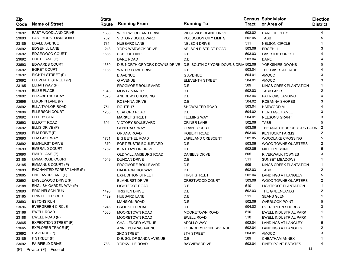| Zip<br>Code | <b>Name of Street</b>           | <b>State</b><br>Route | <b>Running From</b>                                                 | <b>Running To</b>        |        | <b>Census Subdivision</b><br>Tract or Area of | <b>Election</b><br><b>District</b> |
|-------------|---------------------------------|-----------------------|---------------------------------------------------------------------|--------------------------|--------|-----------------------------------------------|------------------------------------|
| 23692       | EAST WOODLAND DRIVE             | 1530                  | WEST WOODLAND DRIVE                                                 | WEST WOODLAND DRIVE      | 503.02 | <b>DARE HEIGHTS</b>                           | 4                                  |
| 23693       | <b>EAST YORKTOWN ROAD</b>       | 782                   | <b>VICTORY BOULEVARD</b>                                            | POQUOSON CITY LIMITS     | 502.05 | <b>TABB</b>                                   | 5                                  |
| 23185       | <b>EDALE AVENUE</b>             | 731                   | <b>HUBBARD LANE</b>                                                 | <b>NELSON DRIVE</b>      | 511    | <b>NELSON CIRCLE</b>                          |                                    |
| 23692       | <b>EDGEHILL LANE</b>            | 1213                  | YORK-WARWICK DRIVE                                                  | NELSON DISTRICT ROAD     | 503.06 | <b>EDGEHILL</b>                               | 3                                  |
| 23692       | EDGEWOOD COURT                  | 1586                  | <b>SCHOOL LANE</b>                                                  | D.E.                     | 503.03 | <b>LAKESIDE FOREST</b>                        |                                    |
| 23692       | EDITH LANE (P)                  |                       | DARE ROAD                                                           | D.E.                     | 503.04 | <b>DARE</b>                                   |                                    |
| 23693       | <b>EDWARDS COURT</b>            | 1689                  | D.E. NORTH OF YORK DOWNS DRIVE D.E. SOUTH OF YORK DOWNS DRIV 502.06 |                          |        | YORKSHIRE DOWNS                               | 5                                  |
| 23692       | <b>EGRET COURT</b>              | 1186                  | <b>WATER FOWL DRIVE</b>                                             | D.E.                     | 503.04 | THE LAKES AT DARE                             |                                    |
| 23692       | EIGHTH STREET (P)               |                       | <b>B AVENUE</b>                                                     | <b>G AVENUE</b>          | 504.01 | <b>AMOCO</b>                                  | 3                                  |
| 23692       | ELEVENTH STREET (P)             |                       | <b>G AVENUE</b>                                                     | <b>ELEVENTH STREET</b>   | 504.01 | <b>AMOCO</b>                                  |                                    |
| 23185       | ELIJAH WAY (P)                  |                       | <b>FROGMORE BOULEVARD</b>                                           | D.E.                     | 509    | KINGS CREEK PLANTATION                        |                                    |
| 23693       | <b>ELISE PLACE</b>              | 1845                  | <b>MONTY MANOR</b>                                                  | D.E.                     | 502.03 | <b>TABB LAKES</b>                             |                                    |
| 23692       | <b>ELIZABETHS QUAY</b>          | 1373                  | ANDREWS CROSSING                                                    | D.E.                     | 503.04 | <b>PATRICKS LANDING</b>                       |                                    |
| 23696       | ELKSNIN LANE (P)                |                       | <b>ROBANNA DRIVE</b>                                                | D.E.                     | 504.02 | ROBANNA SHORES                                | 3                                  |
| 23692       | ELLA TAYLOR ROAD                | 751                   | ROUTE 17                                                            | SHOWALTER ROAD           | 503.04 | <b>HARWOOD MILL</b>                           |                                    |
| 23696       | <b>ELLERSON COURT</b>           | 1238                  | <b>SEAFORD ROAD</b>                                                 | D.E.                     | 504.02 | <b>HERITAGE HAMLET</b>                        | 3                                  |
| 23692       | <b>ELLERY STREET</b>            |                       | <b>MARKET STREET</b>                                                | <b>FLEMING WAY</b>       | 504.01 | <b>NELSONS GRANT</b>                          |                                    |
| 23693       | ELLIOTT ROAD                    | 691                   | <b>VICTORY BOULEVARD</b>                                            | <b>CRINER LANE</b>       | 502.06 | <b>TABB</b>                                   |                                    |
| 23692       | ELLIS DRIVE (P)                 |                       | <b>GENERALS WAY</b>                                                 | <b>GRANT COURT</b>       | 503.06 | THE QUARTERS OF YORK COUN                     | 2                                  |
| 23693       | ELM DRIVE (P)                   |                       | ORIANA ROAD                                                         | ROBERT ROAD              | 503.06 | <b>KENTUCKY FARMS</b>                         |                                    |
| 23693       | <b>ELM LAKE WAY</b>             | 1761                  | <b>BIG BETHEL ROAD</b>                                              | <b>LAKELAND CRESCENT</b> | 502.05 | <b>WOODLAKE CROSSING</b>                      | 5                                  |
| 23692       | <b>ELMHURST DRIVE</b>           | 1370                  | <b>FORT EUSTIS BOULEVARD</b>                                        | D.E.                     | 503.06 | WOOD TOWNE QUARTERS                           | 2                                  |
| 23693       | <b>EMERALD COURT</b>            | 1752                  | <b>KENT TAYLOR DRIVE</b>                                            | D.E.                     | 502.05 | <b>MILL CROSSING</b>                          |                                    |
| 23690       | EMILY LANE (P)                  |                       | OLD WILLIAMSBURG ROAD                                               | DANIELS DRIVE            | 505    | <b>RIVERWALK TOWNES</b>                       |                                    |
| 23185       | <b>EMMA ROSE COURT</b>          | 1049                  | <b>DUNCAN DRIVE</b>                                                 | D.E.                     | 511    | <b>SUNSET MEADOWS</b>                         |                                    |
| 23185       | <b>EMMANUS COURT (P)</b>        |                       | <b>FROGMORE BOULEVARD</b>                                           | D.E.                     | 509    | KINGS CREEK PLANTATION                        |                                    |
| 23693       | ENCHANTED FOREST LANE (P)       |                       | <b>HAMPTON HIGHWAY</b>                                              | D.E.                     | 502.03 | <b>TABB</b>                                   | 2                                  |
| 23665       | ENDEAVOR LANE (F)               |                       | <b>EXPEDITION STREET</b>                                            | <b>FIRST STREET</b>      | 502.04 | <b>LANDINGS AT LANGLEY</b>                    | 5                                  |
| 23692       | ENGLEWOOD DRIVE (P)             |                       | <b>ELMHURST DRIVE</b>                                               | <b>CRESTWOOD COURT</b>   | 503.06 | WOOD TOWNE QUARTERS                           | 2                                  |
| 23188       | ENGLISH GARDEN WAY (P)          |                       | <b>LIGHTFOOT ROAD</b>                                               | D.E.                     | 510    | LIGHTFOOT PLANTATION                          |                                    |
| 23693       | ERIC NELSON RUN                 | 1496                  | <b>TRISTEN DRIVE</b>                                                | D.E.                     | 502.03 | THE GREENLANDS                                | 2                                  |
| 23185       | <b>ERIN LEIGH COURT</b>         | 1429                  | HUBBARD LANE                                                        | D.E.                     | 511    | <b>SEANS GLEN</b>                             |                                    |
| 23693       | <b>ESTONS RUN</b>               |                       | <b>MANSION ROAD</b>                                                 | D.E.                     | 502.06 | <b>OVERLOOK POINT</b>                         |                                    |
| 23696       | <b>EVERGREEN CIRCLE</b>         | 1245                  | <b>CROCKETT ROAD</b>                                                | D.E.                     | 504.02 | <b>EVERGREEN SHORES</b>                       |                                    |
| 23188       | <b>EWELL ROAD</b>               | 1030                  | <b>MOORETOWN ROAD</b>                                               | MOORETOWN ROAD           | 510    | EWELL INDUSTRIAL PARK                         |                                    |
| 23188       | EWELL ROAD (P)                  |                       | <b>MOORETOWN ROAD</b>                                               | EWELL ROAD               | 510    | EWELL INDUSTRIAL PARK                         | -1                                 |
| 23665       | <b>EXPEDITION STREET (F)</b>    |                       | <b>CHALLENGER AVENUE</b>                                            | APOLLO WAY               | 502.04 | LANDINGS AT LANGLEY                           | 5                                  |
| 23665       | EXPLORER TRACE (F)              |                       | ANNE BURRAS AVENUE                                                  | FOUNDERS POINT AVENUE    | 502.04 | LANDINGS AT LANGLEY                           |                                    |
| 23692       | F AVENUE (P)                    |                       | 2ND STREET                                                          | 8TH STREET               | 504.01 | AMOCO                                         |                                    |
| 23185       | F STREET (F)                    |                       | D.E. SO. OF SANDA AVENUE                                            | D.E.                     | 509    | CHEATHAM ANNEX                                |                                    |
| 23692       | <b>FAIRFIELD DRIVE</b>          | 783                   | YORKVILLE ROAD                                                      | <b>BAYVIEW DRIVE</b>     | 503.04 | PINEY POINT ESTATES                           |                                    |
|             | $(P)$ = Private $(F)$ = Federal |                       |                                                                     |                          |        | 14                                            |                                    |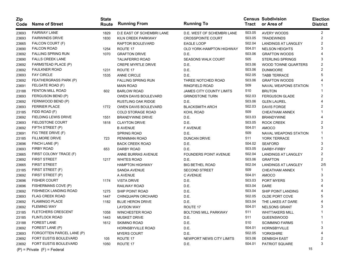| Zip<br>Code | <b>Name of Street</b>           | <b>State</b><br>Route | <b>Running From</b>       | <b>Running To</b>               | Tract  | <b>Census Subdivision</b><br>or Area of | <b>Election</b><br><b>District</b> |
|-------------|---------------------------------|-----------------------|---------------------------|---------------------------------|--------|-----------------------------------------|------------------------------------|
| 23693       | <b>FAIRWAY LANE</b>             | 1829                  | D.E EAST OF SCHEMBRI LANE | D.E. WEST OF SCHEMBRI LANE      | 503.05 | <b>AVERY WOODS</b>                      | 2                                  |
| 23693       | <b>FAIRWINDS DRIVE</b>          | 1830                  | KILN CREEK PARKWAY        | <b>CROSSPOINTE COURT</b>        | 503.05 | <b>TRADEWINDS</b>                       | 2                                  |
| 23665       | FALCON COURT (F)                |                       | <b>RAPTOR BOULEVARD</b>   | <b>EAGLE LOOP</b>               | 502.04 | <b>LANDINGS AT LANGLEY</b>              | 2                                  |
| 23690       | <b>FALCON ROAD</b>              | 1254                  | ROUTE 17                  | OLD YORK-HAMPTON HIGHWAY        | 504.01 | <b>NELSON HEIGHTS</b>                   |                                    |
| 23692       | <b>FALLING SPRING RUN</b>       | 1070                  | <b>GRAFTON DRIVE</b>      | D.E.                            | 503.06 | <b>GRAFTON WOODS</b>                    |                                    |
| 23690       | <b>FALLS CREEK LANE</b>         |                       | <b>TALIAFERRO ROAD</b>    | SEASONS WALK COURT              | 505    | <b>STERLING SPRINGS</b>                 | 3                                  |
| 23692       | FARMSTEAD PLACE (P)             |                       | <b>CREPE MYRTLE DRIVE</b> | D.E.                            | 503.06 | WOOD TOWNE QUARTERS                     | 2                                  |
| 23692       | <b>FAULKNER ROAD</b>            | 1231                  | ROUTE 17                  | D.E.                            | 503.06 | <b>DUNMOORE</b>                         | 2                                  |
| 23693       | <b>FAY CIRCLE</b>               | 1535                  | <b>ANNE CIRCLE</b>        | D.E.                            | 502.05 | <b>TABB TERRACE</b>                     | 5                                  |
| 23692       | FEATHERGRASS PARK (P)           |                       | <b>FALLING SPRING RUN</b> | THREE NOTCHED ROAD              | 503.06 | <b>GRAFTON WOODS</b>                    |                                    |
| 23691       | FELGATE ROAD (F)                |                       | <b>MAIN ROAD</b>          | RINGFIELD ROAD                  | 509    | NAVAL WEAPONS STATION                   |                                    |
| 23188       | <b>FENTON MILL ROAD</b>         | 602                   | <b>BARLOW ROAD</b>        | <b>JAMES CITY COUNTY LIMITS</b> | 510    | <b>BRUTON</b>                           |                                    |
| 23693       | FERGUSON BEND (P)               |                       | OWEN DAVIS BOULEVARD      | <b>GRINDSTONE TURN</b>          | 502.03 | <b>FERGUSON GLADE</b>                   | 2                                  |
| 23692       | FERNWOOD BEND (P)               |                       | RUSTLING OAK RIDGE        | D.E.                            | 503.06 | <b>GLEN LAUREL</b>                      |                                    |
| 23693       | <b>FERRIER PLACE</b>            | 1772                  | OWEN DAVIS BOULEVARD      | <b>BLACKSMITH ARCH</b>          | 502.03 | <b>DAVIS FORGE</b>                      | 2                                  |
| 23185       | FIDD ROAD (F)                   |                       | <b>COLD STORAGE ROAD</b>  | <b>KOHL ROAD</b>                | 509    | <b>CHEATHAM ANNEX</b>                   |                                    |
| 23692       | <b>FIELDING LEWIS DRIVE</b>     | 1551                  | <b>BRANDYWINE DRIVE</b>   | D.E.                            | 503.03 | <b>BRANDYWINE</b>                       |                                    |
| 23693       | FIELDSTONE COURT                | 1818                  | <b>CLAYTON DRIVE</b>      | D.E.                            | 503.05 | <b>ROCK CREEK</b>                       | 2                                  |
| 23692       | FIFTH STREET (P)                |                       | <b>B AVENUE</b>           | <b>F AVENUE</b>                 | 504.01 | <b>AMOCO</b>                            | 3                                  |
| 23691       | FIG TREE DRIVE (F)              |                       | <b>SPRING ROAD</b>        | D.E.                            | 509    | NAVAL WEAPONS STATION                   |                                    |
| 23185       | <b>FILLMORE DRIVE</b>           | 723                   | PENNIMAN ROAD             | <b>DUNCAN DRIVE</b>             | 511    | YORK TERRACE                            |                                    |
| 23696       | FINCH LANE (P)                  |                       | BACK CREEK ROAD           | D.E.                            | 504.02 | <b>SEAFORD</b>                          | 3                                  |
| 23693       | <b>FIRBY ROAD</b>               | 653                   | DARBY ROAD                | D.E.                            | 503.05 | DARBY-FIRBY                             | 2                                  |
| 23665       | FIRST COLONY TRACE (F)          |                       | ANNE BURRAS AVENUE        | <b>FOUNDERS POINT AVENUE</b>    | 502.04 | <b>LANDINGS AT LANGLEY</b>              | 2                                  |
| 23692       | <b>FIRST STREET</b>             | 1217                  | <b>WHITES ROAD</b>        | D.E.                            | 503.06 | <b>GRAFTON</b>                          | 2                                  |
| 23665       | <b>FIRST STREET</b>             |                       | <b>HAMPTON HIGHWAY</b>    | <b>BIG BETHEL ROAD</b>          | 502.04 | <b>LANDINGS AT LANGLEY</b>              | 2/5                                |
| 23185       | FIRST STREET (F)                |                       | SANDA AVENUE              | <b>SECOND STREET</b>            | 509    | CHEATHAM ANNEX                          |                                    |
| 23692       | FIRST STREET (P)                |                       | A AVENUE                  | C AVENUE                        | 504.01 | <b>AMOCO</b>                            | 3                                  |
| 23696       | <b>FISHER COURT</b>             | 1174                  | <b>VISTA DRIVE</b>        | D.E.                            | 503.03 | PORT MYERS                              |                                    |
| 23696       | FISHERMANS COVE (P)             |                       | RAILWAY ROAD              | D.E.                            | 503.04 | <b>DARE</b>                             |                                    |
| 23692       | FISHNECK LANDING ROAD           | 1275                  | SHIP POINT ROAD           | D.E.                            | 503.04 | SHIP POINT LANDING                      |                                    |
| 23693       | <b>FLAG CREEK ROAD</b>          | 1447                  | CHINQUAPIN ORCHARD        | D.E.                            | 502.05 | OLDE PORT COVE                          | 5                                  |
| 23692       | <b>FLAMINGO PLACE</b>           | 1182                  | <b>BLUE HERON DRIVE</b>   | D.E.                            | 503.04 | THE LAKES AT DARE                       |                                    |
| 23692       | <b>FLEMING WAY</b>              |                       | <b>LAYDON WAY</b>         | ROUTE 17                        | 504.01 | <b>NELSONS GRANT</b>                    | 3                                  |
| 23185       | <b>FLETCHERS CRESCENT</b>       | 1058                  | WINCHESTER ROAD           | <b>BOLTONS MILL PARKWAY</b>     | 511    | <b>WHITTAKERS MILL</b>                  |                                    |
| 23185       | <b>FLINTLOCK ROAD</b>           | 1443                  | <b>MUSKET DRIVE</b>       | D.E.                            | 511    | QUEENSWOOD                              |                                    |
| 23188       | <b>FOREST LANE</b>              | 1612                  | <b>SKIMINO ROAD</b>       | D.E.                            | 510    | <b>SCIMMINO FARMS</b>                   |                                    |
| 23692       | FOREST LANE (P)                 |                       | HORNSBYVILLE ROAD         | D.E.                            | 504.01 | <b>HORNSBYVILLE</b>                     |                                    |
| 23693       | FORGOTTEN PARCEL LANE (P)       |                       | <b>MYERS COURT</b>        | D.E.                            | 502.05 | <b>YORKSHIRE</b>                        |                                    |
| 23692       | FORT EUSTIS BOULEVARD           | 105                   | ROUTE 17                  | NEWPORT NEWS CITY LIMITS        | 503.06 | <b>DENBIGH EAST</b>                     |                                    |
| 23692       | FORT EUSTIS BOULEVARD           | 1050                  | ROUTE 17                  | D.E.                            | 504.01 | PATRIOT SQUARE                          |                                    |
|             | $(P)$ = Private $(F)$ = Federal |                       |                           |                                 |        |                                         | 15                                 |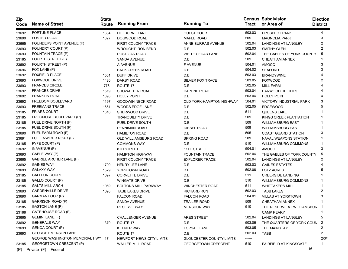| Zip<br>Code | <b>Name of Street</b>             | <b>State</b><br>Route | <b>Running From</b>          | <b>Running To</b>               |        | <b>Census Subdivision</b><br>Tract or Area of | <b>Election</b><br><b>District</b> |
|-------------|-----------------------------------|-----------------------|------------------------------|---------------------------------|--------|-----------------------------------------------|------------------------------------|
| 23692       | <b>FORTUNE PLACE</b>              | 1634                  | <b>HILLBURNE LANE</b>        | <b>QUEST COURT</b>              | 503.03 | PROSPECT PARK                                 | 4                                  |
| 23690       | <b>FOSTER ROAD</b>                | 1027                  | DOGWOOD ROAD                 | <b>MAPLE ROAD</b>               | 505    | <b>MAGNOLIA PARK</b>                          | 3                                  |
| 23665       | FOUNDERS POINT AVENUE (F)         |                       | <b>FIRST COLONY TRACE</b>    | ANNE BURRAS AVENUE              | 502.04 | <b>LANDINGS AT LANGLEY</b>                    | 2                                  |
| 23693       | FOUNDRY COURT (P)                 |                       | <b>WROUGHT IRON BEND</b>     | D.E.                            | 502.03 | <b>SMITHY GLEN</b>                            |                                    |
| 23693       | FOUNTAIN TRACE (P)                |                       | POST OAK ROAD                | WHITE CEDAR LANE                | 502.04 | THE GABLES OF YORK COUNTY                     | 5                                  |
| 23185       | FOURTH STREET (F)                 |                       | SANDA AVENUE                 | D.E.                            | 509    | <b>CHEATHAM ANNEX</b>                         |                                    |
| 23692       | FOURTH STREET (P)                 |                       | A AVENUE                     | <b>F AVENUE</b>                 | 504.01 | <b>AMOCO</b>                                  | 3                                  |
| 23696       | FOX LANE (P)                      |                       | <b>BACK CREEK ROAD</b>       | D.E.                            | 504.02 | <b>SEAFORD</b>                                | 3                                  |
| 23692       | <b>FOXFIELD PLACE</b>             | 1561                  | <b>DUFF DRIVE</b>            | D.E.                            | 503.03 | <b>BRANDYWINE</b>                             |                                    |
| 23693       | FOXWOOD DRIVE                     | 1480                  | DARBY ROAD                   | SILVER FOX TRACE                | 503.05 | <b>FOXWOOD</b>                                | 2                                  |
| 23693       | <b>FRANCES CIRCLE</b>             | 776                   | ROUTE 17                     | D.E.                            | 502.05 | <b>MILL FARM</b>                              |                                    |
| 23692       | <b>FRANCES DRIVE</b>              | 1519                  | SHOWALTER ROAD               | <b>DAPHNE ROAD</b>              | 503.04 | <b>HARWOOD HEIGHTS</b>                        |                                    |
| 23692       | <b>FRANKLIN ROAD</b>              | 1098                  | <b>HOLLY POINT</b>           | D.E.                            | 503.04 | <b>HOLLY POINT</b>                            |                                    |
| 23692       | FREEDOM BOULEVARD                 | 1197                  | GOODWIN NECK ROAD            | OLD YORK-HAMPTON HIGHWAY        | 504.01 | VICTORY INDUSTRIAL PARK                       | 3                                  |
| 23693       | <b>FREEMANS TRACE</b>             | 1661                  | WOODS EDGE LANE              | D.E.                            | 502.05 | <b>EDGEWOOD</b>                               | 5                                  |
| 23185       | <b>FRIARS COURT</b>               | 1316                  | SHERWOOD DRIVE               | D.E.                            | 511    | QUEENS LAKE                                   |                                    |
| 23185       | FROGMORE BOULEVARD (P)            |                       | <b>TRANQUILITY DRIVE</b>     | D.E.                            | 509    | KINGS CREEK PLANTATION                        |                                    |
| 23185       | FUEL DRIVE NORTH (F)              |                       | FUEL DRIVE SOUTH             | D.E.                            | 509    | <b>WILLIAMSBURG EAST</b>                      |                                    |
| 23185       | FUEL DRIVE SOUTH (F)              |                       | PENNIMAN ROAD                | DIESEL ROAD                     | 509    | <b>WILLIAMSBURG EAST</b>                      |                                    |
| 23690       | FUEL FARM ROAD (F)                |                       | <b>HAMILTON ROAD</b>         | D.E.                            | 505    | <b>COAST GUARD STATION</b>                    | 3                                  |
| 23691       | FULLENWIDER ROAD (F)              |                       | <b>OLD WILLIAMSBURG ROAD</b> | SPRING ROAD                     | 509    | NAVAL WEAPONS STATION                         |                                    |
| 23185       | FYFE COURT (P)                    |                       | <b>COMMONS WAY</b>           | D.E.                            | 510    | WILLIAMSBURG COMMONS                          |                                    |
| 23692       | G AVENUE (P)                      |                       | 8TH STREET                   | 11TH STREET                     | 504.01 | <b>AMOCO</b>                                  | 3                                  |
| 23693       | GABLE WAY (P)                     |                       | <b>HAMPTON HIGHWAY</b>       | <b>FOUNTAIN TRACE</b>           | 502.04 | THE GABLES OF YORK COUNTY                     | 5                                  |
| 23665       | GABRIEL ARCHER LANE (F)           |                       | FIRST COLONY TRACE           | <b>EXPLORER TRACE</b>           | 502.04 | <b>LANDINGS AT LANGLEY</b>                    |                                    |
| 23692       | <b>GAINES WAY</b>                 | 1790                  | HENRY LEE LANE               | D.E.                            | 503.03 | <b>GAINES ESTATES</b>                         |                                    |
| 23693       | <b>GALAXY WAY</b>                 | 1579                  | YORKTOWN ROAD                | D.E.                            | 502.06 | LOTZ ACRES                                    | 5                                  |
| 23185       | <b>GALLEON COURT</b>              | 1397                  | <b>CORVETTE DRIVE</b>        | D.E.                            | 511    | <b>CREEKSIDE LANDING</b>                      |                                    |
| 23185       | GALLO COURT (P)                   |                       | <b>WINGATE DRIVE</b>         | D.E.                            | 510    | <b>WILLIAMSBURG COMMONS</b>                   |                                    |
| 23185       | <b>GALTS MILL ARCH</b>            | 1059                  | <b>BOLTONS MILL PARKWAY</b>  | <b>WINCHESTER ROAD</b>          | 511    | <b>WHITTAKERS MILL</b>                        |                                    |
| 23693       | <b>GARDENVILLE DRIVE</b>          | 1698                  | <b>TABB LAKES DRIVE</b>      | <b>RICHARD RUN</b>              | 502.03 | <b>TABB LAKES</b>                             |                                    |
| 23690       | GARMAN LOOP (P)                   |                       | <b>FALCON ROAD</b>           | <b>FALCON ROAD</b>              | 504.01 | <b>VILLAS AT YORKTOWN</b>                     |                                    |
| 23185       | <b>GARRISON ROAD (F)</b>          |                       | SANDA AVENUE                 | <b>TRAILER ROAD</b>             | 509    | <b>CHEATHAM ANNEX</b>                         |                                    |
| 23185       | GASTON LANE (P)                   |                       | <b>RESERVE WAY</b>           | <b>MERSHON WAY</b>              | 510    | THE RESERVE AT WILLIAMSBUR                    |                                    |
| 23188       | GATEHOUSE ROAD (F)                |                       |                              |                                 |        | CAMP PEARY                                    |                                    |
| 23665       | GEMINI LANE (F)                   |                       | CHALLENGER AVENUE            | ARES STREET                     | 502.04 | LANDINGS AT LANGLEY                           | 5                                  |
| 23692       | <b>GENERALS WAY</b>               | 1379                  | ROUTE 17                     | D.E.                            | 503.06 | THE QUARTERS OF YORK COUN 2                   |                                    |
| 23693       | GENOA COURT (P)                   |                       | <b>KEENER WAY</b>            | <b>TOPSAIL LANE</b>             | 503.05 | THE MAINSTAY                                  | 2                                  |
| 23693       | <b>GEORGE EMERSON LANE</b>        |                       | ROUTE 17                     | D.E.                            | 502.03 | TABB                                          | 2                                  |
| -----       | GEORGE WASHINGTON MEMORIAL HWY 17 |                       | NEWPORT NEWS CITY LIMITS     | <b>GLOUCESTER COUNTY LIMITS</b> | ------ |                                               | 2/3/4                              |
| 23185       | GEORGETOWN CRESCENT (P)           |                       | WALLER MILL ROAD             | <b>GEORGETOWN CRESCENT</b>      | 510    | <b>FAIRFIELD AT KINGSGATE</b>                 |                                    |
|             | $(P)$ = Private $(F)$ = Federal   |                       |                              |                                 |        | 16                                            |                                    |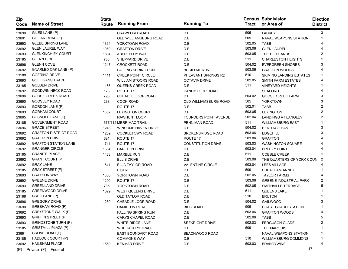| Zip<br>Code | <b>Name of Street</b>           | <b>State</b><br>Route | <b>Running From</b>        | <b>Running To</b>            | Tract  | <b>Census Subdivision</b><br>or Area of | <b>Election</b><br><b>District</b> |
|-------------|---------------------------------|-----------------------|----------------------------|------------------------------|--------|-----------------------------------------|------------------------------------|
| 23690       | GILES LANE (P)                  |                       | <b>CRAWFORD ROAD</b>       | D.E.                         | 505    | LACKEY                                  | 3                                  |
| 23691       | GILLIAN ROAD (F)                |                       | OLD WILLIAMSBURG ROAD      | D.E.                         | 509    | NAVAL WEAPONS STATION                   |                                    |
| 23693       | <b>GLEBE SPRING LANE</b>        | 1364                  | YORKTOWN ROAD              | D.E.                         | 502.05 | <b>TABB</b>                             |                                    |
| 23692       | <b>GLEN LAUREL WAY</b>          | 1069                  | <b>GRAFTON DRIVE</b>       | D.E.                         | 503.06 | <b>GLEN LAUREL</b>                      |                                    |
| 23693       | <b>GLENKINCHIEY COURT</b>       | 1834                  | ABERFELDY WAY              | D.E.                         | 503.05 | THE HIGHLANDS                           | 2                                  |
| 23185       | <b>GLENN CIRCLE</b>             | 753                   | SHEPPARD DRIVE             | D.E.                         | 511    | <b>CHARLESTON HEIGHTS</b>               |                                    |
| 23696       | <b>GLENN COVE</b>               | 1247                  | <b>CROCKETT ROAD</b>       | D.E.                         | 504.02 | <b>EVERGREEN SHORES</b>                 | 3                                  |
| 23692       | GNARLED OAK LANE (P)            |                       | <b>FALLING SPRING RUN</b>  | <b>BUCKTAIL RUN</b>          | 503.06 | <b>GRAFTON WOODS</b>                    |                                    |
| 23188       | <b>GOERING DRIVE</b>            | 1411                  | <b>CREEK POINT CIRCLE</b>  | PHEASANT SPRINGS RD          | 510    | <b>SKIMINO LANDING ESTATES</b>          |                                    |
| 23693       | <b>GOFFIGANS TRACE</b>          |                       | WILLIAM STOORS ROAD        | <b>OCTAVIA DRIVE</b>         | 502.05 | SMITH FARM ESTATES                      |                                    |
| 23185       | <b>GOLDEN DRIVE</b>             | 1165                  | QUEENS CREEK ROAD          | D.E.                         | 511    | <b>VINEYARD HEIGHTS</b>                 |                                    |
| 23692       | <b>GOODWIN NECK ROAD</b>        | 173                   | ROUTE 17                   | DANDY LOOP ROAD              | ------ | <b>SEAFORD</b>                          |                                    |
| 23696       | <b>GOOSE CREEK ROAD</b>         | 793                   | CHEADLE LOOP ROAD          | D.E.                         | 504.02 | <b>GOOSE CREEK FARM</b>                 | 3                                  |
| 23690       | GOOSLEY ROAD                    | 238                   | <b>COOK ROAD</b>           | OLD WILLIAMSBURG ROAD        | 505    | <b>YORKTOWN</b>                         | 3                                  |
| 23693       | GORDON LANE (P)                 |                       | ROUTE 17                   | D.E.                         | 502.01 | <b>TABB</b>                             | 2                                  |
| 23693       | <b>GORHAM COURT</b>             | 1802                  | <b>LEXINGTON COURT</b>     | D.E.                         | 503.05 | <b>LEXINGTON</b>                        | 2                                  |
| 23665       | <b>GOSNOLD LANE (F)</b>         |                       | RAWHUNT LOOP               | <b>FOUNDERS POINT AVENUE</b> | 502.04 | <b>LANDINGS AT LANGLEY</b>              | 2                                  |
| 23185       | <b>GOVERNMENT ROAD</b>          |                       | 677/112 MERRIMAC TRAIL     | PENNIMAN ROAD                | 511    | <b>WILLIAMSBURG EAST</b>                |                                    |
| 23696       | <b>GRACE STREET</b>             | 1243                  | <b>WINSOME HAVEN DRIVE</b> | D.E.                         | 504.02 | <b>HERITAGE HAMLET</b>                  | 3                                  |
| 23692       | <b>GRAFTON DISTRICT ROAD</b>    | 1209                  | <b>COCKLETOWN ROAD</b>     | <b>BROKENBRIDGE ROAD</b>     | 503.06 | <b>EDGEHILL</b>                         | 3                                  |
| 23692       | <b>GRAFTON DRIVE</b>            | 621                   | ROUTE 17                   | ROUTE 17                     | 503.06 | <b>GRAFTON</b>                          |                                    |
| 23692       | <b>GRAFTON STATION LANE</b>     | 1711                  | ROUTE 17                   | <b>CONSTITUTION DRIVE</b>    | 503.03 | <b>WASHINGTON SQUARE</b>                |                                    |
| 23692       | <b>GRANGER CIRCLE</b>           | 1584                  | <b>CARLTON DRIVE</b>       | D.E.                         | 503.04 | <b>BREEZY POINT</b>                     |                                    |
| 23185       | <b>GRANITE PLACE</b>            | 1433                  | <b>MARBLE RUN</b>          | D.E.                         | 511    | <b>COBBLE CREEK</b>                     |                                    |
| 23692       | GRANT COURT (P)                 |                       | <b>ELLIS DRIVE</b>         | D.E.                         | 503.06 | THE QUARTERS OF YORK COUN               | -2                                 |
| 23692       | <b>GRAY LANE</b>                | 1641                  | ELLA TAYLOR ROAD           | <b>VALENTINE CIRCLE</b>      | 503.04 | <b>LEES VILLAGE</b>                     |                                    |
| 23185       | <b>GRAY STREET (F)</b>          |                       | <b>F STREET</b>            | D.E.                         | 509    | CHEATHAM ANNEX                          |                                    |
| 23693       | <b>GRAYSON WAY</b>              | 1360                  | YORKTOWN ROAD              | D.E.                         | 502.05 | <b>TAYLOR FARMS</b>                     |                                    |
| 23692       | <b>GREENE DRIVE</b>             | 1290                  | ROUTE 17                   | D.E.                         | 503.06 | <b>GREENE INDUSTRIAL PARK</b>           | 2                                  |
| 23693       | <b>GREENLAND DRIVE</b>          | 735                   | YORKTOWN ROAD              | D.E.                         | 502.05 | SMITHVILLE TERRACE                      | 5                                  |
| 23185       | <b>GREENWOOD DRIVE</b>          | 1329                  | <b>WEST QUEENS DRIVE</b>   | D.E.                         | 511    | QUEENS LAKE                             |                                    |
| 23188       | GREG LANE (P)                   |                       | OLD TAYLOR ROAD            | D.E.                         | 510    | <b>BRUTON</b>                           |                                    |
| 23696       | <b>GREGORY DRIVE</b>            | 1260                  | CHEADLE LOOP ROAD          | D.E.                         | 504.02 | <b>GAILWOOD</b>                         |                                    |
| 23690       | GRESHAM ROAD (F)                |                       | <b>HAMILTON ROAD</b>       | <b>BIBB ROAD</b>             | 505    | <b>COAST GUARD STATION</b>              |                                    |
| 23692       | GREYSTONE WALK (P)              |                       | <b>FALLING SPRING RUN</b>  | D.E.                         | 503.06 | <b>GRAFTON WOODS</b>                    | 4                                  |
| 23693       | <b>GRIFFIN STREET (P)</b>       |                       | CARYS CHAPEL ROAD          | D.E.                         | 502.06 | <b>TABB</b>                             | 5                                  |
| 23693       | <b>GRINDSTONE TURN (P)</b>      |                       | WHITE RIDGE LANE           | <b>SEEKRIGHT DRIVE</b>       | 502.03 | <b>FERGUSON GLADE</b>                   | 2                                  |
| 23185       | <b>GRISTMILL PLAZA (P)</b>      |                       | <b>WHITTAKERS TRACE</b>    | D.E.                         | 509    | THE MARQUIS                             |                                    |
| 23691       | GROVE ROAD (F)                  |                       | EAST BOUNDARY ROAD         | BEACHWOOD ROAD               |        | NAVAL WEAPONS STATION                   |                                    |
| 23185       | HADLOCK COURT (P)               |                       | <b>COMMONS WAY</b>         | D.E.                         | 510    | <b>WILLIAMSBURG COMMONS</b>             |                                    |
| 23692       | <b>HAILSHAM PLACE</b>           | 1559                  | <b>KENMAR DRIVE</b>        | D.E.                         | 503.03 | <b>BRANDYWINE</b>                       | 4                                  |
|             | $(P)$ = Private $(F)$ = Federal |                       |                            |                              |        | 17                                      |                                    |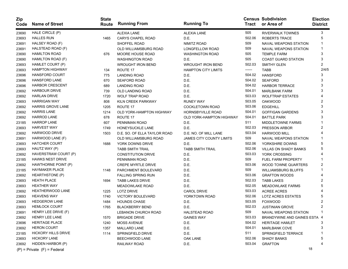| Zip<br>Code | <b>Name of Street</b>           | <b>State</b><br>Route | <b>Running From</b>          | <b>Running To</b>               | Tract  | <b>Census Subdivision</b><br>or Area of | <b>Election</b><br><b>District</b> |
|-------------|---------------------------------|-----------------------|------------------------------|---------------------------------|--------|-----------------------------------------|------------------------------------|
| 23690       | HALE CIRCLE (P)                 |                       | <b>ALEXIA LANE</b>           | <b>ALEXIA LANE</b>              | 505    | <b>RIVERWALK TOWNES</b>                 | 3                                  |
| 23693       | <b>HALLES RUN</b>               | 1465                  | <b>CARYS CHAPEL ROAD</b>     | D.E.                            | 502.06 | ROBERTS TRACE                           | 5                                  |
| 23691       | HALSEY ROAD (F)                 |                       | SHOFFEL ROAD                 | NIMITZ ROAD                     | 509    | NAVAL WEAPONS STATION                   | 1                                  |
| 23691       | HALSTEAD ROAD (F)               |                       | OLD WILLIAMSBURG ROAD        | <b>LONGFELLOW ROAD</b>          | 509    | NAVAL WEAPONS STATION                   |                                    |
| 23690       | <b>HAMILTON ROAD</b>            | 676                   | MOORE HOUSE ROAD             | <b>WASHINGTON ROAD</b>          | 505    | <b>TEMPLE FARM</b>                      | 3                                  |
| 23690       | HAMILTON ROAD (F)               |                       | <b>WASHINGTON ROAD</b>       | D.E.                            | 505    | <b>COAST GUARD STATION</b>              | 3                                  |
| 23693       | HAMLET COURT (P)                |                       | WROUGHT IRON BEND            | <b>WROUGHT IRON BEND</b>        | 502.03 | <b>SMITHY GLEN</b>                      | 2                                  |
| 23693       | <b>HAMPTON HIGHWAY</b>          | 134                   | ROUTE 17                     | <b>HAMPTON CITY LIMITS</b>      | ------ | TABB                                    | 2/4/5                              |
| 23696       | <b>HANSFORD COURT</b>           | 775                   | <b>LANDING ROAD</b>          | D.E.                            | 504.02 | <b>HANSFORD</b>                         | 3                                  |
| 23696       | <b>HANSFORD LANE</b>            | 670                   | <b>SEAFORD ROAD</b>          | D.E.                            | 504.02 | <b>SEAFORD</b>                          | 3                                  |
| 23696       | <b>HARBOR CRESCENT</b>          | 689                   | <b>LANDING ROAD</b>          | D.E.                            | 504.02 | <b>HARBOR TERRACE</b>                   | 3                                  |
| 23692       | HARBOUR DRIVE                   | 739                   | OLD LANDING ROAD             | D.E.                            | 504.01 | <b>MARLBANK FARM</b>                    | 3                                  |
| 23692       | <b>HARLAN DRIVE</b>             | 1720                  | <b>WOLF TRAP ROAD</b>        | D.E.                            | 503.03 | <b>WOLFTRAP ESTATES</b>                 |                                    |
| 23693       | <b>HARRIGAN WAY</b>             | 808                   | KILN CREEK PARKWAY           | <b>RUNEY WAY</b>                | 503.05 | <b>OAKWOOD</b>                          | 2                                  |
| 23692       | <b>HARRIS GROVE LANE</b>        | 1205                  | ROUTE 17                     | <b>COCKLETOWN ROAD</b>          | 503.06 | <b>EDGEHILL</b>                         | 3                                  |
| 23692       | <b>HARRIS LANE</b>              | 1214                  | OLD YORK-HAMPTON HIGHWAY     | HORNSBYVILLE ROAD               | 504.01 | <b>GOFFIGAN GARDENS</b>                 |                                    |
| 23692       | <b>HARROD LANE</b>              | 678                   | ROUTE 17                     | <b>OLD YORK-HAMPTON HIGHWAY</b> | 504.01 | <b>BATTLE PARK</b>                      |                                    |
| 23185       | <b>HARROP LANE</b>              | 607                   | PENNIMAN ROAD                | D.E.                            | 511    | <b>MIDDLETOWNE FARMS</b>                |                                    |
| 23693       | <b>HARVEST WAY</b>              | 1749                  | HONEYSUCKLE LANE             | D.E.                            | 502.03 | PRESSON ARBOR                           | 2                                  |
| 23692       | <b>HARWOOD DRIVE</b>            | 1503                  | D.E. SO. OF ELLA TAYLOR ROAD | D.E. NO. OF MILL LANE           | 503.04 | <b>HARWOOD MILL</b>                     |                                    |
| 23691       | HARWOOD LANE (F)                |                       | OLD WILLIAMSBURG ROAD        | <b>JAMES CITY COUNTY LIMITS</b> | 509    | <b>NAVAL WEAPONS STATION</b>            |                                    |
| 23693       | <b>HATCHER COURT</b>            | 1688                  | YORK DOWNS DRIVE             | D.E.                            | 502.06 | YORKSHIRE DOWNS                         |                                    |
| 23693       | HAUTZ WAY (P)                   |                       | <b>TABB SMITH TRAIL</b>      | <b>TABB SMITH TRAIL</b>         | 502.06 | <b>VILLAS ON SHADY BANKS</b>            | 5                                  |
| 23692       | HAVERSTRAW COURT (P)            |                       | <b>CONSTITUTION DRIVE</b>    | D.E.                            | 503.03 | YORK CROSSING                           |                                    |
| 23185       | <b>HAWKS NEST DRIVE</b>         |                       | PENNIMAN ROAD                | D.E.                            | 509    | <b>FUEL FARM PROPERTY</b>               |                                    |
| 23692       | HAWTHORNE POINT (P)             |                       | <b>CREPE MYRTLE DRIVE</b>    | D.E.                            | 503.06 | WOOD TOWNE QUARTERS                     | 2                                  |
| 23185       | <b>HAYMAKER PLACE</b>           | 1148                  | PARCHMENT BOULEVARD          | D.E.                            | 509    | WILLIAMSBURG BLUFFS                     |                                    |
| 23692       | HEARTHSTONE (P)                 |                       | <b>FALLING SPRING RUN</b>    | D.E.                            | 503.06 | <b>GRAFTON WOODS</b>                    |                                    |
| 23693       | <b>HEATH PLACE</b>              | 1694                  | <b>TABB LAKES DRIVE</b>      | D.E.                            | 502.03 | <b>TABB LAKES</b>                       |                                    |
| 23693       | <b>HEATHER WAY</b>              |                       | <b>MEADOWLAKE ROAD</b>       | D.E.                            | 502.05 | <b>MEADOWLAKE FARMS</b>                 | 5                                  |
| 23692       | <b>HEATHERWOOD LANE</b>         | 1225                  | <b>LOTZ DRIVE</b>            | <b>CAROL DRIVE</b>              | 503.03 | <b>ACREE ACRES</b>                      |                                    |
| 23693       | <b>HEAVENS WAY</b>              | 1740                  | VICTORY BOULEVARD            | YORKTOWN ROAD                   | 502.06 | LOTZ ACRES ESTATES                      | 5                                  |
| 23693       | <b>HEDGEROW LANE</b>            | 1484                  | <b>HOUNDS CHASE</b>          | D.E.                            | 503.05 | <b>FOXWOOD</b>                          |                                    |
| 23693       | <b>HEMLOCK COURT</b>            | 1765                  | <b>BLACKBERRY BEND</b>       | D.E.                            | 502.03 | <b>JUSTINIAN GROVE</b>                  | 2                                  |
| 23691       | HENRY LEE DRIVE (F)             |                       | LEBANON CHURCH ROAD          | <b>HALSTEAD ROAD</b>            | 509    | NAVAL WEAPONS STATION                   |                                    |
| 23692       | HENRY LEE LANE                  | 1570                  | BRIGADE DRIVE                | <b>GAINES WAY</b>               | 503.03 | BRANDYWINE AND GAINES ESTA 4            |                                    |
| 23696       | <b>HERITAGE PLACE</b>           | 1240                  | <b>MOSS AVENUE</b>           | D.E.                            | 504.02 | <b>HERITAGE HAMLET</b>                  |                                    |
| 23692       | <b>HERON COURT</b>              | 1357                  | <b>MALLARD LANE</b>          | D.E.                            | 504.01 | <b>MARLBANK COVE</b>                    | 3                                  |
| 23185       | <b>HICKORY HILLS DRIVE</b>      | 1114                  | SPRINGFIELD DRIVE            | D.E.                            | 511    | SPRINGFIELD TERRACE                     |                                    |
| 23693       | <b>HICKORY LANE</b>             |                       | BEECHWOOD LANE               | OAK LANE                        | 502.06 | <b>SHADY BANKS</b>                      | 5                                  |
| 23692       | HIDDEN HARBOR (P)               |                       | RAILWAY ROAD                 | D.E.                            | 503.04 | <b>GRAFTON</b>                          |                                    |
|             | $(P)$ = Private $(F)$ = Federal |                       |                              |                                 |        | 18                                      |                                    |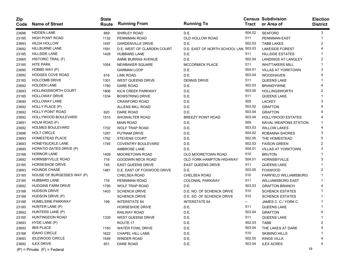| Zip<br>Code | <b>Name of Street</b>           | <b>State</b><br>Route | <b>Running From</b>               | <b>Running To</b>                    | Tract  | <b>Census Subdivision</b><br>or Area of | <b>Election</b><br><b>District</b> |
|-------------|---------------------------------|-----------------------|-----------------------------------|--------------------------------------|--------|-----------------------------------------|------------------------------------|
| 23696       | <b>HIDDEN LANE</b>              | 669                   | SHIRLEY ROAD                      | D.E.                                 | 504.02 | <b>SEAFORD</b>                          | 3                                  |
| 23185       | <b>HIGH POINT ROAD</b>          | 1132                  | PENNIMAN ROAD                     | OLD HOLLOW ROAD                      | 511    | <b>PENNIMAN EAST</b>                    |                                    |
| 23693       | <b>HILDA HOLLOW</b>             | 1497                  | <b>GARDENVILLE DRIVE</b>          | D.E.                                 | 502.03 | <b>TABB LAKES</b>                       | 2                                  |
| 23692       | <b>HILLBURNE LANE</b>           | 1591                  | <b>D.E. WEST OF CLARDEN COURT</b> | D.E. EAST OF NORTH SCHOOL LAN 503.03 |        | <b>LAKESIDE FOREST</b>                  |                                    |
| 23185       | <b>HILLSIDE LANE</b>            | 1428                  | <b>HUBBARD LANE</b>               | D.E.                                 | 511    | <b>HILLSIDE ESTATES</b>                 |                                    |
| 23665       | HISTORIC TRAIL (F)              |                       | ANNE BURRAS AVENUE                | D.E.                                 | 502.04 | <b>LANDINGS AT LANGLEY</b>              | 2                                  |
| 23185       | <b>HITE PARK</b>                | 1054                  | NEWBAKER SQUARE                   | <b>MCCORMICK PLACE</b>               | 511    | <b>WHITTAKERS MILL</b>                  |                                    |
| 23690       | HOBBS WAY (P)                   |                       | <b>GARMAN LOOP</b>                | D.E.                                 | 504.01 | <b>VILLAS AT YORKTOWN</b>               | 3                                  |
| 23692       | <b>HODGES COVE ROAD</b>         | 618                   | <b>LINK ROAD</b>                  | D.E.                                 | 503.04 | <b>WOODHAVEN</b>                        |                                    |
| 23185       | <b>HOLCOMB DRIVE</b>            | 1301                  | <b>WEST QUEENS DRIVE</b>          | <b>DENNIS DRIVE</b>                  | 511    | QUEENS LAKE                             |                                    |
| 23692       | <b>HOLDEN LANE</b>              | 1780                  | <b>DARE ROAD</b>                  | D.E.                                 | 503.03 | <b>BRANDYWINE</b>                       |                                    |
| 23693       | <b>HOLLINGSWORTH COURT</b>      | 1806                  | KILN CREEK PARKWAY                | D.E.                                 | 503.05 | <b>HOLLINGSWORTH</b>                    | 2                                  |
| 23185       | <b>HOLLOWAY DRIVE</b>           | 1334                  | <b>BOWSTRING DRIVE</b>            | D.E.                                 | 511    | <b>QUEENS LAKE</b>                      |                                    |
| 23690       | <b>HOLLOWAY LANE</b>            |                       | <b>CRAWFORD ROAD</b>              | D.E.                                 | 505    | <b>LACKEY</b>                           | 3                                  |
| 23692       | HOLLY PLACE (P)                 |                       | ALLENS MILL ROAD                  | D.E.                                 | 503.02 | <b>GRAFTON</b>                          |                                    |
| 23692       | <b>HOLLY POINT ROAD</b>         | 620                   | <b>DARE ROAD</b>                  | D.E.                                 | 503.04 | <b>GRAFTON</b>                          |                                    |
| 23692       | <b>HOLLYWOOD BOULEVARD</b>      | 1510                  | SHOWALTER ROAD                    | <b>BREEZY POINT ROAD</b>             | 503.04 | <b>HOLLYWOOD ESTATES</b>                |                                    |
| 23691       | HOLM ROAD (F)                   |                       | <b>MAIN ROAD</b>                  | D.E.                                 | 509    | <b>NAVAL WEAPONS STATION</b>            |                                    |
| 23692       | <b>HOLMES BOULEVARD</b>         | 1702                  | <b>WOLF TRAP ROAD</b>             | D.E.                                 | 503.03 | <b>WILLOW LAKES</b>                     |                                    |
| 23696       | <b>HOLT CIRCLE</b>              | 1287                  | PUTNAM DRIVE                      | D.E.                                 | 504.02 | ROBANNA SHORES                          | 3                                  |
| 23693       | <b>HOMESTEAD PLACE</b>          | 1762                  | <b>STEVENS COURT</b>              | D.E.                                 | 502.05 | THE HOMESTEAD                           |                                    |
| 23693       | HONEYSUCKLE LANE                | 1745                  | <b>COVENTRY BOULEVARD</b>         | D.E.                                 | 502.03 | <b>FAISON GREEN</b>                     | 2                                  |
| 23690       | HORATIO GATES DRIVE (P)         |                       | <b>AMBROSE LANE</b>               | D.E.                                 | 504.01 | <b>VILLAS AT YORKTOWN</b>               | 3                                  |
| 23188       | <b>HORNOR LANE</b>              | 1409                  | <b>MOORETOWN ROAD</b>             | OLD MOORETOWN ROAD                   | 510    | <b>BRUTON</b>                           |                                    |
| 23692       | <b>HORNSBYVILLE ROAD</b>        | 718                   | <b>GOODWIN NECK ROAD</b>          | OLD YORK-HAMPTON HIGHWAY             | 504.01 | <b>HORNSBYVILLE</b>                     | 3                                  |
| 23185       | <b>HORSESHOE DRIVE</b>          | 745                   | <b>EAST QUEENS DRIVE</b>          | <b>EAST QUEENS DRIVE</b>             | 511    | QUEENS LAKE                             |                                    |
| 23693       | <b>HOUNDS CHASE</b>             | 1481                  | D.E. EAST OF FOXWOOD DRIVE        | D.E.                                 | 503.05 | <b>FOXWOOD</b>                          | 2                                  |
| 23185       | HOUSE OF BURGESSES WAY (P)      |                       | CHELSEA ROAD                      | CHELSEA ROAD                         | 510    | <b>FAIRFIELD WILLIAMSBURG</b>           |                                    |
| 23185       | <b>HUBBARD LANE</b>             | 716                   | PENNIMAN ROAD                     | <b>COLONIAL PARKWAY</b>              | 511    | <b>WILLIAMSBURG EAST</b>                |                                    |
| 23692       | <b>HUDGINS FARM DRIVE</b>       | 1795                  | <b>WOLF TRAP ROAD</b>             | D.E.                                 | 503.03 | <b>GRAFTON BRANCH</b>                   |                                    |
| 23188       | <b>HUDSON DRIVE</b>             | 1403                  | <b>SCHENCK DRIVE</b>              | D.E. NO. OF SCHENCK DRIVE            | 510    | <b>SCHENCK ESTATES</b>                  |                                    |
| 23188       | HUDSON DRIVE (P)                |                       | <b>SCHENCK DRIVE</b>              | D.E. SO. OF SCHENCK DRIVE            | 510    | <b>SCHENCK ESTATES</b>                  |                                    |
| 23188       | HUMELSINE PARKWAY               | 199                   | <b>INTERSTATE 64</b>              | <b>INTERSTATE 64</b>                 | --     | JAMES C. C./ YORK C.                    |                                    |
| 23185       | HUNTER LANE (P)                 |                       | <b>HORSESHOE DRIVE</b>            | D.E.                                 | 511    | QUEENS LAKE                             |                                    |
| 23692       | HUNTERS LANE (P)                |                       | RAILWAY ROAD                      | D.E.                                 | 503.04 | <b>GRAFTON</b>                          | 4                                  |
| 23185       | HUNTINGDON ROAD                 | 1339                  | WEST QUEENS DRIVE                 | D.E.                                 | 511    | QUEENS LAKE                             |                                    |
| 23693       | HYDE LANE (P)                   |                       | ROUTE 17                          | D.E.                                 | 502.03 | <b>TABB</b>                             | 2                                  |
| 23692       | <b>IBIS PLACE</b>               | 1183                  | WATER FOWL DRIVE                  | D.E.                                 | 503.04 | THE LAKES AT DARE                       |                                    |
| 23188       | <b>IDAHO CIRCLE</b>             | 1622                  | CHAPEL HILL LANE                  | D.E.                                 | 510    | <b>SKIMINO HILLS</b>                    |                                    |
| 23693       | <b>IDLEWOOD CIRCLE</b>          | 1549                  | <b>WINDER ROAD</b>                | D.E.                                 | 502.05 | <b>KINGS VILLA</b>                      |                                    |
| 23692       | <b>ILEX DRIVE</b>               | 651                   | <b>DARE ROAD</b>                  | D.E.                                 | 503.04 | <b>ILEX ACRES</b>                       |                                    |
|             | $(P)$ = Private $(F)$ = Federal |                       |                                   |                                      |        |                                         | 19                                 |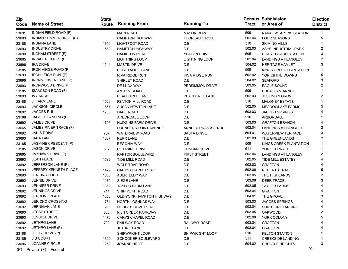| Zip<br>Code | <b>Name of Street</b>           | <b>State</b><br><b>Route</b> | <b>Running From</b>          | <b>Running To</b>     | Tract  | <b>Census Subdivision</b><br>or Area of | <b>Election</b><br><b>District</b> |
|-------------|---------------------------------|------------------------------|------------------------------|-----------------------|--------|-----------------------------------------|------------------------------------|
| 23691       | INDIAN FIELD ROAD (F)           |                              | <b>MAIN ROAD</b>             | <b>MASON ROW</b>      | 509    | <b>NAVAL WEAPONS STATION</b>            | 1                                  |
| 23693       | INDIAN SUMMER DRIVE (P)         |                              | <b>HAMPTON HIGHWAY</b>       | THOREAU CIRCLE        | 502.04 | <b>FOUR SEASONS</b>                     | 5                                  |
| 23188       | <b>INDIANA LANE</b>             | 1616                         | <b>LIGHTFOOT ROAD</b>        | D.E.                  | 510    | <b>SKIMINO HILLS</b>                    |                                    |
| 23693       | <b>INDUSTRY DRIVE</b>           | 1580                         | <b>HAMPTON HIGHWAY</b>       | D.E.                  | 502.03 | ASHE INDUSTRIAL PARK                    | 2                                  |
| 23690       | INGHAM STREET (F)               |                              | <b>HAMILTON ROAD</b>         | YEATON DRIVE          | 505    | <b>COAST GUARD STATION</b>              | 3                                  |
| 23665       | INVADER COURT (F)               |                              | <b>LIGHTNING LOOP</b>        | LIGHTNING LOOP        | 502.04 | LANDINGS AT LANGLEY                     | 2                                  |
| 23696       | <b>IRA DRIVE</b>                | 1244                         | <b>MASTIN DRIVE</b>          | D.E.                  | 504.02 | <b>HERITAGE HAMLET</b>                  | 3                                  |
| 23185       | IRON HINGE ROAD (P)             |                              | POCOTALIGO LANE              | D.E.                  | 509    | KINGS CREEK PLANTATION                  |                                    |
| 23693       | IRON LEIGH RUN (P)              |                              | <b>RIVA RIDGE RUN</b>        | <b>RIVA RIDGE RUN</b> | 502.02 | YORKSHIRE DOWNS                         | 5                                  |
| 23696       | <b>IRONMONGER LANE (P)</b>      |                              | SHIRLEY ROAD                 | D.E.                  | 504.02 | <b>SEAFORD</b>                          | 3                                  |
| 23693       | IRONWOOD DRIVE (P)              |                              | DE LUCA WAY                  | PERSIMMON DRIVE       | 503.05 | <b>EAGLE SOUND</b>                      |                                    |
| 23185       | ISAACSON ROAD (F)               |                              | <b>ANTRIM ROAD</b>           | D.E.                  | 509    | <b>CHEATHAM ANNEX</b>                   |                                    |
| 23693       | <b>IVY ARCH</b>                 |                              | PEACHTREE LANE               | PEACHTREE LANE        | 502.03 | <b>JUSTINIAN GROVE</b>                  |                                    |
| 23188       | J. FARM LANE                    | 1029                         | FENTON MILL ROAD             | D.E.                  | 510    | <b>MALONEY ESTATE</b>                   |                                    |
| 23693       | <b>JACKSON CIRCLE</b>           | 1657                         | <b>SUSAN NEWTON LANE</b>     | D.E.                  | 502.05 | <b>MEADOWLAKE FARMS</b>                 | 5                                  |
| 23692       | <b>JACOBS RUN</b>               | 1783                         | DARE ROAD                    | D.E.                  | 503.03 | <b>JACOBS SPRINGS</b>                   |                                    |
| 23188       | JAGGED LANDING (P)              |                              | ARBORDALE LOOP               | D.E.                  | 510    | ARBORDALE                               |                                    |
| 23692       | <b>JAMES DRIVE</b>              | 1796                         | <b>HUDGINS FARM DRIVE</b>    | D.E.                  | 503.03 | <b>GRAFTON BRANCH</b>                   |                                    |
| 23665       | JAMES RIVER TRACE (F)           |                              | <b>FOUNDERS POINT AVENUE</b> | ANNE BURRAS AVENUE    | 502.04 | <b>LANDINGS AT LANGLEY</b>              |                                    |
| 23692       | <b>JANIS DRIVE</b>              | 707                          | <b>WATERVIEW ROAD</b>        | <b>BASTA DRIVE</b>    | 504.01 | <b>WATERVIEW TERRACE</b>                | 3                                  |
| 23693       | <b>JARA LANE</b>                | 1687                         | <b>KERR LANE</b>             | D.E.                  | 502.03 | THE GREENLANDS                          | 2                                  |
| 23185       | JASMINE CRESCENT (P)            |                              | <b>BEGONIA WAY</b>           | D.E.                  | 509    | KINGS CREEK PLANTATION                  |                                    |
| 23185       | <b>JASON DRIVE</b>              | 667                          | <b>RICHWINE DRIVE</b>        | <b>DUNCAN DRIVE</b>   | 511    | <b>YORK TERRACE</b>                     |                                    |
| 23665       | JAYHAWK DRIVE (F)               |                              | RAPTOR BOULEVARD             | <b>FIRST STREET</b>   | 502.04 | <b>LANDINGS AT LANGLEY</b>              | 2                                  |
| 23693       | <b>JEAN PLACE</b>               | 1539                         | <b>TIDE MILL ROAD</b>        | D.E.                  | 502.05 | TIDE MILL ESTATES                       |                                    |
| 23692       | JEFFERSON LANE (P)              |                              | <b>WOLF TRAP ROAD</b>        | D.E.                  | 503.03 | <b>GRAFTON</b>                          |                                    |
| 23693       | JEFFREY KENNETH PLACE           | 1479                         | <b>CARYS CHAPEL ROAD</b>     | D.E.                  | 502.06 | <b>ROBERTS TRACE</b>                    | 5                                  |
| 23693       | <b>JENKINS COURT</b>            | 1836                         | ABERFELDY WAY                | D.E.                  | 503.05 | THE HIGHLANDS                           | 2                                  |
| 23692       | <b>JENNIE DRIVE</b>             | 1175                         | SIEGE LANE                   | D.E.                  | 503.06 | <b>DEER TRACE</b>                       | 3                                  |
| 23693       | <b>JENNIFER DRIVE</b>           | 1362                         | <b>TAYLOR FARM LANE</b>      | D.E.                  | 502.05 | <b>TAYLOR FARMS</b>                     |                                    |
| 23692       | <b>JENNINGS DRIVE</b>           | 714                          | SHIP POINT ROAD              | D.E.                  | 503.04 | <b>GRAFTON</b>                          |                                    |
| 23692       | <b>JERDONE PLACE</b>            | 1358                         | OLD-YORK HAMPTON HIGHWAY     | D.E.                  | 504.01 | THE GROVE                               |                                    |
| 23692       | <b>JERICHO CROSSING</b>         | 1784                         | NORTH JOSHUAS WAY            | D.E.                  | 503.03 | <b>JACOBS SPRINGS</b>                   |                                    |
| 23692       | <b>JERNIGAN LANE</b>            | 610                          | <b>HODGES COVE ROAD</b>      | D.E.                  | 503.04 | <b>SHIP POINT LANDING</b>               |                                    |
| 23693       | <b>JESSE STREET</b>             | 806                          | KILN CREEK PARKWAY           | D.E.                  | 503.05 | <b>OAKWOOD</b>                          | 2                                  |
| 23693       | <b>JESSICA DRIVE</b>            | 1470                         | <b>CARYS CHAPEL ROAD</b>     | D.E.                  | 502.06 | YORK COLONY                             | 5                                  |
| 23692       | JETHRO LANE                     | 702                          | RAILWAY ROAD                 | RAILWAY ROAD          | 503.04 | <b>GRAFTON</b>                          |                                    |
| 23692       | JETHRO LANE (P)                 |                              | <b>JETHRO LANE</b>           | D.E.                  | 503.04 | <b>GRAFTON</b>                          |                                    |
| 23188       | JETTY DRIVE (P)                 |                              | SHIPWRIGHT LOOP              | SHIPWRIGHT LOOP       | 510    | <b>KELTON STATION</b>                   |                                    |
| 23185       | <b>JIB COURT</b>                | 1390                         | <b>SCHOONER BOULEVARD</b>    | D.E.                  | 511    | <b>CREEKSIDE LANDING</b>                |                                    |
| 23696       | JOANNE CIRCLE                   | 1262                         | JOANNE DRIVE                 | D.E.                  | 504.02 | <b>CHEADLE HEIGHTS</b>                  | 3                                  |
|             | $(P)$ = Private $(F)$ = Federal |                              |                              |                       |        |                                         | 20                                 |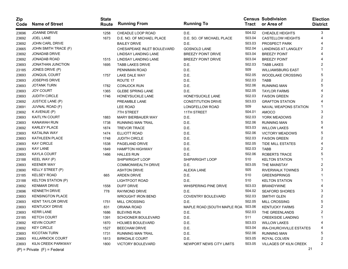| Zip<br>Code | <b>Name of Street</b>           | <b>State</b><br>Route | <b>Running From</b>        | <b>Running To</b>           | Tract  | <b>Census Subdivision</b><br>or Area of | <b>Election</b><br><b>District</b> |
|-------------|---------------------------------|-----------------------|----------------------------|-----------------------------|--------|-----------------------------------------|------------------------------------|
| 23696       | JOANNE DRIVE                    | 1258                  | CHEADLE LOOP ROAD          | D.E.                        | 504.02 | <b>CHEADLE HEIGHTS</b>                  | 3                                  |
| 23692       | <b>JOEL LANE</b>                | 1673                  | D.E. NO. OF MICHAEL PLACE  | D.E. SO. OF MICHAEL PLACE   | 503.04 | <b>CASTELLOW HEIGHTS</b>                |                                    |
| 23692       | <b>JOHN CARL DRIVE</b>          |                       | <b>BAILEY DRIVE</b>        | D.E.                        | 503.03 | PROSPECT PARK                           |                                    |
| 23665       | JOHN SMITH TRACE (F)            |                       | CHESAPEAKE INLET BOULEVARD | <b>GOSNOLD LANE</b>         | 502.04 | <b>LANDINGS AT LANGLEY</b>              | 2                                  |
| 23692       | <b>JONADAB DRIVE</b>            |                       | LINDSAY LANDING LANE       | <b>BREEZY POINT DRIVE</b>   | 503.04 | <b>BREEZY POINT</b>                     |                                    |
| 23692       | <b>JONADAB ROAD</b>             | 1515                  | LINDSAY LANDING LANE       | <b>BREEZY POINT DRIVE</b>   | 503.04 | <b>BREEZY POINT</b>                     |                                    |
| 23693       | <b>JONATHAN JUNCTION</b>        | 1695                  | <b>TABB LAKES DRIVE</b>    | D.E.                        | 502.03 | <b>TABB LAKES</b>                       | 2                                  |
| 23185       | JONES DRIVE (P)                 |                       | PENNIMAN ROAD              | D.E.                        | 509    | <b>WILLIAMSBURG EAST</b>                |                                    |
| 23693       | <b>JONQUIL COURT</b>            | 1757                  | LAKE DALE WAY              | D.E.                        | 502.05 | <b>WOODLAKE CROSSING</b>                | 5                                  |
| 23693       | <b>JOSEPHS DRIVE</b>            |                       | ROUTE 17                   | D.E.                        | 502.03 | <b>TABB</b>                             | 2                                  |
| 23693       | <b>JOTANK TURN</b>              | 1782                  | <b>COINJOCK RUN</b>        | D.E.                        | 502.06 | <b>RUNNING MAN</b>                      | 5                                  |
| 23693       | <b>JOY COURT</b>                | 1365                  | <b>GLEBE SPRING LANE</b>   | D.E.                        | 502.05 | <b>TAYLOR FARMS</b>                     |                                    |
| 23693       | <b>JUDITH CIRCLE</b>            | 1746                  | HONEYSUCKLE LANE           | HONEYSUCKLE LANE            | 502.03 | <b>FAISON GREEN</b>                     | 2                                  |
| 23692       | <b>JUSTICE LANE (P)</b>         |                       | PREAMBLE LANE              | <b>CONSTITUTION DRIVE</b>   | 503.03 | <b>GRAFTON STATION</b>                  |                                    |
| 23691       | JUVNAL ROAD (F)                 |                       | <b>LEE ROAD</b>            | LONGFELLOW ROAD             | 509    | NAVAL WEAPONS STATION                   |                                    |
| 23692       | K AVENUE (P)                    |                       | 7TH STREET                 | 11TH STREET                 | 504.01 | <b>AMOCO</b>                            | 3                                  |
| 23693       | <b>KAITLYN COURT</b>            | 1883                  | <b>MARY BIERBAUER WAY</b>  | D.E.                        | 502.03 | YORK MEADOWS                            | 2                                  |
| 23693       | KANAWAH RUN                     | 1738                  | <b>RUNNING MAN TRAIL</b>   | D.E.                        | 502.06 | <b>RUNNING MAN</b>                      | 5                                  |
| 23692       | KARLEY PLACE                    | 1874                  | <b>TREVOR TRACE</b>        | D.E.                        | 503.03 | <b>WILLOW LAKES</b>                     |                                    |
| 23693       | <b>KATALINA WAY</b>             | 1474                  | ELLIOTT ROAD               | D.E.                        | 502.06 | <b>VICTORY MEADOWS</b>                  | 5                                  |
| 23693       | <b>KATHLEEN PLACE</b>           | 1748                  | <b>JUDITH CIRCLE</b>       | D.E.                        | 502.03 | <b>FAISON GREEN</b>                     | 2                                  |
| 23693       | <b>KAY CIRCLE</b>               | 1538                  | PAGELAND DRIVE             | D.E.                        | 502.05 | <b>TIDE MILL ESTATES</b>                |                                    |
| 23693       | <b>KAY LANE</b>                 | 1849                  | <b>HAMPTON HIGHWAY</b>     | D.E.                        | 502.03 | <b>TABB</b>                             | 2                                  |
| 23693       | <b>KAYLA COURT</b>              | 1466                  | <b>HALLES RUN</b>          | D.E.                        | 502.06 | <b>ROBERTS TRACE</b>                    | 5                                  |
| 23188       | KEEL WAY (P)                    |                       | SHIPWRIGHT LOOP            | <b>SHIPWRIGHT LOOP</b>      | 510    | <b>KELTON STATION</b>                   |                                    |
| 23693       | <b>KEENER WAY</b>               |                       | <b>COMMONWEALTH DRIVE</b>  | D.E.                        | 503.05 | THE MAINSTAY                            | 2                                  |
| 23690       | KELLY STREET (P)                |                       | <b>ASHTON DRIVE</b>        | <b>ALEXIA LANE</b>          | 505    | <b>RIVERWALK TOWNES</b>                 | 3                                  |
| 23185       | <b>KELSEY ROAD</b>              | 665                   | <b>ARDEN DRIVE</b>         | D.E.                        | 510    | <b>GREENSPRINGS</b>                     |                                    |
| 23188       | <b>KELTON STATION (P)</b>       |                       | <b>LIGHTFOOT ROAD</b>      | D.E.                        | 510    | <b>KELTON STATION</b>                   |                                    |
| 23692       | <b>KENMAR DRIVE</b>             | 1558                  | DUFF DRIVE                 | WHISPERING PINE DRIVE       | 503.03 | <b>BRANDYWINE</b>                       |                                    |
| 23696       | <b>KENNETH DRIVE</b>            | 778                   | RAYMOND DRIVE              | D.E.                        | 504.02 | SEAFORD SHORES                          | 3                                  |
| 23693       | <b>KENSINGTON PLACE</b>         |                       | <b>WROUGHT IRON BEND</b>   | COVENTRY BOULEVARD          | 502.03 | SMITHY GLEN                             | 2                                  |
| 23693       | <b>KENT TAYLOR DRIVE</b>        | 1751                  | MILL CROSSING              | D.E.                        | 502.05 | <b>MILL CROSSING</b>                    | 5                                  |
| 23693       | <b>KENTUCKY DRIVE</b>           | 831                   | ORIANA ROAD                | MAPLE ROAD [SOUTH MAPLE ROA | 503.06 | <b>KENTUCKY FARMS</b>                   | 2                                  |
| 23693       | <b>KERR LANE</b>                | 1686                  | <b>BLEVINS RUN</b>         | D.E.                        | 502.03 | THE GREENLANDS                          | 2                                  |
| 23185       | <b>KETCH COURT</b>              | 1391                  | <b>SCHOONER BOULEVARD</b>  | D.E.                        | 511    | <b>CREEKSIDE LANDING</b>                | 1                                  |
| 23692       | <b>KEVIN COURT</b>              | 1870                  | <b>HOLMES BOULEVARD</b>    | D.E.                        | 503.03 | <b>WILLOW LAKES</b>                     |                                    |
| 23692       | <b>KEY CIRCLE</b>               | 1527                  | <b>BEECHAM DRIVE</b>       | D.E.                        | 503.04 | <b>IRA-CHURCHVILLE ESTATES</b>          | 4                                  |
| 23693       | KICOTAN TURN                    | 1731                  | RUNNING MAN TRAIL          | D.E.                        | 502.06 | <b>RUNNING MAN</b>                      | 5                                  |
| 23693       | KILLARNOCK COURT                | 1813                  | <b>BIRKDALE COURT</b>      | D.E.                        | 503.05 | ROYAL COLVEN                            | 2                                  |
| 23693       | KILN CREEK PARKWAY              | 1800                  | VICTORY BOULEVARD          | NEWPORT NEWS CITY LIMITS    | 503.05 | VILLAGES OF KILN CREEK                  | 2                                  |
|             | $(P)$ = Private $(F)$ = Federal |                       |                            |                             |        |                                         | 21                                 |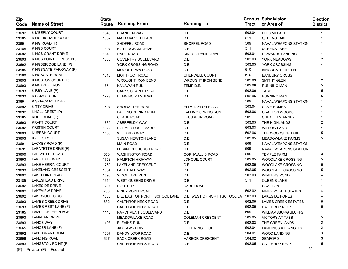| Zip<br>Code | <b>Name of Street</b>           | <b>State</b><br>Route | <b>Running From</b>            | <b>Running To</b>            | <b>Tract</b> | <b>Census Subdivision</b><br>or Area of | <b>Election</b><br><b>District</b> |
|-------------|---------------------------------|-----------------------|--------------------------------|------------------------------|--------------|-----------------------------------------|------------------------------------|
| 23692       | <b>KIMBERLY COURT</b>           | 1643                  | <b>BRANDON WAY</b>             | D.E.                         | 503.04       | <b>LEES VILLAGE</b>                     | 4                                  |
| 23185       | KING RICHARD COURT              | 1332                  | <b>MAID MARION PLACE</b>       | D.E.                         | 511          | <b>QUEENS LAKE</b>                      |                                    |
| 23691       | KING ROAD (F)                   |                       | SHOFFEL ROAD                   | SHOFFEL ROAD                 | 509          | <b>NAVAL WEAPONS STATION</b>            |                                    |
| 23185       | <b>KINGS COURT</b>              | 1307                  | NOTTINGHAM DRIVE               | D.E.                         | 511          | <b>QUEENS LAKE</b>                      |                                    |
| 23692       | <b>KINGS GRANT DRIVE</b>        | 1543                  | DARE ROAD                      | <b>KINGS GRANT DRIVE</b>     | 503.04       | <b>HOWARDS LANDING</b>                  |                                    |
| 23693       | KINGS POINTE CROSSING           | 1880                  | <b>COVENTRY BOULEVARD</b>      | D.E.                         | 502.03       | YORK MEADOWS                            |                                    |
| 23692       | KINGSBRIDGE LANE (P)            |                       | YORK CROSSING ROAD             | D.E.                         | 503.03       | YORK CROSSING                           |                                    |
| 23185       | KINGSGATE PARKWAY (P)           |                       | <b>MOORETOWN ROAD</b>          | D.E.                         | 510          | KINGSGATE GREEN                         |                                    |
| 23188       | KINGSGATE ROAD                  | 1616                  | LIGHTFOOT ROAD                 | <b>CHERWELL COURT</b>        | 510          | <b>BANBURY CROSS</b>                    |                                    |
| 23693       | KINGSTON COURT (P)              |                       | <b>WROUGHT IRON BEND</b>       | <b>WROUGHT IRON BEND</b>     | 502.03       | <b>SMITHY GLEN</b>                      | 2                                  |
| 23693       | <b>KINNAKEET RUN</b>            | 1851                  | <b>KANAWAH RUN</b>             | TEMP D.E.                    | 502.06       | <b>RUNNING MAN</b>                      | 5                                  |
| 23693       | KIRBY LANE (P)                  |                       | <b>CARYS CHAPEL ROAD</b>       | D.E.                         | 502.06       | <b>TABB</b>                             | 5                                  |
| 23693       | <b>KISKIAC TURN</b>             | 1729                  | <b>RUNNING MAN TRAIL</b>       | D.E.                         | 502.06       | <b>RUNNING MAN</b>                      |                                    |
| 23691       | KISKIACK ROAD (F)               |                       |                                |                              | 509          | <b>NAVAL WEAPONS STATION</b>            |                                    |
| 23692       | <b>KITTY DRIVE</b>              | 1507                  | SHOWALTER ROAD                 | ELLA TAYLOR ROAD             | 503.04       | <b>COVE HOMES</b>                       |                                    |
| 23692       | KNOLL CREST (P)                 |                       | <b>FALLING SPRING RUN</b>      | <b>FALLING SPRING RUN</b>    | 503.06       | <b>GRAFTON WOODS</b>                    |                                    |
| 23185       | KOHL ROAD (F)                   |                       | <b>CHASE ROAD</b>              | LEUSSEUR ROAD                | 509          | <b>CHEATHAM ANNEX</b>                   |                                    |
| 23693       | <b>KRAFT COURT</b>              | 1835                  | ABERFELDY WAY                  | D.E.                         | 503.05       | THE HIGHLANDS                           | 2                                  |
| 23692       | <b>KRISTIN COURT</b>            | 1872                  | <b>HOLMES BOULEVARD</b>        | D.E.                         | 503.03       | <b>WILLOW LAKES</b>                     |                                    |
| 23693       | <b>KUBESH COURT</b>             | 1453                  | <b>WILLARDS WAY</b>            | D.E.                         | 502.06       | THE WOODS OF TABB                       | 5                                  |
| 23693       | <b>KYLE CIRCLE</b>              |                       | <b>SUSAN NEWTON LANE</b>       | D.E.                         | 502.05       | <b>MEADOWLAKE FARMS</b>                 | 5                                  |
| 23691       | LACKEY ROAD (F)                 |                       | <b>MAIN ROAD</b>               | D.E.                         | 509          | <b>NAVAL WEAPONS STATION</b>            |                                    |
| 23691       | LAFAYETTE DRIVE (F)             |                       | LEBANON CHURCH ROAD            | D.E.                         | 509          | <b>NAVAL WEAPONS STATION</b>            |                                    |
| 23690       | LAFAYETTE ROAD                  | 650                   | <b>WASHINGTON ROAD</b>         | <b>CORNWALLIS ROAD</b>       | 505          | <b>TEMPLE FARM</b>                      | 3                                  |
| 23693       | LAKE DALE WAY                   | 1753                  | <b>HAMPTON HIGHWAY</b>         | <b>JONQUIL COURT</b>         | 502.05       | <b>WOODLAKE CROSSING</b>                | 5                                  |
| 23693       | LAKE HERRIN COURT               | 1760                  | <b>LAKELAND CRESCENT</b>       | D.E.                         | 502.05       | <b>WOODLAKE CROSSING</b>                | 5                                  |
| 23693       | LAKELAND CRESCENT               | 1654                  | LAKE DALE WAY                  | D.E.                         | 502.05       | <b>WOODLAKE CROSSING</b>                | 5                                  |
| 23692       | <b>LAKEPOINT PLACE</b>          | 1598                  | <b>WOODLAKE RUN</b>            | D.E.                         | 503.03       | <b>WINDERS POND</b>                     |                                    |
| 23185       | LAKESHEAD DRIVE                 | 1314                  | <b>WEST QUEENS DRIVE</b>       | D.E.                         | 511          | QUEENS LAKE                             |                                    |
| 23692       | LAKESIDE DRIVE                  | 620                   | ROUTE 17                       | <b>DARE ROAD</b>             | ------       | <b>GRAFTON</b>                          |                                    |
| 23692       | <b>LAKEVIEW DRIVE</b>           | 788                   | PINEY POINT ROAD               | D.E.                         | 503.02       | PINEY POINT ESTATES                     |                                    |
| 23692       | LAKEWOOD CIRCLE                 | 1585                  | D.E. EAST OF NORTH SCHOOL LANE | D.E. WEST OF NORTH SCHOOL LA | 503.03       | <b>LAKESIDE FOREST</b>                  |                                    |
| 23693       | <b>LAMBS CREEK DRIVE</b>        | 682                   | <b>CALTHROP NECK ROAD</b>      | D.E.                         | 502.05       | <b>LAMBS CREEK ESTATES</b>              |                                    |
| 23693       | LAMBS REST LANE (P)             |                       | <b>CALTHROP NECK ROAD</b>      | D.E.                         | 502.05       | <b>CALTHROP NECK</b>                    | 5                                  |
| 23185       | <b>LAMPLIGHTER PLACE</b>        | 1143                  | PARCHMENT BOULEVARD            | D.E.                         | 509          | <b>WILLIAMSBURG BLUFFS</b>              |                                    |
| 23693       | LANAHAN DRIVE                   |                       | <b>MEADOWLAKE ROAD</b>         | <b>COLEMAN CRESCENT</b>      | 502.05       | <b>VICTORY AT TABB</b>                  | 5                                  |
| 23693       | <b>LANCE WAY</b>                | 1498                  | <b>BLEVINS RUN</b>             | D.E.                         | 502.03       | THE GREENLANDS                          |                                    |
| 23665       | LANCER LANE (F)                 |                       | <b>JAYHAWK DRIVE</b>           | <b>LIGHTNING LOOP</b>        | 502.04       | <b>LANDINGS AT LANGLEY</b>              |                                    |
| 23692       | <b>LAND GRANT ROAD</b>          | 1297                  | DANDY LOOP ROAD                | D.E.                         | 504.01       | <b>WOOD LANDING</b>                     |                                    |
| 23696       | <b>LANDING ROAD</b>             | 627                   | <b>BACK CREEK ROAD</b>         | <b>HARBOR CRESCENT</b>       | 504.02       | <b>SEAFORD</b>                          |                                    |
| 23693       | LANGSTON POINT (P)              |                       | CALTHROP NECK ROAD             | D.E.                         | 502.05       | <b>CALTHROP NECK</b>                    | 5                                  |
|             | $(P)$ = Private $(F)$ = Federal |                       |                                |                              |              |                                         | 22                                 |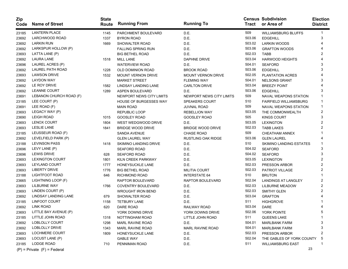| Zip<br>Code | <b>Name of Street</b>           | <b>State</b><br><b>Route</b> | <b>Running From</b>           | <b>Running To</b>         |        | <b>Census Subdivision</b><br>Tract or Area of | <b>Election</b><br><b>District</b> |
|-------------|---------------------------------|------------------------------|-------------------------------|---------------------------|--------|-----------------------------------------------|------------------------------------|
| 23185       | <b>LANTERN PLACE</b>            | 1145                         | PARCHMENT BOULEVARD           | D.E.                      | 509    | <b>WILLIAMSBURG BLUFFS</b>                    |                                    |
| 23692       | LARCHWOOD ROAD                  | 1337                         | <b>BYRON ROAD</b>             | D.E.                      | 503.06 | <b>EDGEHILL</b>                               | 3                                  |
| 23692       | <b>LARKIN RUN</b>               | 1669                         | SHOWALTER ROAD                | D.E.                      | 503.02 | <b>LARKIN WOODS</b>                           |                                    |
| 23692       | LARKSPUR HOLLOW (P)             |                              | <b>FALLING SPRING RUN</b>     | D.E.                      | 503.06 | <b>GRAFTON WOODS</b>                          |                                    |
| 23693       | LATTA LANE (P)                  |                              | <b>BIG BETHEL ROAD</b>        | D.E.                      | 502.03 | <b>TABB</b>                                   |                                    |
| 23692       | <b>LAURA LANE</b>               | 1518                         | <b>MILL LANE</b>              | DAPHNE DRIVE              | 503.04 | <b>HARWOOD HEIGHTS</b>                        |                                    |
| 23696       | LAUREL ACRES (P)                |                              | <b>WATERVIEW ROAD</b>         | D.E.                      | 504.01 | <b>SEAFORD</b>                                |                                    |
| 23692       | LAUREL PATH ROAD                | 1228                         | OLD DOMINION ROAD             | <b>BROOK ROAD</b>         | 503.06 | <b>EDGEHILL</b>                               |                                    |
| 23693       | <b>LAWSON DRIVE</b>             | 1532                         | <b>MOUNT VERNON DRIVE</b>     | <b>MOUNT VERNON DRIVE</b> | 502.05 | PLANTATION ACRES                              |                                    |
| 23692       | <b>LAYDON WAY</b>               |                              | <b>MARKET STREET</b>          | <b>FLEMING WAY</b>        | 504.01 | <b>NELSONS GRANT</b>                          |                                    |
| 23692       | LE ROY DRIVE                    | 1582                         | LINDSAY LANDING LANE          | <b>CARLTON DRIVE</b>      | 503.04 | <b>BREEZY POINT</b>                           |                                    |
| 23692       | <b>LEANNE COURT</b>             | 1289                         | ASPEN BOULEVARD               | D.E.                      | 503.06 | <b>EDGEHILL</b>                               |                                    |
| 23691       | LEBANON CHURCH ROAD (F)         |                              | NEWPORT NEWS CITY LIMITS      | NEWPORT NEWS CITY LIMITS  | 509    | NAVAL WEAPONS STATION                         |                                    |
| 23185       | LEE COURT (P)                   |                              | <b>HOUSE OF BURGESSES WAY</b> | <b>SPEAKERS COURT</b>     | 510    | <b>FAIRFIELD WILLIAMSBURG</b>                 |                                    |
| 23691       | LEE ROAD (F)                    |                              | <b>MAIN ROAD</b>              | JUVNAL ROAD               | 509    | NAVAL WEAPONS STATION                         |                                    |
| 23693       | LEGACY WAY (P)                  |                              | REPUBLIC LOOP                 | <b>REBELLION WAY</b>      | 503.05 | THE COMMONWEALTH                              | 2                                  |
| 23690       | <b>LEIGH ROAD</b>               | 1015                         | GOOSLEY ROAD                  | <b>GOOSLEY ROAD</b>       | 505    | <b>KINGS COURT</b>                            |                                    |
| 23693       | <b>LENOX COURT</b>              | 1804                         | WEST WEDGWOOD DRIVE           | D.E.                      | 503.05 | <b>LEXINGTON</b>                              | 2                                  |
| 23693       | <b>LESLIE LANE</b>              | 1841                         | <b>BRIDGE WOOD DRIVE</b>      | <b>BRIDGE WOOD DRIVE</b>  | 502.03 | <b>TABB LAKES</b>                             |                                    |
| 23185       | LEUSSEUR ROAD (F)               |                              | <b>SANDA AVENUE</b>           | <b>CHASE ROAD</b>         | 509    | <b>CHEATHAM ANNEX</b>                         |                                    |
| 23692       | LEVELFIELD PARK (P)             |                              | <b>GLEN LAUREL WAY</b>        | <b>RUSTLING OAK RIDGE</b> | 503.06 | <b>GLEN LAUREL</b>                            |                                    |
| 23188       | <b>LEVINSON PASS</b>            | 1418                         | <b>SKIMINO LANDING DRIVE</b>  | D.E.                      | 510    | SKIMINO LANDING ESTATES                       |                                    |
| 23696       | LEVY LANE (P)                   |                              | <b>SEAFORD ROAD</b>           | D.E.                      | 504.02 | <b>SEAFORD</b>                                | 3                                  |
| 23696       | <b>LEWIS DRIVE</b>              | 628                          | <b>SEAFORD ROAD</b>           | D.E.                      | 504.02 | <b>SEAFORD</b>                                | 3                                  |
| 23693       | <b>LEXINGTON COURT</b>          | 1801                         | KILN CREEK PARKWAY            | D.E.                      | 503.05 | <b>LEXINGTON</b>                              | 2                                  |
| 23693       | LEYLAND COURT                   | 1777                         | HONEYSUCKLE LANE              | D.E.                      | 502.03 | PRESSON ARBOR                                 |                                    |
| 23693       | LIBERTY DRIVE                   | 1776                         | <b>BIG BETHEL ROAD</b>        | <b>MILITIA COURT</b>      | 502.03 | PATRIOT VILLAGE                               | 2                                  |
| 23188       | <b>LIGHTFOOT ROAD</b>           | 646                          | RICHMOND ROAD                 | <b>INTERSTATE 64</b>      | 510    | <b>BRUTON</b>                                 |                                    |
| 23665       | LIGHTNING LOOP (F)              |                              | RAPTOR BOULEVARD              | RAPTOR BOULEVARD          | 502.04 | <b>LANDINGS AT LANGLEY</b>                    | 2                                  |
| 23693       | <b>LILBURNE WAY</b>             | 1766                         | <b>COVENTRY BOULEVARD</b>     | D.E.                      | 502.03 | <b>LILBURNE MEADOW</b>                        | 2                                  |
| 23693       | LINDEN COURT (P)                |                              | <b>WROUGHT IRON BEND</b>      | D.E.                      | 502.03 | <b>SMITHY GLEN</b>                            |                                    |
| 23692       | LINDSAY LANDING LANE            | 679                          | SHOWALTER ROAD                | D.E.                      | 503.04 | <b>GRAFTON</b>                                |                                    |
| 23185       | LINFOOT COURT                   | 1158                         | <b>TETBURY LANE</b>           | D.E.                      | 511    | <b>HIGHGROVE</b>                              |                                    |
| 23692       | <b>LINK ROAD</b>                | 620                          | DARE ROAD                     | <b>RAILWAY ROAD</b>       | 503.04 | <b>DARE</b>                                   |                                    |
| 23693       | LITTLE BAY AVENUE (P)           |                              | YORK DOWNS DRIVE              | YORK DOWNS DRIVE          | 502.06 | YORK POINTE                                   |                                    |
| 23185       | LITTLE JOHN ROAD                | 1318                         | NOTTINGHAM ROAD               | LITTLE JOHN ROAD          | 511    | <b>QUEENS LAKE</b>                            |                                    |
| 23692       | <b>LOBLOLLY COURT</b>           | 1298                         | MARL RAVINE ROAD              | D.E.                      | 504.01 | <b>MARLBANK FARM</b>                          | 3                                  |
| 23692       | LOBLOLLY DRIVE                  | 1343                         | <b>MARL RAVINE ROAD</b>       | MARL RAVINE ROAD          | 504.01 | <b>MARLBANK FARM</b>                          |                                    |
| 23693       | <b>LOCHMERE COURT</b>           | 1809                         | HONEYSUCKLE LANE              | D.E.                      | 502.03 | PRESSON ARBOR                                 |                                    |
| 23693       | LOCUST LANE (P)                 |                              | <b>GABLE WAY</b>              | D.E.                      | 502.04 | THE GABLES OF YORK COUNTY                     | ა                                  |
| 23185       | LODGE ROAD                      | 710                          | PENNIMAN ROAD                 | D.E.                      | 511    | <b>WILLIAMSBURG EAST</b>                      |                                    |
|             | $(P)$ = Private $(F)$ = Federal |                              |                               |                           |        | 23                                            |                                    |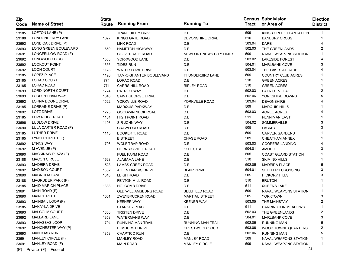| <b>Zip</b><br>Code | <b>Name of Street</b>           | <b>State</b><br>Route | <b>Running From</b>      | <b>Running To</b>        | Tract  | <b>Census Subdivision</b><br>or Area of | <b>Election</b><br><b>District</b> |
|--------------------|---------------------------------|-----------------------|--------------------------|--------------------------|--------|-----------------------------------------|------------------------------------|
| 23185              | LOFTON LANE (P)                 |                       | <b>TRANQUILITY DRIVE</b> | D.E.                     | 509    | KINGS CREEK PLANTATION                  | 1                                  |
| 23188              | LONDONDERRY LANE                | 1627                  | KINGS GATE ROAD          | DEVONSHIRE DRIVE         | 510    | <b>BANBURY CROSS</b>                    |                                    |
| 23692              | LONE OAK DRIVE (P)              |                       | LINK ROAD                | D.E.                     | 503.04 | <b>DARE</b>                             |                                    |
| 23693              | LONG GREEN BOULEVARD            | 1659                  | <b>HAMPTON HIGHWAY</b>   | D.E.                     | 502.03 | THE GREENLANDS                          | 2                                  |
| 23691              | LONGFELLOW ROAD (F)             |                       | <b>CLOVERDALE ROAD</b>   | NEWPORT NEWS CITY LIMITS | 509    | <b>NAVAL WEAPONS STATION</b>            |                                    |
| 23692              | LONGWOOD CIRCLE                 | 1588                  | YORKWOOD LANE            | D.E.                     | 503.02 | <b>LAKESIDE FOREST</b>                  |                                    |
| 23692              | <b>LOOKOUT POINT</b>            | 1356                  | <b>TIDES RUN</b>         | D.E.                     | 504.01 | <b>MARLBANK COVE</b>                    | 3                                  |
| 23692              | <b>LOON COURT</b>               | 1178                  | <b>WATER FOWL DRIVE</b>  | D.E.                     | 503.04 | THE LAKES AT DARE                       |                                    |
| 23185              | LOPEZ PLACE                     | 1126                  | TAM-O-SHANTER BOULEVARD  | THUNDERBIRD LANE         | 509    | <b>COUNTRY CLUB ACRES</b>               |                                    |
| 23185              | <b>LORAC COURT</b>              | 774                   | <b>LORAC ROAD</b>        | D.E.                     | 510    | <b>GREEN ACRES</b>                      |                                    |
| 23185              | LORAC ROAD                      | 771                   | <b>CARRS HILL ROAD</b>   | <b>RIPLEY ROAD</b>       | 510    | <b>GREEN ACRES</b>                      |                                    |
| 23693              | LORD NORTH COURT                | 1774                  | <b>PATRIOT WAY</b>       | D.E.                     | 502.03 | PATRIOT VILLAGE                         | 2                                  |
| 23693              | LORD PELHAM WAY                 | 1646                  | SAINT GEORGE DRIVE       | D.E.                     | 502.06 | YORKSHIRE DOWNS                         |                                    |
| 23692              | LORNA DOONE DRIVE               | 1522                  | YORKVILLE ROAD           | YORKVILLE ROAD           | 503.04 | <b>DEVONSHIRE</b>                       |                                    |
| 23185              | LORRAINE DRIVE (P)              |                       | <b>MARQUIS PARKWAY</b>   | D.E.                     | 509    | <b>MARQUIS HILLS</b>                    |                                    |
| 23692              | <b>LOTZ DRIVE</b>               | 1223                  | GOODWIN NECK ROAD        | D.E.                     | 503.03 | <b>ACREE ACRES</b>                      |                                    |
| 23185              | LOW RIDGE ROAD                  | 1134                  | <b>HIGH POINT ROAD</b>   | D.E.                     | 511    | PENNIMAN EAST                           |                                    |
| 23696              | <b>LUDLOW DRIVE</b>             | 1193                  | SIR JOHN WAY             | D.E.                     | 504.02 | SOMMERVILLE                             | 3                                  |
| 23690              | LULA CARTER ROAD (P)            |                       | <b>CRAWFORD ROAD</b>     | D.E.                     | 505    | <b>LACKEY</b>                           | 3                                  |
| 23185              | LUTHER DRIVE                    | 1115                  | <b>BOOKER T. ROAD</b>    | D.E.                     | 509    | <b>CARVER GARDENS</b>                   |                                    |
| 23185              | LYNCH STREET (F)                |                       | <b>B STREET</b>          | <b>CHASE ROAD</b>        | 509    | CHEATHAM ANNEX                          |                                    |
| 23692              | <b>LYNNS WAY</b>                | 1706                  | <b>WOLF TRAP ROAD</b>    | D.E.                     | 503.03 | <b>COOPERS LANDING</b>                  |                                    |
| 23692              | M AVENUE (P)                    |                       | HORNSBYVILLE ROAD        | 11TH STREET              | 504.01 | <b>AMOCO</b>                            | 3                                  |
| 23690              | MACKINAW PLAZA (F)              |                       | <b>FUEL FARM ROAD</b>    | D.E.                     | 505    | <b>COAST GUARD STATION</b>              |                                    |
| 23188              | <b>MACON CIRCLE</b>             | 1623                  | ALABAMA LANE             | D.E.                     | 510    | <b>SKIMINO HILLS</b>                    |                                    |
| 23693              | <b>MADEIRA DRIVE</b>            | 1523                  | <b>LAMBS CREEK ROAD</b>  | D.E.                     | 502.05 | <b>MADEIRA PLACE</b>                    | 5                                  |
| 23692              | <b>MADISON COURT</b>            | 1382                  | ALLEN HARRIS DRIVE       | <b>BLAIR DRIVE</b>       | 504.01 | SETTLERS CROSSING                       | 3                                  |
| 23690              | <b>MAGNOLIA LANE</b>            | 1018                  | <b>LEIGH ROAD</b>        | D.E.                     | 505    | <b>HICKORY HILLS</b>                    | 3                                  |
| 23188              | MAGRUDER PARK (P)               |                       | <b>FENTON MILL ROAD</b>  | D.E.                     | 510    | <b>BRUTON</b>                           |                                    |
| 23185              | <b>MAID MARION PLACE</b>        | 1333                  | <b>HOLCOMB DRIVE</b>     | D.E.                     | 511    | QUEENS LAKE                             |                                    |
| 23691              | MAIN ROAD (F)                   |                       | OLD WILLIAMSBURG ROAD    | <b>BELLFIELD ROAD</b>    | 509    | NAVAL WEAPONS STATION                   |                                    |
| 23690              | <b>MAIN STREET</b>              | 1001                  | ZWEYBRUCKEN ROAD         | <b>MARTIAU STREET</b>    | 505    | <b>YORKTOWN</b>                         | 3                                  |
| 23693              | MAINSAIL LOOP (P)               |                       | <b>KEENER WAY</b>        | <b>KEENER WAY</b>        | 503.05 | THE MAINSTAY                            | 2                                  |
| 23185              | <b>MAKAYLA DRIVE</b>            |                       | <b>STARKEY PLACE</b>     | D.E.                     | 511    | <b>CARRINGTON MEADOWS</b>               |                                    |
| 23693              | MALCOLM COURT                   | 1666                  | <b>TRISTEN DRIVE</b>     | D.E.                     | 502.03 | THE GREENLANDS                          | 2                                  |
| 23692              | <b>MALLARD LANE</b>             | 1353                  | <b>WATERMANS WAY</b>     | D.E.                     | 504.01 | <b>MARLBANK COVE</b>                    | 3                                  |
| 23693              | <b>MANASSAS LOOP</b>            | 1794                  | <b>RUNNING MAN TRAIL</b> | <b>RUNNING MAN TRAIL</b> | 502.06 | <b>RUNNING MAN</b>                      | 5                                  |
| 23692              | MANCHESTER WAY (P)              |                       | <b>ELMHURST DRIVE</b>    | <b>CRESTWOOD COURT</b>   | 503.06 | <b>WOOD TOWNE QUARTERS</b>              | 2                                  |
| 23693              | <b>MANHOAC RUN</b>              | 1858                  | <b>CHAPTICO RUN</b>      | D.E.                     | 502.06 | <b>RUNNING MAN</b>                      | 5                                  |
| 23691              | MANLEY CIRCLE (F)               |                       | <b>MANLEY ROAD</b>       | <b>MANLEY ROAD</b>       | 509    | NAVAL WEAPONS STATION                   |                                    |
| 23691              | MANLEY ROAD (F)                 |                       | <b>MAIN ROAD</b>         | <b>MANLEY CIRCLE</b>     | 509    | NAVAL WEAPONS STATION                   | 1                                  |
|                    | $(P)$ = Private $(F)$ = Federal |                       |                          |                          |        |                                         | 24                                 |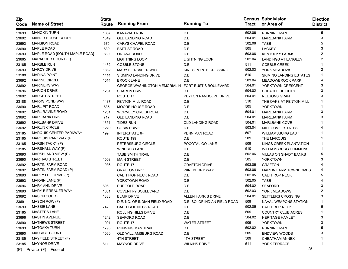| Zip<br>Code | <b>Name of Street</b>           | <b>State</b><br>Route | <b>Running From</b>                                | <b>Running To</b>             | Tract  | <b>Census Subdivision</b><br>or Area of | <b>Election</b><br><b>District</b> |
|-------------|---------------------------------|-----------------------|----------------------------------------------------|-------------------------------|--------|-----------------------------------------|------------------------------------|
| 23693       | <b>MANOKIN TURN</b>             | 1857                  | KANAWAH RUN                                        | D.E.                          | 502.06 | <b>RUNNING MAN</b>                      | 5                                  |
| 23692       | <b>MANOR HOUSE COURT</b>        | 1349                  | OLD LANDING ROAD                                   | D.E.                          | 504.01 | <b>MARLBANK FARM</b>                    | 3                                  |
| 23693       | <b>MANSION ROAD</b>             | 675                   | <b>CARYS CHAPEL ROAD</b>                           | D.E.                          | 502.06 | <b>TABB</b>                             |                                    |
| 23690       | <b>MAPLE ROAD</b>               | 639                   | <b>BAPTIST ROAD</b>                                | D.E.                          | 505    | <b>LACKEY</b>                           |                                    |
| 23693       | MAPLE ROAD [SOUTH MAPLE ROAD]   | 830                   | ORIANA ROAD                                        | D.E.                          | 503.06 | <b>KENTUCKY FARMS</b>                   |                                    |
| 23665       | MARAUDER COURT (F)              |                       | <b>LIGHTNING LOOP</b>                              | <b>LIGHTNING LOOP</b>         | 502.04 | <b>LANDINGS AT LANGLEY</b>              | 2                                  |
| 23185       | <b>MARBLE RUN</b>               | 1432                  | COBBLE STONE                                       | D.E.                          | 511    | <b>COBBLE CREEK</b>                     |                                    |
| 23693       | <b>MARCY DRIVE</b>              | 1882                  | <b>MARY BIERBAUER WAY</b>                          | KINGS POINTE CROSSING         | 502.03 | YORK MEADOWS                            | 2                                  |
| 23188       | <b>MARINA POINT</b>             | 1414                  | <b>SKIMINO LANDING DRIVE</b>                       | D.E.                          | 510    | <b>SKIMINO LANDING ESTATES</b>          |                                    |
| 23692       | <b>MARINE CIRCLE</b>            | 1514                  | <b>BROOK LANE</b>                                  | D.E.                          | 503.04 | <b>MEADOWBROOK PARK</b>                 |                                    |
| 23692       | <b>MARINERS WAY</b>             |                       | GEORGE WASHINGTON MEMORIAL H FORT EUSTIS BOULEVARD |                               | 504.01 | YORKTOWN CRESCENT                       | 3                                  |
| 23696       | <b>MARION DRIVE</b>             | 1261                  | <b>SHARON DRIVE</b>                                | D.E.                          | 504.02 | <b>CHEADLE HEIGHTS</b>                  |                                    |
| 23692       | <b>MARKET STREET</b>            |                       | ROUTE 17                                           | PEYTON RANDOLPH DRIVE         | 504.01 | <b>NELSONS GRANT</b>                    |                                    |
| 23188       | <b>MARKS POND WAY</b>           | 1437                  | <b>FENTON MILL ROAD</b>                            | D.E.                          | 510    | THE OAKS AT FENTON MILL                 |                                    |
| 23690       | <b>MARL PIT ROAD</b>            | 635                   | <b>MOORE HOUSE ROAD</b>                            | D.E.                          | 505    | <b>YORKTOWN</b>                         |                                    |
| 23692       | <b>MARL RAVINE ROAD</b>         | 1201                  | <b>WORMLEY CREEK ROAD</b>                          | D.E.                          | 504.01 | <b>MARLBANK FARM</b>                    | 3                                  |
| 23692       | <b>MARLBANK DRIVE</b>           | 717                   | OLD LANDING ROAD                                   | D.E.                          | 504.01 | <b>MARLBANK FARM</b>                    |                                    |
| 23692       | <b>MARLBANK DRIVE</b>           | 1351                  | <b>TIDES RUN</b>                                   | OLD LANDING ROAD              | 504.01 | <b>MARLBANK COVE</b>                    |                                    |
| 23692       | <b>MARLIN CIRCLE</b>            | 1270                  | <b>COBIA DRIVE</b>                                 | D.E.                          | 503.04 | MILL COVE ESTATES                       |                                    |
| 23185       | MARQUIS CENTER PARKWAY          | 199                   | <b>INTERSTATE 64</b>                               | PENNIMAN ROAD                 | 507    | <b>WILLIAMSBURG EAST</b>                |                                    |
| 23185       | MARQUIS PARKWAY (P)             |                       | ROUTE 199                                          | D.E.                          | 509    | THE MARQUIS                             |                                    |
| 23185       | MARSH TACKY (P)                 |                       | PETERSBURG CIRCLE                                  | POCOTALIGO LANE               | 509    | KINGS CREEK PLANTATION                  |                                    |
| 23185       | MARSHALL WAY (P)                |                       | <b>WINDSOR LANE</b>                                | D.E.                          | 510    | <b>WILLIAMSBURG COMMONS</b>             |                                    |
| 23693       | MARSHLAND VIEW (P)              |                       | <b>TABB SMITH TRAIL</b>                            | D.E.                          | 502.06 | <b>VILLAS ON SHADY BANKS</b>            | 5                                  |
| 23690       | <b>MARTIAU STREET</b>           | 1008                  | <b>MAIN STREET</b>                                 | D.E.                          | 505    | <b>YORKTOWN</b>                         | 3                                  |
| 23692       | <b>MARTIN FARM ROAD</b>         | 1036                  | ROUTE 17                                           | <b>GRAFTON DRIVE</b>          | 503.06 | <b>GRAFTON</b>                          |                                    |
| 23692       | MARTIN FARM ROAD (P)            |                       | <b>GRAFTON DRIVE</b>                               | <b>WINEBERRY WAY</b>          | 503.06 | <b>MARTIN FARM TOWNHOMES</b>            |                                    |
| 23693       | MARTY LEE DRIVE (P)             |                       | CALTHROP NECK ROAD                                 | D.E.                          | 502.05 | <b>CALTHROP NECK</b>                    | 5                                  |
| 23693       | MARVIN LANE (P)                 |                       | YORKTOWN ROAD                                      | D.E.                          | 502.05 | <b>TABB</b>                             |                                    |
| 23696       | <b>MARY ANN DRIVE</b>           | 696                   | PURGOLD ROAD                                       | D.E.                          | 504.02 | <b>SEAFORD</b>                          |                                    |
| 23693       | <b>MARY BIERBAUER WAY</b>       | 1881                  | COVENTRY BOULEVARD                                 | D.E.                          | 502.03 | YORK MEADOWS                            |                                    |
| 23692       | <b>MASON COURT</b>              | 1383                  | <b>BLAIR DRIVE</b>                                 | ALLEN HARRIS DRIVE            | 504.01 | <b>SETTLERS CROSSING</b>                |                                    |
| 23691       | MASON ROW (F)                   |                       | D.E. NO. OF INDIAN FIELD ROAD                      | D.E. SO. OF INDIAN FIELD ROAD | 509    | NAVAL WEAPONS STATION                   |                                    |
| 23693       | <b>MASSIE LANE</b>              | 747                   | CALTHROP NECK ROAD                                 | D.E.                          | 502.05 | <b>CALTHROP NECK</b>                    | 5                                  |
| 23185       | <b>MASTERS LANE</b>             |                       | ROLLING HILLS DRIVE                                | D.E.                          | 509    | <b>COUNTRY CLUB ACRES</b>               |                                    |
| 23696       | <b>MASTIN AVENUE</b>            | 1242                  | <b>SEAFORD ROAD</b>                                | D.E.                          | 504.02 | <b>HERITAGE HAMLET</b>                  | 3                                  |
| 23690       | <b>MATHEWS STREET</b>           | 1001                  | ROUTE 17                                           | <b>WATER STREET</b>           | 505    | YORKTOWN                                |                                    |
| 23693       | <b>MATOAKA TURN</b>             | 1793                  | RUNNING MAN TRAIL                                  | D.E.                          | 502.02 | <b>RUNNING MAN</b>                      |                                    |
| 23690       | <b>MAURICE COURT</b>            | 1060                  | OLD WILLIAMSBURG ROAD                              | D.E.                          | 505    | <b>ENDVIEW WOODS</b>                    |                                    |
| 23185       | MAYFIELD STREET (F)             |                       | <b>4TH STREET</b>                                  | <b>4TH STREET</b>             | 509    | <b>CHEATHAM ANNEX</b>                   |                                    |
| 23185       | <b>MAYNOR DRIVE</b>             | 611                   | <b>MAYNOR DRIVE</b>                                | <b>WILKINS DRIVE</b>          | 511    | YORK TERRACE                            |                                    |
|             | $(P)$ = Private $(F)$ = Federal |                       |                                                    |                               |        | 25                                      |                                    |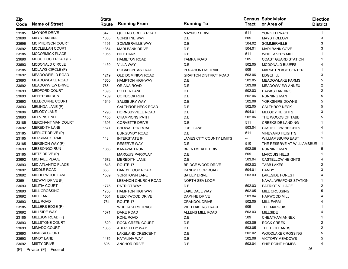| Zip<br>Code | <b>Name of Street</b>           | <b>State</b><br>Route | <b>Running From</b>      | <b>Running To</b>               | Tract  | <b>Census Subdivision</b><br>or Area of | <b>Election</b><br><b>District</b> |
|-------------|---------------------------------|-----------------------|--------------------------|---------------------------------|--------|-----------------------------------------|------------------------------------|
| 23185       | <b>MAYNOR DRIVE</b>             | 647                   | <b>QUEENS CREEK ROAD</b> | <b>MAYNOR DRIVE</b>             | 511    | YORK TERRACE                            | 1                                  |
| 23690       | <b>MAYS LANDING</b>             | 1033                  | SONSHINE WAY             | D.E.                            | 505    | <b>MAYS HOLLOW</b>                      | 3                                  |
| 23696       | MC PHERSON COURT                | 1191                  | SOMMERVILLE WAY          | D.E.                            | 504.02 | <b>SOMMERVILLE</b>                      |                                    |
| 23692       | MCCLELLAN COURT                 | 1354                  | <b>MARLBANK DRIVE</b>    | D.E.                            | 504.01 | <b>MARLBANK COVE</b>                    |                                    |
| 23185       | MCCORMICK PLACE                 | 1055                  | <b>HITE PARK</b>         | D.E.                            | 511    | <b>WHITTAKERS MILL</b>                  |                                    |
| 23690       | MCCULLOCH ROAD (F)              |                       | <b>HAMILTON ROAD</b>     | <b>TAMPA ROAD</b>               | 505    | <b>COAST GUARD STATION</b>              |                                    |
| 23693       | <b>MCDONALD CIRCLE</b>          | 1459                  | <b>VILLA WAY</b>         | D.E.                            | 502.05 | <b>MCDONALD BLUFFS</b>                  |                                    |
| 23185       | MCLAWS CIRCLE (P)               |                       | POCAHONTAS TRAIL         | POCAHONTAS TRAIL                | 509    | MARKETPLACE CENTER                      |                                    |
| 23692       | MEADOWFIELD ROAD                | 1219                  | OLD DOMINION ROAD        | <b>GRAFTON DISTRICT ROAD</b>    | 503.06 | <b>EDGEHILL</b>                         |                                    |
| 23693       | <b>MEADOWLAKE ROAD</b>          | 1650                  | <b>HAMPTON HIGHWAY</b>   | D.E.                            | 502.05 | <b>MEADOWLAKE FARMS</b>                 | 5                                  |
| 23692       | <b>MEADOWVIEW DRIVE</b>         | 766                   | ORIANA ROAD              | D.E.                            | 503.06 | MEADOWVIEW ANNEX                        | 2                                  |
| 23693       | MEDFORD COURT                   | 1895                  | POTTER LANE              | D.E.                            | 502.03 | <b>HAWKS LANDING</b>                    | 2                                  |
| 23693       | <b>MEHERRIN RUN</b>             | 1709                  | <b>COINJOCK RUN</b>      | D.E.                            | 502.06 | <b>RUNNING MAN</b>                      |                                    |
| 23693       | MELBOURNE COURT                 | 1649                  | <b>SALISBURY WAY</b>     | D.E.                            | 502.06 | YORKSHIRE DOWNS                         |                                    |
| 23693       | MELINDA LANE (P)                |                       | CALTHROP NECK ROAD       | D.E.                            | 502.05 | <b>CALTHROP NECK</b>                    |                                    |
| 23696       | MELODY LANE                     | 1296                  | <b>HORNSBYVILLE ROAD</b> | D.E.                            | 504.01 | <b>MELODY HEIGHTS</b>                   |                                    |
| 23693       | <b>MELVINS END</b>              | 1455                  | <b>CHAMPIONS PATH</b>    | D.E.                            | 502.06 | THE WOODS OF TABB                       |                                    |
| 23185       | MERCHANT MAN COURT              | 1396                  | <b>CORVETTE DRIVE</b>    | D.E.                            | 511    | <b>CREEKSIDE LANDING</b>                |                                    |
| 23692       | <b>MEREDITH LANE</b>            | 1671                  | SHOWALTER ROAD           | <b>JOEL LANE</b>                | 503.04 | <b>CASTELLOW HEIGHTS</b>                |                                    |
| 23185       | MERLOT DRIVE (P)                |                       | BURGUNDY ROAD            | D.E.                            | 511    | <b>VINEYARD HEIGHTS</b>                 |                                    |
| 23185       | <b>MERRIMAC TRAIL</b>           | 143                   | <b>INTERSTATE 64</b>     | <b>JAMES CITY COUNTY LIMITS</b> | −−     | <b>WILLIAMSBURG EAST</b>                |                                    |
| 23185       | MERSHON WAY (P)                 |                       | <b>RESERVE WAY</b>       | D.E.                            | 510    | THE RESERVE AT WILLIAMSBUR              |                                    |
| 23693       | <b>MESSONGO RUN</b>             | 1856                  | KANAWAH RUN              | <b>BRENTMEADE DRIVE</b>         | 502.06 | <b>RUNNING MAN</b>                      | 5                                  |
| 23185       | METZ DRIVE (P)                  |                       | <b>MARQUIS PARKWAY</b>   | D.E.                            | 509    | <b>MARQUIS HILLS</b>                    |                                    |
| 23692       | MICHAEL PLACE                   | 1672                  | <b>MEREDITH LANE</b>     | D.E.                            | 503.04 | <b>CASTELLOW HEIGHTS</b>                |                                    |
| 23693       | MID ATLANTIC PLACE              | 1843                  | ROUTE 17                 | <b>BRIDGE WOOD DRIVE</b>        | 502.03 | <b>TABB LAKES</b>                       |                                    |
| 23692       | <b>MIDDLE ROAD</b>              | 656                   | DANDY LOOP ROAD          | DANDY LOOP ROAD                 | 504.01 | <b>DANDY</b>                            |                                    |
| 23692       | MIDDLEWOOD LANE                 | 1589                  | YORKTOWN LANE            | <b>BAILEY DRIVE</b>             | 503.03 | <b>LAKESIDE FOREST</b>                  |                                    |
| 23691       | MIDWAY DRIVE (F)                |                       | LEBANON CHURCH ROAD      | NORTH SEA LOOP                  |        | NAVAL WEAPONS STATION                   |                                    |
| 23693       | <b>MILITIA COURT</b>            | 1775                  | PATRIOT WAY              | D.E.                            | 502.03 | <b>PATRIOT VILLAGE</b>                  |                                    |
| 23693       | MILL CROSSING                   | 1750                  | <b>HAMPTON HIGHWAY</b>   | LAKE DALE WAY                   | 502.05 | MILL CROSSING                           | 5                                  |
| 23692       | <b>MILL LANE</b>                | 1504                  | BEECHWOOD DRIVE          | DAPHNE DRIVE                    | 503.04 | <b>HARWOOD MILL</b>                     |                                    |
| 23693       | <b>MILL ROAD</b>                | 764                   | ROUTE 17                 | CRANDOL DRIVE                   | 502.05 | <b>MILL FARM</b>                        |                                    |
| 23185       | MILLERS EDGE (P)                |                       | <b>WHITTAKERS TRACE</b>  | <b>WHITTAKERS TRACE</b>         | 509    | THE MARQUIS                             |                                    |
| 23692       | MILLSIDE WAY                    | 1571                  | DARE ROAD                | ALLENS MILL ROAD                | 503.03 | <b>MILLSIDE</b>                         | 4                                  |
| 23185       | MILLSON ROAD (F)                |                       | KOHL ROAD                | D.E.                            | 509    | <b>CHEATHAM ANNEX</b>                   |                                    |
| 23693       | MILLSTONE COURT                 | 1820                  | ROCK CREEK COURT         | D.E.                            | 503.05 | <b>ROCK CREEK</b>                       |                                    |
| 23693       | MIMADO COURT                    | 1835                  | ABERFELDY WAY            | D.E.                            | 503.05 | THE HIGHLANDS                           |                                    |
| 23693       | <b>MIMOSA COURT</b>             |                       | LAKELAND CRESCENT        | D.E.                            | 502.02 | <b>WOODLAKE CROSSING</b>                |                                    |
| 23693       | MINDY LANE                      | 1475                  | <b>KATALINA WAY</b>      | D.E.                            | 502.06 | VICTORY MEADOWS                         |                                    |
| 23692       | <b>MISTY DRIVE</b>              | 695                   | <b>ANCHOR DRIVE</b>      | D.E.                            | 503.04 | SHIP POINT HOMES                        |                                    |
|             | $(P)$ = Private $(F)$ = Federal |                       |                          |                                 |        | 26                                      |                                    |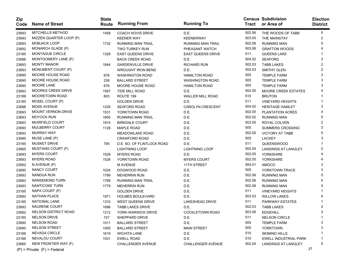| Zip<br>Code | <b>Name of Street</b>           | <b>State</b><br>Route | <b>Running From</b>        | <b>Running To</b>        | Tract  | <b>Census Subdivision</b><br>or Area of | <b>Election</b><br><b>District</b> |
|-------------|---------------------------------|-----------------------|----------------------------|--------------------------|--------|-----------------------------------------|------------------------------------|
| 23693       | <b>MITCHELLS METHOD</b>         | 1458                  | <b>COACH HOVIS DRIVE</b>   | D.E.                     | 502.06 | THE WOODS OF TABB                       | 5                                  |
| 23693       | MIZZEN QUARTER LOOP (P)         |                       | <b>KEENER WAY</b>          | <b>KEENERWAY</b>         | 503.05 | THE MAINSTAY                            | 2                                  |
| 23693       | <b>MOBJACK LOOP</b>             | 1732                  | <b>RUNNING MAN TRAIL</b>   | <b>RUNNING MAN TRAIL</b> | 502.06 | <b>RUNNING MAN</b>                      | 5                                  |
| 23692       | MONARCH GLADE (P)               |                       | TWO TURKEY RUN             | PHEASANT WATCH           | 503.06 | <b>GRAFTON WOODS</b>                    |                                    |
| 23185       | <b>MONTAGUE CIRCLE</b>          | 1328                  | <b>EAST QUEENS DRIVE</b>   | <b>EAST QUEENS DRIVE</b> | 511    | <b>QUEENS LAKE</b>                      |                                    |
| 23696       | MONTGOMERY LANE (P)             |                       | <b>BACK CREEK ROAD</b>     | D.E.                     | 504.02 | <b>SEAFORD</b>                          | 3                                  |
| 23693       | <b>MONTY MANOR</b>              | 1844                  | <b>GARDENVILLE DRIVE</b>   | <b>RICHARD RUN</b>       | 502.03 | <b>TABB LAKES</b>                       | 2                                  |
| 23693       | MONUMENT COURT (P)              |                       | <b>WROUGHT IRON BEND</b>   | D.E.                     | 502.03 | SMITHY GLEN                             | 2                                  |
| 23690       | MOORE HOUSE ROAD                | 676                   | <b>WASHINGTON ROAD</b>     | <b>HAMILTON ROAD</b>     | 505    | <b>TEMPLE FARM</b>                      | 3                                  |
| 23690       | MOORE HOUSE ROAD                | 238                   | <b>BALLARD STREET</b>      | <b>WASHINGTON ROAD</b>   | 505    | <b>TEMPLE FARM</b>                      | 3                                  |
| 23690       | MOORE LANE                      | 676                   | <b>MOORE HOUSE ROAD</b>    | <b>HAMILTON ROAD</b>     | 505    | <b>TEMPLE FARM</b>                      |                                    |
| 23693       | MOORES CREEK DRIVE              | 1567                  | TIDE MILL ROAD             | D.E.                     | 502.05 | <b>MOORE CREEK ESTATES</b>              |                                    |
| 23188       | <b>MOORETOWN ROAD</b>           | 603                   | ROUTE 199                  | <b>WALLER MILL ROAD</b>  | 510    | <b>BRUTON</b>                           |                                    |
| 23185       | MOSEL COURT (P)                 |                       | <b>GOLDEN DRIVE</b>        | D.E.                     | 511    | <b>VINEYARD HEIGHTS</b>                 |                                    |
| 23696       | <b>MOSS AVENUE</b>              | 1235                  | <b>SEAFORD ROAD</b>        | <b>CAROLYN CRESCENT</b>  | 504.02 | <b>HERITAGE HAMLET</b>                  | 3                                  |
| 23693       | MOUNT VERNON DRIVE              | 1531                  | YORKTOWN ROAD              | D.E.                     | 502.05 | <b>PLANTATION ACRES</b>                 |                                    |
| 23693       | <b>MOYOCK RUN</b>               | 1850                  | <b>RUNNING MAN TRAIL</b>   | D.E.                     | 502.02 | <b>RUNNING MAN</b>                      | 5                                  |
| 23693       | MUIRFIELD COURT                 | 1815                  | <b>BIRKDALE COURT</b>      | D.E.                     | 503.05 | ROYAL COLVEN                            | 2                                  |
| 23690       | MULBERRY COURT                  | 1129                  | <b>MAPLE ROAD</b>          | D.E.                     | 505    | SUMMERS CROSSING                        | 3                                  |
| 23693       | <b>MURRAY WAY</b>               |                       | <b>MEADOWLAKE ROAD</b>     | D.E.                     | 502.05 | <b>VICTORY AT TABB</b>                  | 5                                  |
| 23690       | MUSE LANE (P)                   |                       | <b>CRAWFORD ROAD</b>       | D.E.                     | 505    | LACKEY                                  | 3                                  |
| 23185       | <b>MUSKET DRIVE</b>             | 795                   | D.E. SO. OF FLINTLOCK ROAD | D.E.                     | 511    | QUEENSWOOD                              |                                    |
| 23665       | MUSTANG COURT (F)               |                       | <b>LIGHTNING LOOP</b>      | <b>LIGHTNING LOOP</b>    | 502.04 | <b>LANDINGS AT LANGLEY</b>              |                                    |
| 23693       | <b>MYERS COURT</b>              | 1529                  | <b>MYERS ROAD</b>          | D.E.                     | 502.05 | <b>YORKSHIRE</b>                        |                                    |
| 23693       | <b>MYERS ROAD</b>               | 1528                  | YORKTOWN ROAD              | <b>MYERS COURT</b>       | 502.05 | <b>YORKSHIRE</b>                        |                                    |
| 23692       | N AVENUE (P)                    |                       | <b>M AVENUE</b>            | 11TH STREET              | 504.01 | <b>AMOCO</b>                            |                                    |
| 23690       | <b>NANCY COURT</b>              | 1024                  | DOGWOOD ROAD               | D.E.                     | 505    | YORKTOWN TRACE                          | 3                                  |
| 23693       | <b>NANDUA RUN</b>               | 1799                  | <b>MEHERRIN RUN</b>        | D.E.                     | 502.06 | <b>RUNNING MAN</b>                      | 5                                  |
| 23693       | <b>NANSEMOND TURN</b>           | 1789                  | <b>RUNNING MAN TRAIL</b>   | D.E.                     | 502.06 | <b>RUNNING MAN</b>                      | 5                                  |
| 23693       | <b>NANTICOKE TURN</b>           | 1779                  | <b>MEHERRIN RUN</b>        | D.E.                     | 502.06 | <b>RUNNING MAN</b>                      |                                    |
| 23185       | NAPA COURT (P)                  |                       | <b>GOLDEN DRIVE</b>        | D.E.                     | 511    | <b>VINEYARD HEIGHTS</b>                 |                                    |
| 23692       | NATHAN PLACE                    | 1871                  | <b>HOLMES BOULEVARD</b>    | D.E.                     | 503.03 | <b>WILLOW LAKES</b>                     |                                    |
| 23185       | NATIONAL LANE                   | 1310                  | <b>WEST QUEENS DRIVE</b>   | <b>LAKESHEAD DRIVE</b>   | 511    | PARKWAY ESTATES                         |                                    |
| 23693       | NAURENE COURT                   | 1696                  | <b>TABB LAKES DRIVE</b>    | D.E.                     | 502.03 | <b>TABB LAKES</b>                       | 2                                  |
| 23692       | NELSON DISTRICT ROAD            | 1212                  | YORK-WARWICK DRIVE         | COCKLETOWN ROAD          | 503.06 | <b>EDGEHILL</b>                         | 3                                  |
| 23185       | <b>NELSON DRIVE</b>             | 727                   | SHEPPARD DRIVE             | D.E.                     | 511    | <b>NELSON CIRCLE</b>                    | -1                                 |
| 23690       | <b>NELSON ROAD</b>              | 1011                  | <b>BALLARD STREET</b>      | D.E.                     | 505    | <b>TEMPLE FARM</b>                      | 3                                  |
| 23690       | <b>NELSON STREET</b>            | 1005                  | <b>BALLARD STREET</b>      | <b>MAIN STREET</b>       | 505    | <b>YORKTOWN</b>                         | з                                  |
| 23188       | NEVADA CIRCLE                   | 1619                  | <b>WICHITA LANE</b>        | D.E.                     | 510    | <b>SKIMINO HILLS</b>                    |                                    |
| 23188       | NEVALOU COURT                   | 1031                  | <b>EWELL ROAD</b>          | D.E.                     | 510    | <b>EWELL INDUSTRIAL PARK</b>            |                                    |
| 23665       | NEW FRONTIER WAY (F)            |                       | CHALLENGER AVENUE          | <b>CHALLENGER AVENUE</b> | 502.04 | LANDINGS AT LANGLEY                     | 5                                  |
|             | $(P)$ = Private $(F)$ = Federal |                       |                            |                          |        |                                         | 27                                 |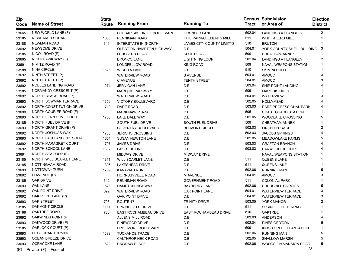| Zip<br>Code | <b>Name of Street</b>           | <b>State</b><br>Route | <b>Running From</b>        | <b>Running To</b>         |        | <b>Census Subdivision</b><br>Tract or Area of | <b>Election</b><br><b>District</b> |
|-------------|---------------------------------|-----------------------|----------------------------|---------------------------|--------|-----------------------------------------------|------------------------------------|
| 23665       | NEW WORLD LANE (F)              |                       | CHESAPEAKE INLET BOULEVARD | <b>GOSNOLD LANE</b>       | 502.04 | LANDINGS AT LANGLEY                           | 2                                  |
| 23185       | NEWBAKER SQUARE                 | 1053                  | PENNIMAN ROAD              | HITE PARK/CLEMENTS MILL   | 511    | <b>WHITTAKERS MILL</b>                        |                                    |
| 23188       | <b>NEWMAN ROAD</b>              | 646                   | INTERSTATE 64 (NORTH)      | JAMES CITY COUNTY LIMITYS | 510    | <b>BRUTON</b>                                 |                                    |
| 23692       | <b>NEWSOME DRIVE</b>            |                       | OLD YORK-HAMPTON HIGHWAY   | D.E.                      | 504.01 | YORK COUNTY SHELL BUILDING                    | -3                                 |
| 23185       | NICOL ROAD (F)                  |                       | LEUSSEUR ROAD              | KOHL ROAD                 | 509    | <b>CHEATHAM ANNEX</b>                         |                                    |
| 23665       | NIGHTHAWK WAY (F)               |                       | <b>BRONCO LANE</b>         | <b>LIGHTNING LOOP</b>     | 502.04 | <b>LANDINGS AT LANGLEY</b>                    | 2                                  |
| 23691       | NIMITZ ROAD (F)                 |                       | LONGFELLOW ROAD            | KING ROAD                 | 509    | NAVAL WEAPONS STATION                         |                                    |
| 23188       | <b>NINA CIRCLE</b>              | 1625                  | <b>WICHITA LANE</b>        | D.E.                      | 510    | <b>SKIMINO HILLS</b>                          |                                    |
| 23692       | NINTH STREET (P)                |                       | <b>WATERVIEW ROAD</b>      | <b>B AVENUE</b>           | 504.01 | <b>AMOCO</b>                                  | 3                                  |
| 23692       | NINTH STREET (P)                |                       | <b>C AVENUE</b>            | <b>TENTH STREET</b>       | 504.01 | <b>AMOCO</b>                                  |                                    |
| 23692       | NOBLES LANDING ROAD             | 1274                  | <b>JERNIGAN LANE</b>       | D.E.                      | 503.04 | SHIP POINT LANDING                            |                                    |
| 23185       | NORMANDY CRESCENT (P)           |                       | <b>MARQUIS PARKWAY</b>     | D.E.                      | 509    | <b>MARQUIS HILLS</b>                          |                                    |
| 23692       | NORTH BEACH ROAD (P)            |                       | <b>WATERVIEW ROAD</b>      | D.E.                      | 504.01 | <b>WATERVIEW</b>                              |                                    |
| 23693       | NORTH BOWMAN TERRACE            | 1656                  | <b>VICTORY BOULEVARD</b>   | D.E.                      | 502.05 | <b>HOLLYMEAD</b>                              |                                    |
| 23692       | NORTH CONSTITUTION DRIVE        | 1710                  | DARE ROAD                  | D.E.                      | 503.03 | DARE PROFESSIONAL PARK                        |                                    |
| 23690       | NORTH COURIER ROAD (F)          |                       | <b>MACKINAW PLAZA</b>      | D.E.                      | 505    | <b>COAST GUARD STATION</b>                    |                                    |
| 23693       | NORTH FERN COVE COURT           | 1756                  | LAKE DALE WAY              | D.E.                      | 502.05 | <b>WOODLAKE CROSSING</b>                      |                                    |
| 23185       | NORTH FUEL DRIVE (F)            |                       | <b>SOUTH FUEL DRIVE</b>    | <b>SOUTH FUEL DRIVE</b>   | 509    | <b>CHEATHAM ANNEX</b>                         |                                    |
| 23693       | NORTH GRANT DRIVE (P)           |                       | <b>COVENTRY BOULEVARD</b>  | <b>BELMONT CIRCLE</b>     | 502.03 | <b>FINCH TERRACE</b>                          | 2                                  |
| 23692       | NORTH JOSHUAS WAY               | 1785                  | <b>JERICHO CROSSING</b>    | D.E.                      | 503.03 | <b>JACOBS SPRINGS</b>                         |                                    |
| 23693       | NORTH LAKELAND CRESCENT         | 1654                  | <b>SUSAN NEWTON LANE</b>   | D.E.                      | 502.05 | <b>MEADOWLAKE FARMS</b>                       |                                    |
| 23692       | NORTH MARAGRET COURT            | 1797                  | <b>JAMES DRIVE</b>         | D.E.                      | 503.03 | <b>GRAFTON BRANCH</b>                         |                                    |
| 23692       | NORTH SCHOOL LANE               | 1502                  | LAKESIDE DRIVE             | D.E.                      | 503.03 | <b>HARWOOD HEIGHTS</b>                        |                                    |
| 23691       | NORTH SEA LOOP (F)              |                       | <b>MIDWAY DRIVE</b>        | <b>MIDWAY DRIVE</b>       |        | NAVAL WEAPONS STATION                         |                                    |
| 23185       | NORTH WILL SCARLET LANE         | 1311                  | <b>WILL SCARLET LANE</b>   | D.E.                      | 511    | <b>QUEENS LAKE</b>                            |                                    |
| 23185       | NOTTINGHAM ROAD                 | 1306                  | <b>LAKESHEAD DRIVE</b>     | D.E.                      | 511    | <b>QUEENS LAKE</b>                            |                                    |
| 23693       | NOTTOWAY TURN                   | 1739                  | KANAWAH RUN                | D.E.                      | 502.06 | <b>RUNNING MAN</b>                            |                                    |
| 23692       | O AVENUE (P)                    |                       | <b>HORNSBYVILLE ROAD</b>   | <b>M AVENUE</b>           | 504.01 | <b>AMOCO</b>                                  |                                    |
| 23185       | OAK DRIVE                       | 642                   | PENNIMAN ROAD              | <b>GOVERNMENT ROAD</b>    | 511    | <b>COLONIAL PARK</b>                          |                                    |
| 23693       | OAK LANE                        | 1578                  | <b>HAMPTON HIGHWAY</b>     | BAYBERRY LANE             | 502.06 | CHURCHILL ESTATES                             |                                    |
| 23692       | OAK POINT DRIVE                 | 692                   | <b>WATERVIEW ROAD</b>      | OAK POINT LANE            | 504.01 | <b>WATERVIEW TERRACE</b>                      | 3                                  |
| 23692       | OAK POINT LANE (P)              |                       | OAK POINT DRIVE            | D.E.                      | 504.01 | <b>WATERVIEW TERRACE</b>                      | 3                                  |
| 23693       | <b>OAK STREET</b>               | 796                   | ROUTE 17                   | <b>TRINITY DRIVE</b>      | 503.05 | YORK MANOR                                    |                                    |
| 23185       | OAKMONT CIRCLE                  | 1111                  | SPRINGFIELD DRIVE          | D.E.                      | 511    | SPRINGFIELD TERRACE                           |                                    |
| 23188       | OAKTREE ROAD                    | 786                   | EAST ROCHAMBEAU DRIVE      | EAST ROCHAMBEAU DRIVE     | 510    | <b>OAKTREE</b>                                |                                    |
| 23692       | OAKWINDS POINT (P)              |                       | ALLENS MILL ROAD           | D.E.                      | 503.03 | ANDERSON                                      | 4                                  |
| 23693       | OAKWOOD DRIVE (P)               |                       | PINEWOOD DRIVE             | D.E.                      | 502.04 | PINES OF YORK                                 | 5                                  |
| 23185       | OARLOCK COURT (P)               |                       | <b>FROGMORE BOULEVARD</b>  | D.E.                      | 509    | KINGS CREEK PLANTATION                        |                                    |
| 23693       | OCCOQUAN TURNING                | 1633                  | <b>TUCKAHOE TRACE</b>      | D.E.                      | 502.06 | <b>RUNNING MAN</b>                            |                                    |
| 23693       | OCEAN BREEZE DRIVE              |                       | CALTHROP NECK ROAD         | D.E.                      | 502.05 | <b>SHALLOW MARSH</b>                          |                                    |
| 23693       | OCRACOKE LANE                   | 1822                  | PAWPAW PLACE               | D.E.                      | 502.06 | WOODS ON MANSION ROAD                         |                                    |
|             | $(P)$ = Private $(F)$ = Federal |                       |                            |                           |        | 28                                            |                                    |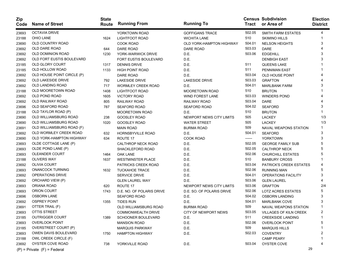| <b>Zip</b><br>Code | <b>Name of Street</b>           | <b>State</b><br>Route | <b>Running From</b>          | <b>Running To</b>               |        | <b>Census Subdivision</b><br>Tract or Area of | <b>Election</b><br><b>District</b> |
|--------------------|---------------------------------|-----------------------|------------------------------|---------------------------------|--------|-----------------------------------------------|------------------------------------|
| 23693              | <b>OCTAVIA DRIVE</b>            |                       | YORKTOWN ROAD                | GOFFIGANS TRACE                 | 502.05 | <b>SMITH FARM ESTATES</b>                     | 4                                  |
| 23188              | OHIO LANE                       | 1624                  | LIGHTFOOT ROAD               | <b>WICHITA LANE</b>             | 510    | <b>SKIMINO HILLS</b>                          |                                    |
| 23690              | OLD COUNTRY ROAD                |                       | <b>COOK ROAD</b>             | <b>OLD YORK-HAMPTON HIGHWAY</b> | 504.01 | <b>NELSON HEIGHTS</b>                         | 3                                  |
| 23692              | OLD DARE ROAD                   | 644                   | DARE ROAD                    | DARE ROAD                       | 503.03 | DARE                                          |                                    |
| 23692              | OLD DOMINION ROAD               | 1230                  | YORK-WARWICK DRIVE           | D.E.                            | 503.06 | <b>EDGEHILL</b>                               |                                    |
| 23692              | OLD FORT EUSTIS BOULEVARD       |                       | <b>FORT EUSTIS BOULEVARD</b> | D.E.                            |        | <b>DENBIGH EAST</b>                           |                                    |
| 23185              | OLD GLORY COURT                 | 1317                  | <b>DENNIS DRIVE</b>          | D.E.                            | 511    | <b>QUEENS LAKE</b>                            |                                    |
| 23185              | OLD HOLLOW ROAD                 | 1133                  | <b>HIGH POINT ROAD</b>       | D.E.                            | 511    | PENNIMAN EAST                                 |                                    |
| 23692              | OLD HOUSE POINT CIRCLE (P)      |                       | DARE ROAD                    | D.E.                            | 503.04 | <b>OLD HOUSE POINT</b>                        |                                    |
| 23692              | OLD LAKESIDE DRIVE              | 792                   | <b>LAKESIDE DRIVE</b>        | <b>LAKESIDE DRIVE</b>           | 503.03 | <b>GRAFTON</b>                                |                                    |
| 23692              | OLD LANDING ROAD                | 717                   | <b>WORMLEY CREEK ROAD</b>    | D.E.                            | 504.01 | <b>MARLBANK FARM</b>                          |                                    |
| 23188              | OLD MOORETOWN ROAD              | 1408                  | LIGHTFOOT ROAD               | <b>MOORETOWN ROAD</b>           | 510    | <b>BRUTON</b>                                 |                                    |
| 23692              | OLD POND ROAD                   | 1605                  | <b>VICTORY ROAD</b>          | <b>WIND FOREST LANE</b>         | 503.03 | <b>WINDERS POND</b>                           |                                    |
| 23692              | OLD RAILWAY ROAD                | 805                   | RAILWAY ROAD                 | RAILWAY ROAD                    | 503.04 | <b>DARE</b>                                   |                                    |
| 23696              | OLD SEAFORD ROAD                | 787                   | <b>SEAFORD ROAD</b>          | <b>SEAFORD ROAD</b>             | 504.02 | <b>SEAFORD</b>                                | 3                                  |
| 23188              | OLD TAYLOR ROAD (P)             |                       | <b>MOORETOWN ROAD</b>        | D.E.                            | 510    | <b>BRUTON</b>                                 |                                    |
| 23690              | OLD WILLIAMSBURG ROAD           | 238                   | <b>GOOSLEY ROAD</b>          | NEWPORT NEWS CITY LIMITS        | 505    | <b>LACKEY</b>                                 | 1/3                                |
| 23690              | OLD WILLIAMSBURG ROAD           | 1020                  | GOOSLEY ROAD                 | <b>WATER STREET</b>             | 505    | <b>LACKEY</b>                                 | 1/3                                |
| 23691              | OLD WILLIAMSBURG ROAD (F)       |                       | <b>MAIN ROAD</b>             | BURMA ROAD                      | 509    | <b>NAVAL WEAPONS STATION</b>                  |                                    |
| 23692              | OLD WORMLEY CREEK ROAD          | 632                   | <b>HORNSBYVILLE ROAD</b>     | D.E.                            | 504.01 | <b>SEAFORD</b>                                | 3                                  |
| 23690              | OLD YORK-HAMPTON HIGHWAY        | 634                   | ROUTE 17                     | <b>COOK ROAD</b>                | ------ | <b>YORKTOWN</b>                               | 3                                  |
| 23693              | OLDE COTTAGE LANE (P)           |                       | CALTHROP NECK ROAD           | D.E.                            | 502.05 | <b>GEORGE FAMILY SUB</b>                      |                                    |
| 23693              | OLDE POND LANE (P)              |                       | SHACKLEFORD ROAD             | D.E.                            | 502.05 | <b>CALTHROP NECK</b>                          |                                    |
| 23693              | <b>OLEANDER COURT</b>           | 1464                  | <b>OAK LANE</b>              | D.E.                            | 502.06 | CHURCHILL ESTATES                             |                                    |
| 23188              | <b>OLIVERS WAY</b>              | 1637                  | <b>WESTMINSTER PLACE</b>     | D.E.                            | 510    | <b>BANBURY CROSS</b>                          |                                    |
| 23692              | <b>OLIVIA COURT</b>             |                       | <b>PATRICKS CREEK ROAD</b>   | D.E.                            | 503.04 | PATRICK'S CREEK ESTATES                       |                                    |
| 23693              | <b>ONANCOCK TURNING</b>         | 1632                  | <b>TUCKAHOE TRACE</b>        | D.E.                            | 502.06 | <b>RUNNING MAN</b>                            |                                    |
| 23692              | OPERATIONS DRIVE                |                       | SERVICE DRIVE                | D.E.                            | 504.01 | OPERATIONS FACILITY                           | 3                                  |
| 23692              | ORCHARD VIEW (P)                |                       | <b>GLEN LAUREL WAY</b>       | D.E.                            | 503.06 | <b>GLEN LAUREL</b>                            |                                    |
| 23693              | ORIANA ROAD                     | 620                   | ROUTE 17                     | NEWPORT NEWS CITY LIMITS        | 503.06 | <b>GRAFTON</b>                                | 2/4                                |
| 23693              | ORION COURT                     | 1743                  | D.E. NO. OF POLARIS DRIVE    | D.E. SO. OF POLARIS DRIVE       | 502.06 | LOTZ ACRES ESTATES                            |                                    |
| 23696              | <b>OSBORN LANE</b>              |                       | SEAFORD ROAD                 | D.E.                            | 504.02 | <b>OSBORN LANDING</b>                         |                                    |
| 23692              | <b>OSPREY POINT</b>             | 1355                  | <b>TIDES RUN</b>             | D.E.                            | 504.01 | <b>MARLBANK COVE</b>                          |                                    |
| 23691              | OTTER TRAIL (F)                 |                       | OLD WILLIAMSBURG ROAD        | BURMA ROAD                      | 509    | NAVAL WEAPONS STATION                         |                                    |
| 23693              | OTTIS STREET                    |                       | <b>COMMONWEALTH DRIVE</b>    | CITY OF NEWPORT NEWS            | 503.05 | <b>VILLAGES OF KILN CREEK</b>                 |                                    |
| 23185              | <b>OUTRIGGER COURT</b>          | 1389                  | <b>SCHOONER BOULEVARD</b>    | D.E.                            | 511    | <b>CREEKSIDE LANDING</b>                      | -1                                 |
| 23693              | <b>OVERLOOK POINT</b>           |                       | <b>MANSION ROAD</b>          | D.E.                            | 502.06 | <b>OVERLOOK POINT</b>                         | 5                                  |
| 23185              | OVERSTREET COURT (P)            |                       | <b>MARQUIS PARKWAY</b>       | D.E.                            | 509    | <b>MARQUIS HILLS</b>                          |                                    |
| 23693              | OWEN DAVIS BOULEVARD            | 1750                  | <b>HAMPTON HIGHWAY</b>       | D.E.                            | 502.03 | <b>COVENTRY</b>                               | 2                                  |
| 23188              | OWL CREEK CIRCLE (F)            |                       |                              |                                 |        | <b>CAMP PEARY</b>                             |                                    |
| 23692              | OYSTER COVE ROAD                | 738                   | YORKVILLE ROAD               | D.E.                            | 503.04 | OYSTER COVE                                   |                                    |
|                    | $(P)$ = Private $(F)$ = Federal |                       |                              |                                 |        | 29                                            |                                    |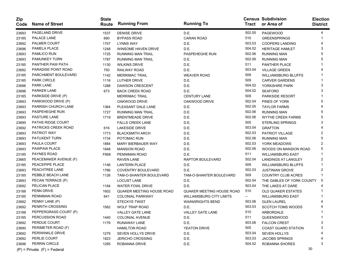| Zip<br>Code | <b>Name of Street</b>           | <b>State</b><br>Route | <b>Running From</b>              | <b>Running To</b>                |        | <b>Census Subdivision</b><br>Tract or Area of | <b>Election</b><br><b>District</b> |
|-------------|---------------------------------|-----------------------|----------------------------------|----------------------------------|--------|-----------------------------------------------|------------------------------------|
| 23693       | PAGELAND DRIVE                  | 1537                  | <b>DENISE DRIVE</b>              | D.E.                             | 502.05 | PAGEWOOD                                      | 4                                  |
| 23185       | PALACE LANE                     | 690                   | <b>BYPASS ROAD</b>               | <b>CARAN ROAD</b>                | 510    | <b>GREENSPRINGS</b>                           |                                    |
| 23692       | PALMER COURT                    | 1707                  | <b>LYNNS WAY</b>                 | D.E.                             | 503.03 | <b>COOPERS LANDING</b>                        |                                    |
| 23696       | PAMELA PLACE                    | 1248                  | <b>WINSOME HAVEN DRIVE</b>       | D.E.                             | 504.02 | <b>HERITAGE HAMLET</b>                        | 3                                  |
| 23693       | PAMLICO RUN                     | 1725                  | <b>RUNNING MAN TRAIL</b>         | PASPEHEGHE RUN                   | 502.06 | <b>RUNNING MAN</b>                            | 5                                  |
| 23693       | <b>PAMUNKEY TURN</b>            | 1787                  | <b>RUNNING MAN TRAIL</b>         | D.E.                             | 502.06 | <b>RUNNING MAN</b>                            |                                    |
| 23185       | PANTHER PAW PATH                | 1130                  | <b>WILKINS DRIVE</b>             | D.E.                             | 511    | PANTHER PLACE                                 |                                    |
| 23692       | PARADISE POINT ROAD             | 750                   | RAILWAY ROAD                     | D.E.                             | 503.04 | <b>VILLAGE GREEN</b>                          |                                    |
| 23185       | PARCHMENT BOULEVARD             | 1142                  | <b>MERRIMAC TRAIL</b>            | <b>WEAVER ROAD</b>               | 509    | <b>WILLIAMSBURG BLUFFS</b>                    |                                    |
| 23185       | <b>PARK CIRCLE</b>              | 1116                  | LUTHER DRIVE                     | D.E.                             | 509    | <b>CARVER GARDENS</b>                         |                                    |
| 23696       | <b>PARK LANE</b>                | 1288                  | <b>DAWSON CRESCENT</b>           | D.E.                             | 504.02 | YORKSHIRE PARK                                | 3                                  |
| 23696       | PARKER LANE                     | 673                   | <b>BACK CREEK ROAD</b>           | D.E.                             | 504.02 | <b>SEAFORD</b>                                | 3                                  |
| 23185       | PARKSIDE DRIVE (P)              |                       | <b>MERRIMAC TRAIL</b>            | <b>CENTURY LANE</b>              | 509    | PARKSIDE RESORT                               |                                    |
| 23693       | PARKWOOD DRIVE (P)              |                       | OAKWOOD DRIVE                    | OAKWOOD DRIVE                    | 502.04 | PINES OF YORK                                 | 5                                  |
| 23693       | PARRISH CHURCH LANE             | 1364                  | PLEASANT DALE LANE               | D.E.                             | 502.05 | <b>TAYLOR FARMS</b>                           |                                    |
| 23693       | PASPEHEGHE RUN                  | 1727                  | <b>RUNNING MAN TRAIL</b>         | D.E.                             | 502.06 | <b>RUNNING MAN</b>                            | 5                                  |
| 23693       | <b>PASTURE LANE</b>             | 1719                  | <b>BRENTMEADE DRIVE</b>          | D.E.                             | 502.06 | <b>WYTHE CREEK FARMS</b>                      |                                    |
| 23690       | PATHS RIDGE COURT               |                       | <b>FALLS CREEK LANE</b>          | D.E.                             | 505    | <b>STERLING SPRINGS</b>                       |                                    |
| 23692       | PATRICKS CREEK ROAD             | 616                   | <b>LAKESIDE DRIVE</b>            | D.E.                             | 503.04 | <b>GRAFTON</b>                                |                                    |
| 23693       | PATRIOT WAY                     | 1773                  | <b>BLACKSMITH ARCH</b>           | D.E.                             | 502.03 | PATRIOT VILLAGE                               | 2                                  |
| 23693       | PATUXENT TURN                   | 1734                  | POTOMAC RUN                      | D.E.                             | 502.06 | <b>RUNNING MAN</b>                            | 5                                  |
| 23693       | PAULA COURT                     | 1884                  | <b>MARY BIERBAUER WAY</b>        | D.E.                             | 502.03 | YORK MEADOWS                                  |                                    |
| 23693       | PAWPAW PLACE                    | 1848                  | <b>MANSION ROAD</b>              | D.E.                             | 502.06 | WOODS ON MANSION ROAD                         | 5                                  |
| 23185       | PAYNES ROAD                     | F668                  | PENNIMAN ROAD                    | D.E.                             | 511    | <b>WILLIAMSBURG EAST</b>                      |                                    |
| 23665       | PEACEMAKER AVENUE (F)           |                       | <b>RAVEN LANE</b>                | RAPTOR BOULEVARD                 | 502.04 | <b>LANDINGS AT LANGLEY</b>                    | 2                                  |
| 23185       | PEACEPIPE PLACE                 | 1146                  | <b>LANTERN PLACE</b>             | D.E.                             | 509    | <b>WILLIAMSBURG BLUFFS</b>                    |                                    |
| 23693       | PEACHTREE LANE                  | 1766                  | <b>COVENTRY BOULEVARD</b>        | D.E.                             | 502.03 | <b>JUSTINIAN GROVE</b>                        |                                    |
| 23185       | PEBBLE BEACH LANE               | 1126                  | TAM-O-SHANTER BOULEVARD          | TAM-O-SHANTER BOULEVARD          | 509    | COUNTRY CLUB ACRES                            |                                    |
| 23693       | PECAN TERRACE (P)               |                       | <b>LOCUST LANE</b>               | D.E.                             | 502.04 | THE GABLES OF YORK COUNTY                     | 5                                  |
| 23692       | PELICAN PLACE                   | 1184                  | <b>WATER FOWL DRIVE</b>          | D.E.                             | 503.04 | THE LAKES AT DARE                             |                                    |
| 23188       | PENN DRIVE                      | 1602                  | <b>QUAKER MEETING HOUSE ROAD</b> | <b>QUAKER MEETING HOUSE ROAD</b> | 510    | <b>OLD QUAKER ESTATES</b>                     |                                    |
| 23185       | PENNIMAN ROAD                   | 641                   | <b>COLONIAL PARKWAY</b>          | <b>WILLIAMSBURG CITY LIMITS</b>  | $--$   | <b>WILLIAMSBURG EAST</b>                      |                                    |
| 23692       | PENNY LANE (P)                  |                       | <b>STECKYS TWIST</b>             | <b>WAINWRIGHTS BEND</b>          | 503.06 | <b>GLEN LAUREL</b>                            |                                    |
| 23692       | PENRITH CROSSING                | 1562                  | <b>WOLF TRAP ROAD</b>            | D.E.                             | 503.03 | <b>SCOTCH TOMS WOODS</b>                      |                                    |
| 23188       | PEPPERGRASS COURT (P)           |                       | VALLEY GATE LANE                 | VALLEY GATE LANE                 | 510    | ARBORDALE                                     |                                    |
| 23185       | <b>PERCUSSION ROAD</b>          | 1440                  | <b>COLONIAL AVENUE</b>           | D.E.                             | 511    | QUEENSWOOD                                    | -1                                 |
| 23692       | PERDUE COURT                    | 1176                  | RUNAWAY LANE                     | D.E.                             | 503.06 | <b>FALCON CREST</b>                           | 3                                  |
| 23690       | PERIMETER ROAD (F)              |                       | <b>HAMILTON ROAD</b>             | YEATON DRIVE                     | 505    | <b>COAST GUARD STATION</b>                    |                                    |
| 23692       | PERIWINKLE DRIVE                | 1279                  | SEVEN HOLLYS DRIVE               | D.E.                             | 503.04 | SEVEN HOLLYS                                  |                                    |
| 23692       | <b>PERLIE COURT</b>             | 1823                  | JERICHO CROSSING                 | D.E.                             | 503.03 | <b>JACOBS SPRINGS</b>                         |                                    |
| 23696       | PERRIN CIRCLE                   | 1285                  | ROBANNA DRIVE                    | D.E.                             | 504.02 | ROBANNA SHORES                                | 3                                  |
|             | $(P)$ = Private $(F)$ = Federal |                       |                                  |                                  |        | 30                                            |                                    |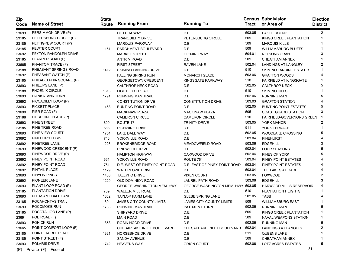| Zip<br>Code | <b>Name of Street</b>           | <b>State</b><br>Route | <b>Running From</b>                | <b>Running To</b>                 | Tract  | <b>Census Subdivision</b><br>or Area of | <b>Election</b><br><b>District</b> |
|-------------|---------------------------------|-----------------------|------------------------------------|-----------------------------------|--------|-----------------------------------------|------------------------------------|
| 23693       | PERSIMMON DRIVE (P)             |                       | DE LUCA WAY                        | D.E.                              | 503.05 | <b>EAGLE SOUND</b>                      | $\overline{2}$                     |
| 23185       | PETERSBURG CIRCLE (P)           |                       | <b>TRANQUILITY DRIVE</b>           | PETERSBURG CIRCLE                 | 509    | KINGS CREEK PLANTATION                  | 1                                  |
| 23185       | PETTIGREW COURT (P)             |                       | <b>MARQUIS PARKWAY</b>             | D.E.                              | 509    | <b>MARQUIS KILLS</b>                    |                                    |
| 23185       | PEWTER COURT                    | 1151                  | PARCHMENT BOULEVARD                | D.E.                              | 509    | <b>WILLIAMSBURG BLUFFS</b>              |                                    |
| 23692       | PEYTON RANDOLPH DRIVE           |                       | <b>MARKET STREET</b>               | <b>FLEMING WAY</b>                | 504.01 | <b>NELSONS GRANT</b>                    | 3                                  |
| 23185       | PFARRER ROAD (F)                |                       | <b>ANTRIM ROAD</b>                 | D.E.                              | 509    | <b>CHEATHAM ANNEX</b>                   |                                    |
| 23665       | PHANTOM TRACE (F)               |                       | <b>FIRST STREET</b>                | <b>RAVEN LANE</b>                 | 502.04 | <b>LANDINGS AT LANGLEY</b>              | 2                                  |
| 23188       | PHEASANT SPRINGS ROAD           | 1412                  | SKIMINO LANDING DRIVE              | D.E.                              | 510    | <b>SKIMINO LANDING ESTATES</b>          |                                    |
| 23692       | PHEASANT WATCH (P)              |                       | <b>FALLING SPRING RUN</b>          | <b>MONARCH GLADE</b>              | 503.06 | <b>GRAFTON WOODS</b>                    |                                    |
| 23185       | PHILADELPHIA SQUARE (P)         |                       | <b>GEORGETOWN CRESCENT</b>         | KINGSGATE PARKWAY                 | 510    | <b>FAIRFIELD AT KINGSGATE</b>           |                                    |
| 23693       | PHILLIPS LANE (P)               |                       | <b>CALTHROP NECK ROAD</b>          | D.E.                              | 502.05 | <b>CALTHROP NECK</b>                    | 5                                  |
| 23188       | PHOENIX CIRCLE                  | 1615                  | LIGHTFOOT ROAD                     | D.E.                              | 510    | SKIMINO HILLS                           |                                    |
| 23693       | <b>PIANKATANK TURN</b>          | 1791                  | <b>RUNNING MAN TRAIL</b>           | D.E.                              | 502.06 | <b>RUNNING MAN</b>                      | 5                                  |
| 23692       | PICCADILLY LOOP (P)             |                       | <b>CONSTITUTION DRIVE</b>          | <b>CONSTITUTION DRIVE</b>         | 503.03 | <b>GRAFTON STATION</b>                  |                                    |
| 23693       | PICKETT PLACE                   | 1468                  | <b>BUNTING POINT ROAD</b>          | D.E.                              | 502.05 | <b>BUNTING POINT ESTATES</b>            | 5                                  |
| 23690       | PIER ROAD (F)                   |                       | <b>MACKINAW PLAZA</b>              | <b>MACKINAW PLAZA</b>             | 505    | <b>COAST GUARD STATION</b>              | 3                                  |
| 23188       | PIERPOINT PLACE (P)             |                       | <b>CAMERON CIRCLE</b>              | <b>CAMERON CIRCLE</b>             | 510    | <b>FAIRFIELD-GOVERNORS GREEN</b>        |                                    |
| 23693       | PINE STREET                     | 800                   | ROUTE 17                           | <b>TRINITY DRIVE</b>              | 503.05 | YORK MANOR                              | 2                                  |
| 23185       | PINE TREE ROAD                  | 688                   | <b>RICHWINE DRIVE</b>              | D.E.                              | 511    | YORK TERRACE                            |                                    |
| 23693       | PINE VIEW COURT                 | 1754                  | LAKE DALE WAY                      | D.E.                              | 502.05 | <b>WOODLAKE CROSSING</b>                | 5                                  |
| 23692       | PINEHURST DRIVE                 | 746                   | YORKVILLE ROAD                     | D.E.                              | 503.04 | <b>PINEHURST</b>                        |                                    |
| 23692       | PINETREE LANE                   | 1226                  | <b>BROKENBRIDGE ROAD</b>           | <b>MEADOWFIELD ROAD</b>           | 503.06 | <b>EDGEHILL</b>                         | 3                                  |
| 23693       | PINEWOOD CRESCENT (P)           |                       | PINEWOOD DRIVE                     | D.E.                              | 502.04 | <b>FOUR SEASONS</b>                     |                                    |
| 23693       | PINEWOOD DRIVE (P)              |                       | <b>HAMPTON HIGHWAY</b>             | OAKWOOD DRIVE                     | 502.04 | PINES OF YORK                           |                                    |
| 23692       | PINEY POINT ROAD                | 661                   | YORKVILLE ROAD                     | ROUTE 761                         | 503.04 | PINEY POINT ESTATES                     |                                    |
| 23692       | PINEY POINT ROAD                | 761                   | D.E. WEST OF PINEY POINT ROAD      | D.E. EAST OF PINEY POINT ROAD     | 503.04 | PINEY POINT ESTATES                     |                                    |
| 23692       | PINTAIL PLACE                   | 1179                  | <b>WATERFOWL DRIVE</b>             | D.E.                              | 503.04 | THE LAKES AT DARE                       |                                    |
| 23693       | PINYON PINES                    | 1486                  | <b>TALLYHO DRIVE</b>               | <b>VIXEN COURT</b>                | 503.05 | <b>FOXWOOD</b>                          |                                    |
| 23692       | PIONEER LANE                    | 1229                  | OLD DOMINION ROAD                  | LAUREL PATH ROAD                  | 503.06 | <b>EDGEHILL</b>                         | 3                                  |
| 23693       | PLANT LOOP ROAD (P)             |                       | <b>GEORGE WASHINGTON MEM. HWY.</b> | GEORGE WASHINGTON MEM. HWY 503.05 |        | <b>HARWOOD MILLS RESERVOIR</b>          |                                    |
| 23185       | PLANTATION DRIVE                | 789                   | <b>WALLER MILL ROAD</b>            | D.E.                              | 510    | PLANTATION HEIGHTS                      |                                    |
| 23693       | PLEASANT DALE LANE              | 1362                  | <b>TAYLOR FARM LANE</b>            | <b>GLEBE SPRING LANE</b>          | 502.05 | <b>TABB</b>                             |                                    |
| 23185       | POCAHONTAS TRAIL                | 60                    | <b>JAMES CITY COUNTY LIMITS</b>    | <b>JAMES CITY COUNTY LIMITS</b>   | 509    | <b>WILLIAMSBURG EAST</b>                |                                    |
| 23693       | POCOMOKE RUN                    | 1733                  | <b>RUNNING MAN TRAIL</b>           | PATUXENT TURN                     | 502.06 | <b>RUNNING MAN</b>                      | 5                                  |
| 23185       | POCOTALIGO LANE (P)             |                       | SHIPYARD DRIVE                     | D.E.                              | 509    | KINGS CREEK PLANTATION                  |                                    |
| 23691       | POE ROAD (F)                    |                       | <b>MAIN ROAD</b>                   | D.E.                              | 509    | NAVAL WEAPONS STATION                   | 1                                  |
| 23693       | POHICK RUN                      | 1853                  | ROBIN HOOD DRIVE                   | D.E.                              | 502.06 | <b>RUNNING MAN</b>                      | 5                                  |
| 23665       | POINT COMFORT LOOP (F)          |                       | CHESAPEAKE INLET BOULEVARD         | CHESAPEAKE INLET BOULEVARD        | 502.04 | <b>LANDINGS AT LANGLEY</b>              | 2                                  |
| 23185       | POINT LAUREL PLACE              | 1321                  | HORSESHOE DRIVE                    | D.E.                              | 511    | <b>QUEENS LAKE</b>                      |                                    |
| 23185       | POINT STREET (F)                |                       | SANDA AVENUE                       | D.E.                              | 509    | CHEATHAM ANNEX                          |                                    |
| 23693       | POLARIS DRIVE                   | 1742                  | <b>HEAVENS WAY</b>                 | ORION COURT                       | 502.06 | LOTZ ACRES ESTATES                      | 5                                  |
|             | $(P)$ = Private $(F)$ = Federal |                       |                                    |                                   |        | 31                                      |                                    |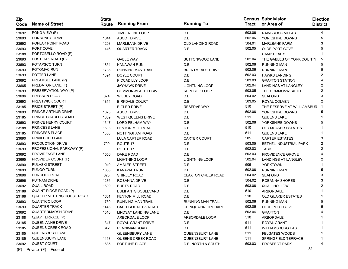| Zip<br>Code | <b>Name of Street</b>           | <b>State</b><br>Route | <b>Running From</b>        | <b>Running To</b>         | <b>Tract</b> | <b>Census Subdivision</b><br>or Area of | <b>Election</b><br><b>District</b> |
|-------------|---------------------------------|-----------------------|----------------------------|---------------------------|--------------|-----------------------------------------|------------------------------------|
| 23692       | POND VIEW (P)                   |                       | <b>TIMBERLINE LOOP</b>     | D.E.                      | 503.06       | <b>RAINBROOK VILLAS</b>                 | 4                                  |
| 23693       | PONSONBY DRIVE                  | 1644                  | <b>ASCOT DRIVE</b>         | D.E.                      | 502.06       | YORKSHIRE DOWNS                         | 5                                  |
| 23692       | POPLAR POINT ROAD               | 1208                  | <b>MARLBANK DRIVE</b>      | OLD LANDING ROAD          | 504.01       | <b>MARLBANK FARM</b>                    | 3                                  |
| 23693       | PORT COVE                       | 1446                  | <b>QUARTER TRACK</b>       | D.E.                      | 502.05       | OLDE PORT COVE                          | 5                                  |
| 23188       | PORTOBELLO ROAD (F)             |                       |                            |                           |              | <b>CAMP PEARY</b>                       |                                    |
| 23693       | POST OAK ROAD (P)               |                       | <b>GABLE WAY</b>           | <b>BUTTONWOOD LANE</b>    | 502.04       | THE GABLES OF YORK COUNTY               | 5                                  |
| 23693       | POTAPSCO TURN                   | 1854                  | <b>KANAWAH RUN</b>         | D.E.                      | 502.06       | <b>RUNNING MAN</b>                      | 5                                  |
| 23693       | POTOMAC RUN                     | 1735                  | <b>RUNNING MAN TRAIL</b>   | <b>BRENTMEADE DRIVE</b>   | 502.06       | <b>RUNNING MAN</b>                      | 5                                  |
| 23693       | POTTER LANE                     | 1894                  | DOYLE COURT                | D.E.                      | 502.03       | <b>HAWKS LANDING</b>                    |                                    |
| 23692       | PREAMBLE LANE (P)               |                       | PICCADILLY LOOP            | D.E.                      | 503.03       | <b>GRAFTON STATION</b>                  |                                    |
| 23665       | PREDATOR LANE (F)               |                       | <b>JAYHAWK DRIVE</b>       | <b>LIGHTNING LOOP</b>     | 502.04       | <b>LANDINGS AT LANGLEY</b>              |                                    |
| 23693       | PRESERVATION WAY (P)            |                       | <b>COMMONWEALTH DRIVE</b>  | REPUBLIC LOOP             | 503.05       | THE COMMONWEALTH                        | 2                                  |
| 23696       | PRESSON ROAD                    | 674                   | <b>WILDEY ROAD</b>         | D.E.                      | 504.02       | <b>SEAFORD</b>                          |                                    |
| 23693       | PRESTWICK COURT                 | 1814                  | <b>BIRKDALE COURT</b>      | D.E.                      | 503.05       | ROYAL COLVEN                            | 2                                  |
| 23185       | PRICE STREET (P)                |                       | <b>BIGLER DRIVE</b>        | <b>RESERVE WAY</b>        | 510          | THE RESERVE AT WILLIAMSBUR              |                                    |
| 23693       | PRINCE ARTHUR DRIVE             | 1675                  | <b>ASCOT DRIVE</b>         | D.E.                      | 502.06       | YORKSHIRE DOWNS                         |                                    |
| 23185       | PRINCE CHARLES ROAD             | 1309                  | <b>WEST QUEENS DRIVE</b>   | D.E.                      | 511          | <b>QUEENS LAKE</b>                      |                                    |
| 23693       | PRINCE HENRY COURT              | 1647                  | <b>LORD PELHAM WAY</b>     | D.E.                      | 502.06       | YORKSHIRE DOWNS                         | 5                                  |
| 23188       | PRINCESS LANE                   | 1603                  | <b>FENTON MILL ROAD</b>    | D.E.                      | 510          | <b>OLD QUAKER ESTATES</b>               |                                    |
| 23185       | PRINCESS PLACE                  | 1308                  | NOTTINGHAM ROAD            | D.E.                      | 511          | <b>QUEENS LAKE</b>                      |                                    |
| 23690       | PRIVILEGED LANE                 |                       | LULA CARTER ROAD           | <b>CARTER COURT</b>       | 505          | <b>CARTER ESTATES</b>                   | 3                                  |
| 23693       | PRODUCTION DRIVE                | 799                   | ROUTE 17                   | D.E.                      | 503.05       | <b>BETHEL INDUSTRIAL PARK</b>           | 2                                  |
| 23693       | PROFESSIONAL PARKWAY (P)        |                       | ROUTE 17                   | D.E.                      | 502.03       | <b>TABB</b>                             | 2                                  |
| 23692       | PROVIDENCE LANE                 | 1556                  | <b>DARE ROAD</b>           | D.E.                      | 503.03       | PROVIDENCE GROVE                        |                                    |
| 23665       | PROVIDER COURT (F)              |                       | <b>LIGHTNING LOOP</b>      | <b>LIGHTNING LOOP</b>     | 502.04       | <b>LANDINGS AT LANGLEY</b>              | 2                                  |
| 23690       | PULASKI STREET                  | 1010                  | <b>AMBLER STREET</b>       | D.E.                      | 505          | <b>YORKTOWN</b>                         |                                    |
| 23693       | PUNGO TURN                      | 1855                  | <b>KANAWAH RUN</b>         | D.E.                      | 502.06       | <b>RUNNING MAN</b>                      | 5                                  |
| 23696       | PURGOLD ROAD                    | 625                   | <b>SHIRLEY ROAD</b>        | <b>CLAXTON CREEK ROAD</b> | 504.02       | <b>SEAFORD</b>                          | 3                                  |
| 23696       | PUTNAM DRIVE                    | 1286                  | ROBANNA DRIVE              | D.E.                      | 504.02       | ROBANNA SHORES                          | 3                                  |
| 23692       | <b>QUAIL ROAD</b>               | 1609                  | <b>BURTS ROAD</b>          | D.E.                      | 503.06       | <b>QUAIL HOLLOW</b>                     |                                    |
| 23188       | QUAINT RIDGE ROAD (P)           |                       | <b>BULIFANTS BOULEVARD</b> | D.E.                      | 510          | ARBORDALE                               |                                    |
| 23188       | QUAKER MEETING HOUSE ROAD       | 1601                  | <b>FENTON MILL ROAD</b>    | D.E.                      | 510          | <b>OLD QUAKER ESTATES</b>               |                                    |
| 23693       | QUANTICO LOOP                   | 1730                  | RUNNING MAN TRAIL          | <b>RUNNING MAN TRAIL</b>  | 502.06       | <b>RUNNING MAN</b>                      | 5                                  |
| 23693       | <b>QUARTER TRACK</b>            | 1445                  | CALTHROP NECK ROAD         | <b>CHINQUAPIN ORCHARD</b> | 502.05       | OLDE PORT COVE                          | 5                                  |
| 23692       | <b>QUARTERMARSH DRIVE</b>       | 1516                  | LINDSAY LANDING LANE       | D.E.                      | 503.04       | <b>GRAFTON</b>                          | 4                                  |
| 23188       | QUAY TERRACE (P)                |                       | ARBORDALE LOOP             | ARBORDALE LOOP            | 510          | ARBORDALE                               |                                    |
| 23185       | QUEEN ANNE DRIVE                | 1347                  | ROYAL GRANT DRIVE          | D.E.                      | 511          | ROYAL GRANT                             |                                    |
| 23185       | QUEENS CREEK ROAD               | 642                   | PENNIMAN ROAD              | D.E.                      | 511          | <b>WILLIAMSBURG EAST</b>                |                                    |
| 23185       | QUEENSBURY LANE                 |                       | QUEENSBURY LANE            | QUEENSBURY LANE           | 511          | <b>FELGATES WOODS</b>                   |                                    |
| 23185       | QUEENSBURY LANE                 | 1113                  | QUEENS CREEK ROAD          | QUEENSBURY LANE           | 511          | SPRINGFIELD TERRACE                     |                                    |
| 23692       | <b>QUEST COURT</b>              | 1635                  | <b>FORTUNE PLACE</b>       | D.E. NORTH & SOUTH        | 503.03       | PROSPECT PARK                           |                                    |
|             | $(P)$ = Private $(F)$ = Federal |                       |                            |                           |              | 32                                      |                                    |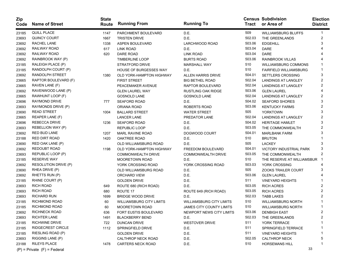| Zip<br>Code | <b>Name of Street</b>           | <b>State</b><br>Route | <b>Running From</b>             | <b>Running To</b>               | Tract  | <b>Census Subdivision</b><br>or Area of | <b>Election</b><br><b>District</b> |
|-------------|---------------------------------|-----------------------|---------------------------------|---------------------------------|--------|-----------------------------------------|------------------------------------|
| 23185       | QUILL PLACE                     | 1147                  | PARCHMENT BOULEVARD             | D.E.                            | 509    | <b>WILLIAMSBURG BLUFFS</b>              | 1                                  |
| 23693       | QUINCY COURT                    | 1667                  | <b>TRISTEN DRIVE</b>            | D.E.                            | 502.03 | THE GREENLANDS                          | 2                                  |
| 23692       | RACHEL LANE                     | 1338                  | ASPEN BOULEVARD                 | LARCHWOOD ROAD                  | 503.06 | <b>EDGEHILL</b>                         | 3                                  |
| 23692       | RAILWAY ROAD                    | 617                   | LINK ROAD                       | D.E.                            | 503.04 | <b>DARE</b>                             |                                    |
| 23692       | RAILWAY ROAD                    | 620                   | <b>DARE ROAD</b>                | <b>LINK ROAD</b>                | 503.04 | <b>DARE</b>                             |                                    |
| 23692       | RAINBROOK WAY (P)               |                       | <b>TIMBERLINE LOOP</b>          | <b>BURTS ROAD</b>               | 503.06 | <b>RAINBROOK VILLAS</b>                 |                                    |
| 23185       | RALEIGH PLACE (P)               |                       | <b>STRATFORD DRIVE</b>          | <b>MARSHALL WAY</b>             | 510    | <b>WILLIAMSBURG COMMONS</b>             |                                    |
| 23185       | RANDOLPH COURT (P)              |                       | <b>HOUSE OF BURGESSES WAY</b>   | D.E.                            | 510    | <b>FAIRFIELD WILLIAMSBURG</b>           |                                    |
| 23692       | RANDOLPH STREET                 | 1380                  | OLD YORK-HAMPTON HIGHWAY        | <b>ALLEN HARRIS DRIVE</b>       | 504.01 | <b>SETTLERS CROSSING</b>                | 3                                  |
| 23665       | RAPTOR BOULEVARD (F)            |                       | <b>FIRST STREET</b>             | <b>BIG BETHEL ROAD</b>          | 502.04 | <b>LANDINGS AT LANGLEY</b>              | 2                                  |
| 23665       | RAVEN LANE (F)                  |                       | PEACEMAKER AVENUE               | RAPTOR BOULEVARD                | 502.04 | <b>LANDINGS AT LANGLEY</b>              | 2                                  |
| 23692       | RAVENWOOD LANE (P)              |                       | <b>GLEN LAUREL WAY</b>          | <b>RUSTLING OAK RIDGE</b>       | 503.06 | <b>GLEN LAUREL</b>                      |                                    |
| 23665       | RAWHUNT LOOP (F)                |                       | <b>GOSNOLD LANE</b>             | <b>GOSNOLD LANE</b>             | 502.04 | <b>LANDINGS AT LANGLEY</b>              | 2                                  |
| 23696       | <b>RAYMOND DRIVE</b>            | 777                   | <b>SEAFORD ROAD</b>             | D.E.                            | 504.02 | <b>SEAFORD SHORES</b>                   | 3                                  |
| 23693       | RAYMONDS DRIVE (P)              |                       | ORIANA ROAD                     | ROBERTS ROAD                    | 503.06 | <b>KENTUCKY FARMS</b>                   | 2                                  |
| 23690       | <b>READ STREET</b>              | 1004                  | <b>BALLARD STREET</b>           | <b>WATER STREET</b>             | 505    | <b>YORKTOWN</b>                         | 3                                  |
| 23665       | REAPER LANE (F)                 |                       | <b>LANCER LANE</b>              | PREDATOR LANE                   | 502.04 | <b>LANDINGS AT LANGLEY</b>              |                                    |
| 23696       | <b>REBECCA DRIVE</b>            | 1236                  | <b>SEAFORD ROAD</b>             | D.E.                            | 504.02 | <b>HERITAGE HAMLET</b>                  | 3                                  |
| 23693       | REBELLION WAY (P)               |                       | <b>REPUBLIC LOOP</b>            | D.E.                            | 503.05 | THE COMMONWEALTH                        | 2                                  |
| 23692       | <b>RED BUD LANE</b>             | 1207                  | <b>MARL RAVINE ROAD</b>         | DOGWOOD COURT                   | 504.01 | <b>MARLBANK FARM</b>                    | 3                                  |
| 23188       | <b>RED DIRT ROAD</b>            | 1420                  | <b>OAKTREE ROAD</b>             | D.E.                            | 510    | <b>BRUTON</b>                           |                                    |
| 23690       | RED OAK LANE (P)                |                       | OLD WILLIAMSBURG ROAD           | D.E.                            | 505    | <b>LACKEY</b>                           | 3                                  |
| 23692       | <b>REDOUBT ROAD</b>             | 1198                  | OLD YORK-HAMPTON HIGHWAY        | FREEDOM BOULEVARD               | 504.01 | VICTORY INDUSTRIAL PARK                 | 3                                  |
| 23693       | REPUBLIC LOOP (P)               |                       | <b>COMMONWEALTH DRIVE</b>       | <b>COMMONWEALTH DRIVE</b>       | 503.05 | THE COMMONWEALTH                        |                                    |
| 23185       | <b>RESERVE WAY</b>              |                       | <b>MOORETOWN ROAD</b>           | D.E.                            | 510    | THE RESERVE AT WILLIAMSBUR              |                                    |
| 23692       | RESOLUTION DRIVE (P)            |                       | YORK CROSSING ROAD              | YORK CROSSING ROAD              | 503.03 | YORK CROSSING                           |                                    |
| 23690       | RHEA DRIVE (P)                  |                       | OLD WILLIAMSBURG ROAD           | D.E.                            | 505    | <b>ZOOKS TRAILER COURT</b>              | з                                  |
| 23692       | RHETTS RUN (P)                  |                       | ORCHARD VIEW                    | D.E.                            | 503.06 | <b>GLEN LAUREL</b>                      |                                    |
| 23185       | RHINE COURT (P)                 |                       | <b>GOLDEN DRIVE</b>             | D.E.                            | 511    | <b>VINEYARD HEIGHTS</b>                 |                                    |
| 23693       | <b>RICH ROAD</b>                | 649                   | ROUTE 680 (RICH ROAD)           | D.E.                            | 503.05 | <b>RICH ACRES</b>                       | 2                                  |
| 23693       | <b>RICH ROAD</b>                | 680                   | ROUTE 17                        | ROUTE 649 (RICH ROAD)           | 503.05 | RICH ACRES                              | 2                                  |
| 23693       | <b>RICHARD RUN</b>              | 1699                  | <b>BRIDGE WOOD DRIVE</b>        | D.E.                            | 502.03 | <b>TABB LAKES</b>                       |                                    |
| 23185       | <b>RICHMOND ROAD</b>            | 60                    | <b>WILLIAMSBURG CITY LIMITS</b> | <b>WILLIAMSBURG CITY LIMITS</b> | 510    | <b>WILLIAMSBURG NORTH</b>               |                                    |
| 23185       | <b>RICHMOND ROAD</b>            | 60                    | <b>MOORETOWN ROAD</b>           | <b>JAMES CITY COUNTY LIMITS</b> | 510    | <b>WILLIAMSBURG NORTH</b>               |                                    |
| 23692       | <b>RICHNECK ROAD</b>            | 636                   | FORT EUSTIS BOULEVARD           | NEWPORT NEWS CITY LIMITS        | 503.06 | <b>DENBIGH EAST</b>                     | 2                                  |
| 23693       | <b>RICHTER LANE</b>             | 1491                  | <b>BLACKBERRY BEND</b>          | D.E.                            | 502.03 | THE GREENLANDS                          | 2                                  |
| 23185       | <b>RICHWINE DRIVE</b>           | 722                   | <b>DUNCAN DRIVE</b>             | <b>WESTOVER DRIVE</b>           | 511    | YORK TERRACE                            |                                    |
| 23185       | <b>RIDGECREST CIRCLE</b>        | 1112                  | SPRINGFIELD DRIVE               | D.E.                            | 511    | SPRINGFIELD TERRACE                     |                                    |
| 23185       | RIESLING ROAD (P)               |                       | <b>GOLDEN DRIVE</b>             | D.E.                            | 511    | <b>VINEYARD HEIGHTS</b>                 |                                    |
| 23693       | RIGGINS LANE (P)                |                       | CALTHROP NECK ROAD              | D.E.                            | 502.05 | <b>CALTHROP NECK</b>                    | 5                                  |
| 23188       | <b>RILEYS PLACE</b>             | 1478                  | <b>CARTERS NECK ROAD</b>        | D.E.                            | 510    | <b>HORSEMANS HILL</b>                   |                                    |
|             | $(P)$ = Private $(F)$ = Federal |                       |                                 |                                 |        | 33                                      |                                    |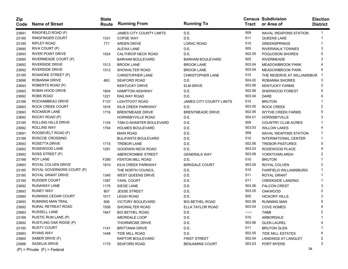| Zip<br>Code | <b>Name of Street</b>           | <b>State</b><br>Route | <b>Running From</b>        | <b>Running To</b>               | Tract  | <b>Census Subdivision</b><br>or Area of | <b>Election</b><br><b>District</b> |
|-------------|---------------------------------|-----------------------|----------------------------|---------------------------------|--------|-----------------------------------------|------------------------------------|
| 23691       | RINGFIELD ROAD (F)              |                       | JAMES CITY COUNTY LIMITS   | D.E.                            | 509    | NAVAL WEAPONS STATION                   |                                    |
| 23185       | <b>RINGFINGER COURT</b>         | 1331                  | <b>COPSE WAY</b>           | D.E.                            | 511    | QUEENS LAKE                             |                                    |
| 23185       | RIPLEY ROAD                     | 771                   | <b>ARDEN DRIVE</b>         | <b>LORAC ROAD</b>               | 510    | <b>GREENSPRINGS</b>                     |                                    |
| 23690       | RIVA COURT (P)                  |                       | <b>ALEXIA LANE</b>         | D.E.                            | 505    | RIVERWALK TOWNES                        |                                    |
| 23693       | <b>RIVER POINT DRIVE</b>        | 1524                  | CALTHROP NECK ROAD         | D.E.                            | 502.05 | POQUOSON SHORES                         |                                    |
| 23690       | RIVERMEADE COURT (P)            |                       | <b>BARHAM BOULEVARD</b>    | <b>BARHAM BOULEVARD</b>         | 505    | <b>RIVERMEADE</b>                       |                                    |
| 23692       | <b>RIVERSIDE DRIVE</b>          | 1513                  | <b>BROOK LANE</b>          | <b>BROOK LANE</b>               | 503.04 | <b>MEADOWBROOK PARK</b>                 |                                    |
| 23692       | RIVERSIDE DRIVE                 | 1512                  | SHOWALTER ROAD             | <b>BROOK LANE</b>               | 503.04 | <b>MEADOWBROOK PARK</b>                 |                                    |
| 23185       | ROANOKE STREET (P)              |                       | <b>CHRISTOPHER LANE</b>    | <b>CHRISTOPHER LANE</b>         | 510    | THE RESERVE AT WILLIAMSBUR              |                                    |
| 23696       | ROBANNA DRIVE                   | 663                   | <b>SEAFORD ROAD</b>        | D.E.                            | 504.02 | ROBANNA SHORES                          |                                    |
| 23693       | ROBERTS ROAD (P)                |                       | <b>KENTUCKY DRIVE</b>      | <b>ELM DRIVE</b>                | 503.06 | <b>KENTUCKY FARMS</b>                   | 2                                  |
| 23693       | ROBIN HOOD DRIVE                | 1604                  | <b>HAMPTON HIGHWAY</b>     | D.E.                            | 502.06 | SHERWOOD FOREST                         |                                    |
| 23692       | ROBS ROAD                       | 1221                  | RAILWAY ROAD               | D.E.                            | 503.04 | <b>DARE</b>                             |                                    |
| 23188       | ROCHAMBEAU DRIVE                | F <sub>137</sub>      | LIGHTFOOT ROAD             | <b>JAMES CITY COUNTY LIMITS</b> | 510    | <b>BRUTON</b>                           |                                    |
| 23693       | ROCK CREEK COURT                | 1816                  | KILN CREEK PARKWAY         | D.E.                            | 503.05 | <b>ROCK CREEK</b>                       |                                    |
| 23693       | ROCKMOR LANE                    | 1716                  | <b>BRENTMEADE DRIVE</b>    | <b>BRENTMEADE DRIVE</b>         | 502.06 | <b>WYTHE CREEK FARMS</b>                |                                    |
| 23692       | ROCKY ROAD (P)                  |                       | <b>HORNSBYVILLE ROAD</b>   | D.E.                            | 504.01 | <b>HORNSBYVILLE</b>                     |                                    |
| 23185       | ROLLING HILLS DRIVE             | 1124                  | TAM-O-SHANTER BOULEVARD    | D.E.                            | 509    | <b>COUNTRY CLUB ACRES</b>               |                                    |
| 23692       | <b>ROLLINS WAY</b>              | 1704                  | <b>HOLMES BOULEVARD</b>    | D.E.                            | 503.03 | <b>WILLOW LAKES</b>                     |                                    |
| 23691       | ROOSEVELT ROAD (F)              |                       | <b>MAIN ROAD</b>           | D.E.                            | 509    | <b>NAVAL WEAPONS STATION</b>            |                                    |
| 23188       | ROSCOE CROSSING                 |                       | <b>BULIFANTS BOULEVARD</b> | D.E.                            | 510    | <b>INTERNATIONAL CENTER</b>             |                                    |
| 23693       | ROSETTA DRIVE                   | 1715                  | <b>TREBOR LANE</b>         | D.E.                            | 502.06 | <b>TREBOR PASTURES</b>                  |                                    |
| 23692       | ROSEWOOD LANE                   | 1281                  | <b>GOODWIN NECK ROAD</b>   | D.E.                            | 503.03 | ROSEWOOD PLACE                          |                                    |
| 23692       | ROSS STREET (P)                 |                       | ABERCROMBIE STREET         | <b>GENERALS WAY</b>             | 503.06 | YORKTOWN ARDH                           | 2                                  |
| 23188       | <b>ROY LANE</b>                 | F280                  | <b>FENTON MILL ROAD</b>    | D.E.                            | 510    | <b>BRUTON</b>                           |                                    |
| 23693       | ROYAL COLVEN DRIVE              | 1810                  | KILN CREEK PARKWAY         | <b>BIRKDALE COURT</b>           | 503.05 | ROYAL COLVEN                            |                                    |
| 23185       | ROYAL GOVERNORS COURT (P)       |                       | THE NORTH COUNCIL          | D.E.                            | 510    | <b>FAIRFIELD WILLIAMSBURG</b>           |                                    |
| 23185       | ROYAL GRANT DRIVE               | 1345                  | <b>WEST QUEENS DRIVE</b>   | D.E.                            | 511    | ROYAL GRANT                             |                                    |
| 23185       | RUDDER COURT                    | 1387                  | YAWL COURT                 | D.E.                            | 511    | <b>CREEKSIDE LANDING</b>                |                                    |
| 23692       | RUNAWAY LANE                    | 1175                  | <b>SIEGE LANE</b>          | D.E.                            | 503.06 | <b>FALCON CREST</b>                     | 3                                  |
| 23693       | <b>RUNEY WAY</b>                | 807                   | <b>JESSE STREET</b>        | D.E.                            | 503.05 | <b>OAKWOOD</b>                          | 2                                  |
| 23690       | RUNNING CEDAR COURT             | 1017                  | <b>LEIGH ROAD</b>          | D.E.                            | 505    | <b>HICKORY HILLS</b>                    | 3                                  |
| 23693       | RUNNING MAN TRAIL               | 606                   | VICTORY BOULEVARD          | <b>BIG BETHEL ROAD</b>          | 502.06 | <b>RUNNING MAN</b>                      |                                    |
| 23692       | RURAL RETREAT ROAD              | 1508                  | SHOWALTER ROAD             | ELLA TAYLOR ROAD                | 503.04 | <b>COVE HOMES</b>                       |                                    |
| 23693       | <b>RUSSELL LANE</b>             | 1847                  | <b>BIG BETHEL ROAD</b>     | D.E.                            | ------ | TABB                                    |                                    |
| 23188       | <b>RUSTIC RUN LANE (P)</b>      |                       | ABORDALE LOOP              | D.E.                            | 510    | ARBORDALE                               |                                    |
| 23692       | RUSTLING OAK RIDGE (P)          |                       | <b>THORNROSE DRIVE</b>     | D.E.                            | 503.06 | <b>GLEN LAUREL</b>                      |                                    |
| 23185       | <b>RUSTY COURT</b>              | 1141                  | <b>BRITTANIA DRIVE</b>     | D.E.                            | 511    | <b>BRUTON GLEN</b>                      |                                    |
| 23693       | <b>RYANS WAY</b>                | 1448                  | TIDE MILL ROAD             | D.E.                            | 502.05 | <b>TIDE MILL ESTATES</b>                |                                    |
| 23665       | SABER DRIVE (F)                 |                       | <b>RAPTOR BOULEVARD</b>    | <b>FIRST STREET</b>             | 502.04 | <b>LANDINGS AT LANGLEY</b>              |                                    |
| 23696       | SADELIA DRIVE                   | 1170                  | <b>SEAFORD ROAD</b>        | <b>BENJAMINS COURT</b>          | 503.03 | PORT MYERS                              |                                    |
|             | $(P)$ = Private $(F)$ = Federal |                       |                            |                                 |        | 34                                      |                                    |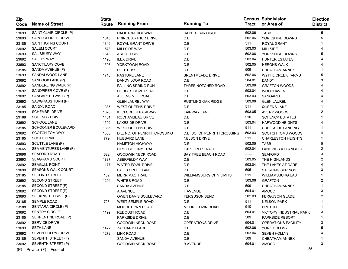| Zip<br>Code | <b>Name of Street</b>           | <b>State</b><br>Route | <b>Running From</b>          | <b>Running To</b>               | Tract  | <b>Census Subdivision</b><br>or Area of | <b>Election</b><br><b>District</b> |
|-------------|---------------------------------|-----------------------|------------------------------|---------------------------------|--------|-----------------------------------------|------------------------------------|
| 23693       | SAINT CLAIR CIRCLE (P)          |                       | <b>HAMPTON HIGHWAY</b>       | <b>SAINT CLAIR CIRCLE</b>       | 502.06 | TABB                                    | 5                                  |
| 23693       | SAINT GEORGE DRIVE              | 1645                  | PRINCE ARTHUR DRIVE          | D.E.                            | 502.06 | YORKSHIRE DOWNS                         | 5                                  |
| 23185       | <b>SAINT JOHNS COURT</b>        | 1346                  | ROYAL GRANT DRIVE            | D.E.                            | 511    | ROYAL GRANT                             |                                    |
| 23692       | <b>SALEM COURT</b>              | 1573                  | <b>MILLSIDE WAY</b>          | D.E.                            | 503.03 | <b>MILLSIDE</b>                         |                                    |
| 23693       | <b>SALISBURY WAY</b>            | 1648                  | <b>ASCOT DRIVE</b>           | D.E.                            | 502.06 | YORKSHIRE DOWNS                         |                                    |
| 23692       | <b>SALLYS WAY</b>               | 1196                  | <b>ILEX DRIVE</b>            | D.E.                            | 503.04 | <b>HUNTER ESTATES</b>                   |                                    |
| 23693       | SANCTUARY COVE                  | 1593                  | YORKTOWN ROAD                | D.E.                            | 502.05 | <b>HERONS WALK</b>                      |                                    |
| 23185       | SANDA AVENUE (F)                |                       | ROUTE 199                    | D.E.                            | 509    | <b>CHEATHAM ANNEX</b>                   |                                    |
| 23693       | SANDALWOOD LANE                 | 1718                  | <b>PASTURE LANE</b>          | <b>BRENTMEADE DRIVE</b>         | 502.06 | <b>WYTHE CREEK FARMS</b>                | 5                                  |
| 23692       | SANDBOX LANE (P)                |                       | DANDY LOOP ROAD              | D.E.                            | 504.01 | <b>DANDY</b>                            | 3                                  |
| 23692       | SANDERLING WALK (P)             |                       | <b>FALLING SPRING RUN</b>    | THREE NOTCHED ROAD              | 503.06 | <b>GRAFTON WOODS</b>                    |                                    |
| 23692       | SANDPIPER COVE (P)              |                       | <b>HODGES COVE ROAD</b>      | D.E.                            | 503.04 | <b>WOODHAVEN</b>                        |                                    |
| 23692       | SANGAREE TWIST (P)              |                       | ALLENS MILL ROAD             | D.E.                            | 503.03 | SANGAREE                                |                                    |
| 23692       | SAWGRASS TURN (P)               |                       | <b>GLEN LAUREL WAY</b>       | <b>RUSTLING OAK RIDGE</b>       | 503.06 | <b>GLEN LAUREL</b>                      |                                    |
| 23185       | <b>SAXON ROAD</b>               | 1335                  | <b>WEST QUEENS DRIVE</b>     | D.E.                            | 511    | QUEENS LAKE                             |                                    |
| 23693       | <b>SCHEMBRI DRIVE</b>           | 1826                  | KILN CREEK PARKWAY           | <b>FAIRWAY LANE</b>             | 503.05 | AVERY WOODS                             |                                    |
| 23188       | <b>SCHENCK DRIVE</b>            | 1401                  | ROCHAMBEAU DRIVE             | D.E.                            | 510    | <b>SCHENCK ESTATES</b>                  |                                    |
| 23692       | <b>SCHOOL LANE</b>              | 1502                  | <b>LAKESIDE DRIVE</b>        | D.E.                            | 503.04 | <b>HARWOOD HEIGHTS</b>                  |                                    |
| 23185       | <b>SCHOONER BOULEVARD</b>       | 1385                  | <b>WEST QUEENS DRIVE</b>     | D.E.                            | 511    | <b>CREEKSIDE LANDING</b>                |                                    |
| 23692       | <b>SCOTCH TOM WAY</b>           | 1566                  | D.E. NO. OF PENRITH CROSSING | D.E. SO. OF PENRITH CROSSING    | 503.03 | <b>SCOTCH TOMS WOODS</b>                |                                    |
| 23185       | <b>SCOTT DRIVE</b>              | 779                   | <b>HUBBARD LANE</b>          | <b>NELSON DRIVE</b>             | 511    | <b>CHARLESTON HEIGHTS</b>               |                                    |
| 23693       | SCUTTLE LANE (P)                |                       | <b>HAMPTON HIGHWAY</b>       | D.E.                            | 502.05 | <b>TABB</b>                             | 5                                  |
| 23665       | SEA VENTURES LANE (F)           |                       | <b>FIRST COLONY TRACE</b>    | <b>EXPLORER TRACE</b>           | 502.04 | <b>LANDINGS AT LANGLEY</b>              | 2                                  |
| 23696       | <b>SEAFORD ROAD</b>             | 622                   | <b>GOODWIN NECK ROAD</b>     | <b>BAY TREE BEACH ROAD</b>      | ------ | <b>SEAFORD</b>                          | 3                                  |
| 23693       | <b>SEAGRAMS COURT</b>           | 1837                  | ABERFELDY WAY                | D.E.                            | 503.05 | THE HIGHLANDS                           |                                    |
| 23692       | <b>SEAGULL POINT</b>            | 1177                  | <b>WATER FOWL DRIVE</b>      | D.E.                            | 503.04 | THE LAKES AT DARE                       |                                    |
| 23690       | <b>SEASONS WALK COURT</b>       |                       | <b>FALLS CREEK LANE</b>      | D.E.                            | 505    | <b>STERLING SPRINGS</b>                 | 3                                  |
| 23185       | <b>SECOND STREET</b>            | 162                   | <b>MERRIMAC TRAIL</b>        | <b>WILLIAMSBURG CITY LIMITS</b> | 511    | <b>WILLIAMSBURG EAST</b>                |                                    |
| 23692       | <b>SECOND STREET</b>            | 1294                  | <b>WHITES ROAD</b>           | D.E.                            | 503.06 | <b>GRAFTON</b>                          | 2                                  |
| 23185       | SECOND STREET (F)               |                       | SANDA AVENUE                 | D.E.                            | 509    | <b>CHEATHAM ANNEX</b>                   |                                    |
| 23692       | SECOND STREET (P)               |                       | A AVENUE                     | <b>F AVENUE</b>                 | 504.01 | <b>AMOCO</b>                            | 3                                  |
| 23693       | SEEKRIGHT DRIVE (P)             |                       | OWEN DAVIS BOULEVARD         | <b>FERGUSON BEND</b>            | 502.03 | <b>FERGUSON GLADE</b>                   |                                    |
| 23185       | <b>SEMPLE ROAD</b>              | 726                   | <b>WEST SEMPLE ROAD</b>      | D.E.                            | 511    | <b>NELSON PARK</b>                      |                                    |
| 23188       | SENTARA CIRCLE (P)              |                       | <b>MOORETOWN ROAD</b>        | <b>MOORETOWN ROAD</b>           | 510    | <b>BRUTON</b>                           |                                    |
| 23692       | <b>SENTRY CIRCLE</b>            | 1199                  | <b>REDOUBT ROAD</b>          | D.E.                            | 504.01 | VICTORY INDUSTRIAL PARK                 |                                    |
| 23185       | SERPENTINE ROAD (P)             |                       | <b>PARKSIDE DRIVE</b>        | D.E.                            | 509    | PARKSIDE RESORT                         |                                    |
| 23692       | SERVICE DRIVE                   |                       | GOODWIN NECK ROAD            | OPERATIONS DRIVE                | 504.01 | OPERATIONS FACILITY                     |                                    |
| 23693       | <b>SETH LANE</b>                | 1472                  | ZACHARY PLACE                | D.E.                            | 502.06 | YORK COLONY                             |                                    |
| 23692       | SEVEN HOLLYS DRIVE              | 1278                  | <b>LINK ROAD</b>             | D.E.                            | 503.04 | <b>SEVEN HOLLYS</b>                     |                                    |
| 23185       | SEVENTH STREET (F)              |                       | SANDA AVENUE                 | D.E.                            | 509    | CHEATHAM ANNEX                          |                                    |
| 23692       | SEVENTH STREET (P)              |                       | GOODWIN NECK ROAD            | <b>B AVENUE</b>                 | 504.01 | AMOCO                                   | 3                                  |
|             | $(P)$ = Private $(F)$ = Federal |                       |                              |                                 |        |                                         | 35                                 |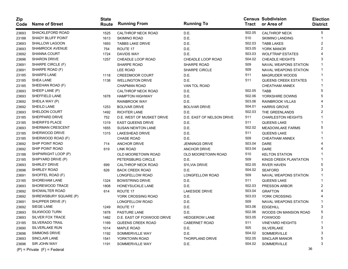| <b>Zip</b><br>Code | <b>Name of Street</b>  | <b>State</b><br>Route | <b>Running From</b>        | <b>Running To</b>         | Tract  | <b>Census Subdivision</b><br>or Area of | <b>Election</b><br>District |
|--------------------|------------------------|-----------------------|----------------------------|---------------------------|--------|-----------------------------------------|-----------------------------|
| 23693              | SHACKLEFORD ROAD       | 1525                  | CALTHROP NECK ROAD         | D.E.                      | 502.05 | <b>CALTHROP NECK</b>                    | 5                           |
| 23188              | SHADY BLUFF POINT      | 1613                  | <b>SKIMINO ROAD</b>        | D.E.                      | 510    | <b>SKIMINO LANDING</b>                  |                             |
| 23693              | SHALLOW LAGOON         | 1693                  | <b>TABBS LAKE DRIVE</b>    | D.E.                      | 502.03 | <b>TABB LAKES</b>                       | 2                           |
| 23693              | <b>SHAMROCK AVENUE</b> | 754                   | ROUTE 17                   | D.E.                      | 503.05 | YORK MANOR                              | 2                           |
| 23692              | <b>SHANNA COURT</b>    | 1724                  | <b>DAVIDS WAY</b>          | D.E.                      | 503.03 | <b>WOLFTRAP ESTATES</b>                 |                             |
| 23696              | <b>SHARON DRIVE</b>    | 1257                  | CHEADLE LOOP ROAD          | CHEADLE LOOP ROAD         | 504.02 | <b>CHEADLE HEIGHTS</b>                  | 3                           |
| 23691              | SHARPE CIRCLE (F)      |                       | <b>SHARPE ROAD</b>         | <b>SHARPE ROAD</b>        | 509    | <b>NAVAL WEAPONS STATION</b>            | 1                           |
| 23691              | SHARPE ROAD (F)        |                       | <b>LEE ROAD</b>            | <b>SHARPE CIRCLE</b>      | 509    | <b>NAVAL WEAPONS STATION</b>            | 1                           |
| 23185              | <b>SHARPS LANE</b>     | 1118                  | <b>CREEDMOOR COURT</b>     | D.E.                      | 511    | <b>MAGRUDER WOODS</b>                   | 1                           |
| 23185              | SHEA LANE              | 1138                  | <b>WELLINGTON DRIVE</b>    | D.E.                      | 511    | <b>QUEENS CREEK ESTATES</b>             | 1                           |
| 23185              | SHEEHAN ROAD (F)       |                       | <b>CHAPMAN ROAD</b>        | VAN TOL ROAD              |        | <b>CHEATHAM ANNEX</b>                   | 1                           |
| 23693              | SHEEP LANE (P)         |                       | CALTHROP NECK ROAD         | D.E.                      | 502.05 | <b>TABB</b>                             | 5                           |
| 23693              | SHEFFIELD LANE         | 1678                  | <b>HAMPTON HIGHWAY</b>     | D.E.                      | 502.06 | YORKSHIRE DOWNS                         | 5                           |
| 23692              | SHEILA WAY (P)         |                       | <b>RAINBROOK WAY</b>       | D.E.                      | 503.06 | <b>RAINBROOK VILLAS</b>                 |                             |
| 23692              | SHEILD LANE            | 1253                  | <b>BOLIVAR DRIVE</b>       | <b>BOLIVAR DRIVE</b>      | 504.01 | <b>HARRIS GROVE</b>                     | 3                           |
| 23693              | SHELDON COURT          | 1492                  | RICHTER LANE               | D.E.                      | 502.03 | THE GREENLANDS                          | 2                           |
| 23185              | SHEPPARD DRIVE         | 752                   | D.E. WEST OF MUSKET DRIVE  | D.E. EAST OF NELSON DRIVE | 511    | <b>CHARLESTON HEIGHTS</b>               |                             |
| 23185              | <b>SHERIFFS PLACE</b>  | 1319                  | <b>EAST QUEENS DRIVE</b>   | D.E.                      | 511    | <b>QUEENS LAKE</b>                      |                             |
| 23693              | SHERMAN CRESCENT       | 1655                  | <b>SUSAN NEWTON LANE</b>   | D.E.                      | 502.02 | <b>MEADOWLAKE FARMS</b>                 | 5                           |
| 23185              | SHERWOOD DRIVE         | 1315                  | LAKESHEAD DRIVE            | D.E.                      | 511    | QUEENS LAKE                             |                             |
| 23185              | SHERWOOD ROAD (F)      |                       | <b>CHASE ROAD</b>          | D.E.                      | 509    | <b>CHEATHAM ANNEX</b>                   |                             |
| 23692              | SHIP POINT ROAD        | 714                   | <b>ANCHOR DRIVE</b>        | <b>JENNINGS DRIVE</b>     | 503.04 | <b>DARE</b>                             |                             |
| 23692              | SHIP POINT ROAD        | 619                   | <b>LINK ROAD</b>           | <b>ANCHOR DRIVE</b>       | 503.04 | <b>DARE</b>                             |                             |
| 23188              | SHIPWRIGHT LOOP (P)    |                       | OLD MOORETOWN ROAD         | OLD MOORETOWN ROAD        | 510    | <b>KELTON STATION</b>                   |                             |
| 23185              | SHIPYARD DRIVE (P)     |                       | PETERSBURG CIRCLE          | D.E.                      | 509    | KINGS CREEK PLANTATION                  | 1                           |
| 23693              | SHIRLEY DRIVE          | 699                   | CALTHROP NECK ROAD         | <b>SYLVIA DRIVE</b>       | 502.05 | <b>RIVER HAVEN</b>                      | 5                           |
| 23696              | <b>SHIRLEY ROAD</b>    | 626                   | <b>BACK CREEK ROAD</b>     | D.E.                      | 504.02 | <b>SEAFORD</b>                          | 3                           |
| 23691              | SHOFFEL ROAD (F)       |                       | LONGFELLOW ROAD            | LONGFELLOW ROAD           | 509    | <b>NAVAL WEAPONS STATION</b>            |                             |
| 23185              | <b>SHOREHAM LANE</b>   | 1324                  | <b>BOWSTRING DRIVE</b>     | D.E.                      | 511    | QUEENS LAKE                             | 1                           |
| 23693              | SHOREWOOD TRACE        | 1808                  | HONEYSUCKLE LANE           | D.E.                      | 502.03 | PRESSON ARBOR                           | 2                           |
| 23692              | SHOWALTER ROAD         | 614                   | ROUTE 17                   | <b>LAKESIDE DRIVE</b>     | 503.04 | <b>GRAFTON</b>                          |                             |
| 23692              | SHREWSBURY SQUARE (P)  |                       | YORK CROSSING ROAD         | D.E.                      | 503.03 | YORK CROSSING                           | 4                           |
| 23691              | SHUPPER DRIVE (F)      |                       | LONGFELLOW ROAD            | D.E.                      | 509    | <b>NAVAL WEAPONS STATION</b>            |                             |
| 23692              | SIEGE LANE             | 1249                  | ROUTE 17                   | D.E.                      | 503.06 | <b>EDGEHILL</b>                         | 3                           |
| 23693              | SILKWOOD TURN          | 1878                  | PASTURE LANE               | D.E.                      | 502.06 | WOODS ON MANSION ROAD                   | 5                           |
| 23693              | SILVER FOX TRACE       | 1482                  | D.E. EAST OF FOXWOOD DRIVE | <b>HEDGEROW LANE</b>      | 503.05 | <b>FOXWOOD</b>                          | 2                           |
| 23185              | <b>SILVERADO TRAIL</b> | 1169                  | QUEENS CREEK ROAD          | <b>CABERNET ROAD</b>      | 511    | <b>VINEYARD HEIGHTS</b>                 | 1                           |
| 23690              | <b>SILVERLAKE RUN</b>  | 1014                  | <b>MAPLE ROAD</b>          | D.E.                      | 505    | SILVERLAKE                              | 3                           |
| 23696              | SIMMONS DRIVE          | 1192                  | SOMMERVILLE WAY            | D.E.                      | 504.02 | SOMMERVILLE                             | 3                           |
| 23693              | <b>SINCLAIR LANE</b>   | 1541                  | YORKTOWN ROAD              | <b>THORPLAND DRIVE</b>    | 502.05 | <b>SINCLAIR MANOR</b>                   | 5                           |
| 23696              | SIR JOHN WAY           | 1191                  | SOMMERVILLE WAY            | D.E.                      | 504.02 | SOMMERVILLE                             | 3                           |

 $(P)$  = Private  $(F)$  = Federal 36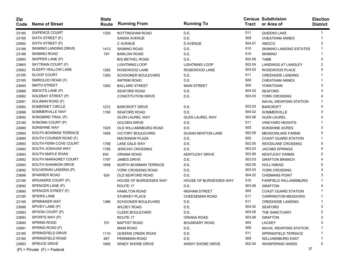| Zip<br>Code | <b>Name of Street</b>           | <b>State</b><br>Route | <b>Running From</b>           | <b>Running To</b>             | Tract  | <b>Census Subdivision</b><br>or Area of | <b>Election</b><br><b>District</b> |
|-------------|---------------------------------|-----------------------|-------------------------------|-------------------------------|--------|-----------------------------------------|------------------------------------|
| 23185       | <b>SIXPENCE COURT</b>           | 1320                  | NOTTINGHAM ROAD               | D.E.                          | 511    | <b>QUEENS LAKE</b>                      |                                    |
| 23185       | SIXTH STREET (F)                |                       | <b>SANDA AVENUE</b>           | D.E.                          | 509    | <b>CHEATHAM ANNEX</b>                   |                                    |
| 23692       | SIXTH STREET (P)                |                       | <b>C AVENUE</b>               | <b>D AVENUE</b>               | 504.01 | <b>AMOCO</b>                            | 3                                  |
| 23188       | SKIMINO LANDING DRIVE           | 1413                  | <b>SKIMINO ROAD</b>           | D.E.                          | 510    | SKIMINO LANDING ESTATES                 |                                    |
| 23188       | <b>SKIMINO ROAD</b>             | 797                   | <b>BARLOW ROAD</b>            | D.E.                          | 510    | <b>SKIMINO</b>                          |                                    |
| 23693       | SKIPPER LANE (P)                |                       | <b>BIG BETHEL ROAD</b>        | D.E.                          | 502.06 | <b>TABB</b>                             | 5                                  |
| 23665       | SKYTRAIN COURT (F)              |                       | <b>LIGHTNING LOOP</b>         | <b>LIGHTNING LOOP</b>         | 502.04 | <b>LANDINGS AT LANGLEY</b>              |                                    |
| 23692       | SLEEPY HOLLOW LANE              | 1282                  | ROSEWOOD LANE                 | ROSEWOOD LANE                 | 503.03 | ROSEWOOD PLACE                          |                                    |
| 23185       | <b>SLOOP COURT</b>              | 1393                  | <b>SCHOONER BOULEVARD</b>     | D.E.                          | 511    | <b>CREEKSIDE LANDING</b>                |                                    |
| 23185       | SMIROLDO ROAD (F)               |                       | <b>ANTRIM ROAD</b>            | D.E.                          | 509    | <b>CHEATHAM ANNEX</b>                   |                                    |
| 23690       | <b>SMITH STREET</b>             | 1002                  | <b>BALLARD STREET</b>         | <b>MAIN STREET</b>            | 505    | <b>YORKTOWN</b>                         | 3                                  |
| 23696       | SMOOTS LANE (P)                 |                       | <b>SEAFORD ROAD</b>           | D.E.                          | 504.02 | <b>SEAFORD</b>                          | 3                                  |
| 23692       | SOLEBAY STREET (P)              |                       | <b>CONSTITUTION DRIVE</b>     | D.E.                          | 503.03 | YORK CROSSING                           |                                    |
| 23691       | SOLIMAN ROAD (F)                |                       |                               |                               |        | <b>NAVAL WEAPONS STATION</b>            |                                    |
| 23692       | SOMERSET CIRCLE                 | 1272                  | <b>BARCROFT DRIVE</b>         | D.E.                          | 503.03 | <b>BARCROFT</b>                         |                                    |
| 23696       | SOMMERVILLE WAY                 | 1190                  | <b>SEAFORD ROAD</b>           | D.E.                          | 504.02 | SOMMERVILLE                             | 3                                  |
| 23692       | SONGBIRD TRAIL (P)              |                       | <b>GLEN LAUREL WAY</b>        | <b>GLEN LAUREL WAY</b>        | 503.06 | <b>GLEN LAUREL</b>                      |                                    |
| 23185       | SONOMA COURT (P)                |                       | <b>GOLDEN DRIVE</b>           | D.E.                          | 511    | <b>VINEYARD HEIGHTS</b>                 |                                    |
| 23690       | SONSHINE WAY                    | 1025                  | OLD WILLIAMSBURG ROAD         | D.E.                          | 505    | SONSHINE ACRES                          | 3                                  |
| 23693       | SOUTH BOWMAN TERRACE            | 1656                  | <b>VICTORY BOULEVARD</b>      | <b>SUSAN NEWTON LANE</b>      | 502.05 | <b>MEADOWLAKE FARMS</b>                 | 5                                  |
| 23690       | SOUTH COURIER ROAD (F)          |                       | <b>MACKINAW PLAZA</b>         | D.E.                          | 505    | <b>COAST GUARD STATION</b>              |                                    |
| 23693       | SOUTH FERN COVE COURT           | 1756                  | LAKE DALE WAY                 | D.E.                          | 502.05 | <b>WOODLAKE CROSSING</b>                | 5                                  |
| 23692       | SOUTH JOSHUAS WAY               | 1785                  | <b>JERICHO CROSSING</b>       | D.E.                          | 503.03 | <b>JACOBS SPRINGS</b>                   |                                    |
| 23693       | SOUTH MAPLE ROAD                | 830                   | ORIANA ROAD                   | <b>KENTUCKY DRIVE</b>         | 503.06 | <b>KENTUCKY FARMS</b>                   | 2                                  |
| 23692       | SOUTH MARAGRET COURT            | 1797                  | <b>JAMES DRIVE</b>            | D.E.                          | 503.03 | <b>GRAFTON BRANCH</b>                   |                                    |
| 23693       | SOUTH SHANNON DRIVE             | 1658                  | NORTH BOWMAN TERRACE          | D.E.                          | 502.05 | <b>HOLLYMEAD</b>                        | 5                                  |
| 23692       | SOUVERAIN LANDING (P)           |                       | YORK CROSSING ROAD            | D.E.                          | 503.03 | YORK CROSSING                           |                                    |
| 23696       | SPARRER ROAD                    | 624                   | OLD SEAFORD ROAD              | D.E.                          | 504.02 | <b>CHISMANS POINT</b>                   | 3                                  |
| 23185       | SPEAKERS COURT (P)              |                       | <b>HOUSE OF BURGESSES WAY</b> | <b>HOUSE OF BURGESSES WAY</b> | 510    | <b>FAIRFIELD WILLIAMSBURG</b>           |                                    |
| 23692       | SPENCER LANE (P)                |                       | ROUTE 17                      | D.E.                          | 503.06 | <b>GRAFTON</b>                          |                                    |
| 23690       | SPENCER STREET (F)              |                       | <b>HAMILTON ROAD</b>          | <b>INGHAM STREET</b>          | 505    | <b>COAST GUARD STATION</b>              |                                    |
| 23185       | SPIERS LANE                     |                       | <b>STARKEY PLACE</b>          | <b>CHEESEMAN ROAD</b>         | 511    | <b>CARRINGTON MEADOWS</b>               |                                    |
| 23185       | SPINNAKER WAY                   | 1386                  | <b>SCHOONER BOULEVARD</b>     | D.E.                          | 511    | <b>CREEKSIDE LANDING</b>                |                                    |
| 23696       | SPIVEY LANE (P)                 |                       | <b>WILDEY ROAD</b>            | D.E.                          | 504.02 | <b>SEAFORD</b>                          | 3                                  |
| 23693       | SPOON COURT (P)                 |                       | <b>CLEEK BOULEVARD</b>        | D.E.                          | 503.05 | THE SANCTUARY                           |                                    |
| 23693       | SPORTS WAY (P)                  |                       | ROUTE 17                      | ORIANA ROAD                   | 503.06 | <b>GRAFTON</b>                          | 2                                  |
| 23690       | <b>SPRING ROAD</b>              | 701                   | <b>BAPTIST ROAD</b>           | <b>BOUNDARY ROAD</b>          | 505    | LACKEY                                  | 3                                  |
| 23691       | SPRING ROAD (F)                 |                       | <b>MAIN ROAD</b>              | D.E.                          | 509    | <b>NAVAL WEAPONS STATION</b>            |                                    |
| 23185       | SPRINGFIELD DRIVE               | 1110                  | QUEENS CREEK ROAD             | D.E.                          | 511    | SPRINGFIELD TERRACE                     |                                    |
| 23185       | SPRINGFIELD ROAD                | 687                   | PENNIMAN ROAD                 | D.E.                          | 509    | <b>WILLIAMSBURG EAST</b>                |                                    |
| 23693       | <b>SPRUCE DRIVE</b>             | 1685                  | WINDY SHORE DRIVE             | WINDY SHORE DRIVE             | 502.04 | <b>WHISPERING WINDS</b>                 | 5                                  |
|             | $(P)$ = Private $(F)$ = Federal |                       |                               |                               |        | 37                                      |                                    |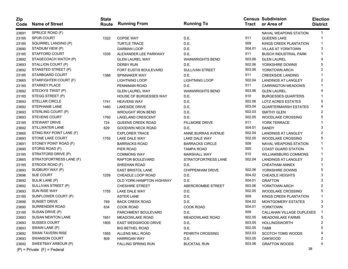| Zip<br>Code | <b>Name of Street</b>           | <b>State</b><br>Route | <b>Running From</b>           | <b>Running To</b>       | Tract  | <b>Census Subdivision</b><br>or Area of | <b>Election</b><br><b>District</b> |
|-------------|---------------------------------|-----------------------|-------------------------------|-------------------------|--------|-----------------------------------------|------------------------------------|
| 23691       | SPRUCE ROAD (F)                 |                       |                               |                         |        | NAVAL WEAPONS STATION                   | $\overline{1}$                     |
| 23185       | <b>SPUR COURT</b>               | 1322                  | <b>COPSE WAY</b>              | D.E.                    | 511    | <b>QUEENS LAKE</b>                      | -1                                 |
| 23185       | SQUIRREL LANDING (P)            |                       | <b>TURTLE TRACE</b>           | D.E.                    | 509    | KINGS CREEK PLANTATION                  | -1                                 |
| 23690       | STADIUM VIEW (P)                |                       | <b>GARMAN LOOP</b>            | D.E.                    | 504.01 | <b>VILLAS AT YORKTOWN</b>               | 3                                  |
| 23185       | STAFFORD COURT                  | 1035                  | ALEXANDER LEE PARKWAY         | D.E.                    | 511    | BUSCH INDUSTRIAL PARK                   |                                    |
| 23692       | STAGECOACH WATCH (P)            |                       | <b>GLEN LAUREL WAY</b>        | <b>WAINWRIGHTS BEND</b> | 503.06 | <b>GLEN LAUREL</b>                      |                                    |
| 23693       | STALLION COURT (P)              |                       | <b>DERBY RUN</b>              | D.E.                    | 502.06 | YORKSHIRE DOWNS                         | 5                                  |
| 23692       | STANSTED STREET (P)             |                       | <b>FORT EUSTIS BOULEVARD</b>  | <b>SULLIVAN STREET</b>  | 503.06 | YORKTOWN ARCH                           | 2                                  |
| 23185       | STARBOARD COURT                 | 1388                  | SPINNAKER WAY                 | D.E.                    | 511    | <b>CREEKSIDE LANDING</b>                |                                    |
| 23665       | STARFIGHTER COURT (F)           |                       | <b>LIGHTNING LOOP</b>         | <b>LIGHTNING LOOP</b>   | 502.04 | <b>LANDINGS AT LANGLEY</b>              | 2                                  |
| 23185       | <b>STARKEY PLACE</b>            |                       | PENNIMAN ROAD                 | D.E.                    | 511    | <b>CARRINGTON MEADOWS</b>               |                                    |
| 23692       | STECKYS TWIST (P)               |                       | <b>GLEN LAUREL WAY</b>        | <b>WAINWRIGHTS BEND</b> | 503.06 | <b>GLEN LAUREL</b>                      |                                    |
| 23185       | STEGG STREET (P)                |                       | <b>HOUSE OF BURGESSES WAY</b> | D.E.                    | 510    | <b>BURGESSES QUARTERS</b>               |                                    |
| 23693       | <b>STELLAR CIRCLE</b>           | 1741                  | <b>HEAVENS WAY</b>            | D.E.                    | 502.06 | LOTZ ACRES ESTATES                      | 5                                  |
| 23692       | STEPHANIE LANE                  | 1460                  | <b>LAKESIDE DRIVE</b>         | D.E.                    | 503.04 | <b>QUARTERMARSH ESTATES</b>             |                                    |
| 23693       | STERLING COURT (P)              |                       | <b>WROUGHT IRON BEND</b>      | D.E.                    | 502.03 | <b>SMITHY GLEN</b>                      | 2                                  |
| 23693       | <b>STEVENS COURT</b>            | 1760                  | LAKELAND CRESCENT             | D.E.                    | 502.05 | <b>WOODLAKE CROSSING</b>                | 5                                  |
| 23185       | <b>STEWART DRIVE</b>            | 724                   | QUEENS CREEK ROAD             | <b>FILLMORE DRIVE</b>   | 511    | YORK TERRACE                            |                                    |
| 23692       | STILLWATER LANE                 | 629                   | <b>GOODWIN NECK ROAD</b>      | D.E.                    | 504.01 | <b>DANDY</b>                            | 3                                  |
| 23665       | STING RAY POINT LANE (F)        |                       | <b>EXPLORER TRACE</b>         | ANNE BURRAS AVENUE      | 502.04 | <b>LANDINGS AT LANGLEY</b>              | 2                                  |
| 23693       | STONE LAKE COURT                | 1755                  | LAKE DALE WAY                 | LAKE DALE WAY           | 502.05 | <b>WOODLAKE CROSSING</b>                | 5                                  |
| 23691       | STONEY POINT ROAD (F)           |                       | <b>BARRACKS ROAD</b>          | <b>BARRACKS CIRCLE</b>  | 509    | <b>NAVAL WEAPONS STATION</b>            |                                    |
| 23690       | STORIS ROAD (F)                 |                       | PIER ROAD                     | <b>TAMPA ROAD</b>       | 505    | <b>COAST GUARD STATION</b>              |                                    |
| 23185       | STRATFORD DRIVE (P)             |                       | <b>COMMONS WAY</b>            | <b>MARSHALL WAY</b>     | 510    | <b>WILLIAMSBURG COMMONS</b>             |                                    |
| 23665       | STRATOFORTRESS LANE (F)         |                       | RAPTOR BOULEVARD              | STRATOFORTRESS LANE     | 502.04 | <b>LANDINGS AT LANGLEY</b>              | 2                                  |
| 23185       | STROCK ROAD (F)                 |                       | SHEEHAN ROAD                  | D.E.                    |        | <b>CHEATHAM ANNEX</b>                   |                                    |
| 23693       | SUDBURY WAY (P)                 |                       | <b>EAST BRISTOL LANE</b>      | CHIPPENHAM DRIVE        | 502.06 | YORKSHIRE DOWNS                         | 5                                  |
| 23696       | <b>SUE COURT</b>                | 1259                  | CHEADLE LOOP ROAD             | D.E.                    | 504.02 | <b>CHEADLE HEIGHTS</b>                  | 3                                  |
| 23692       | SULIK LANE (P)                  |                       | OLD YORK-HAMPTON HIGHWAY      | D.E.                    | 504.01 | <b>GRAFTON</b>                          | 3                                  |
| 23692       | SULLIVAN STREET (P)             |                       | <b>CHESHIRE STREET</b>        | ABERCROMBIE STREET      | 503.06 | YORKTOWN ARCH                           | 2                                  |
| 23693       | <b>SUN RISE WAY</b>             | 1755                  | LAKE DALE WAY                 | D.E.                    | 502.05 | <b>WOODLAKE CROSSING</b>                | 5                                  |
| 23185       | SUNFLOWER COURT (P)             |                       | <b>ASTER LANE</b>             | D.E.                    | 509    | KINGS CREEK PLANTATION                  |                                    |
| 23696       | SUNSET DRIVE                    | 769                   | <b>BACK CREEK ROAD</b>        | D.E.                    | 504.02 | MONTGOMERY ESTATES                      | 3                                  |
| 23690       | <b>SURRENDER ROAD</b>           | 634                   | <b>COOK ROAD</b>              | <b>COOK ROAD</b>        | 504.01 | YORKTOWN                                | 3                                  |
| 23185       | SUSAN DRIVE (P)                 |                       | PARCHMENT BOULEVARD           | D.E.                    | 509    | CALLAHAN VILLAGE DUPLEXES               | -1                                 |
| 23693       | SUSAN NEWTON LANE               | 1651                  | <b>MEADOWLAKE ROAD</b>        | <b>MEADOWLAKE ROAD</b>  | 502.05 | <b>MEADOWLAKE FARMS</b>                 | 5                                  |
| 23693       | <b>SUSSEX COURT</b>             | 1805                  | EAST WEDGWOOD DRIVE           | D.E.                    | 503.05 | <b>HOLLINGSWORTH</b>                    |                                    |
| 23693       | SWAIN LANE (P)                  |                       | <b>BIG BETHEL ROAD</b>        | D.E.                    | 502.05 | TABB                                    |                                    |
| 23692       | <b>SWAN TAVERN RISE</b>         | 1565                  | ALLENS MILL ROAD              | PENRITH CROSSING        | 503.03 | <b>SCOTCH TOMS WOODS</b>                |                                    |
| 23693       | <b>SWANSON COURT</b>            | 809                   | <b>HARRIGAN WAY</b>           | D.E.                    | 503.05 | <b>OAKWOOD</b>                          |                                    |
| 23692       | SWEETBAY ARBOUR (P)             |                       | <b>FALLING SPRING RUN</b>     | <b>BUCKTAIL RUN</b>     | 503.06 | <b>GRAFTON WOODS</b>                    |                                    |
|             | $(P)$ = Private $(F)$ = Federal |                       |                               |                         |        | 38                                      |                                    |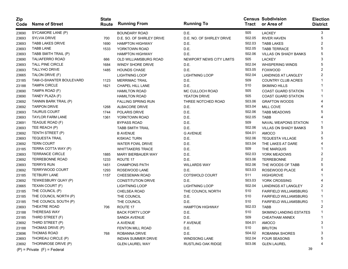| Zip<br>Code | <b>Name of Street</b>           | <b>State</b><br>Route | <b>Running From</b>        | <b>Running To</b>         |        | <b>Census Subdivision</b><br>Tract or Area of | <b>Election</b><br><b>District</b> |
|-------------|---------------------------------|-----------------------|----------------------------|---------------------------|--------|-----------------------------------------------|------------------------------------|
| 23690       | SYCAMORE LANE (P)               |                       | <b>BOUNDARY ROAD</b>       | D.E.                      | 505    | <b>LACKEY</b>                                 | 3                                  |
| 23693       | <b>SYLVIA DRIVE</b>             | 700                   | D.E. SO. OF SHIRLEY DRIVE  | D.E. NO. OF SHIRLEY DRIVE | 502.05 | <b>RIVER HAVEN</b>                            | 5                                  |
| 23693       | <b>TABB LAKES DRIVE</b>         | 1690                  | <b>HAMPTON HIGHWAY</b>     | D.E.                      | 502.03 | <b>TABB LAKES</b>                             |                                    |
| 23693       | <b>TABB LANE</b>                | 1533                  | YORKTOWN ROAD              | D.E.                      | 502.05 | <b>TABB TERRACE</b>                           |                                    |
| 23693       | TABB SMITH TRAIL (P)            |                       | <b>HAMPTON HIGHWAY</b>     | D.E.                      | 502.06 | <b>VILLAS ON SHADY BANKS</b>                  |                                    |
| 23690       | <b>TALIAFERRO ROAD</b>          | 666                   | OLD WILLIAMSBURG ROAD      | NEWPORT NEWS CITY LIMITS  | 505    | <b>LACKEY</b>                                 |                                    |
| 23693       | <b>TALL PINE CIRCLE</b>         | 1684                  | WINDY SHORE DRIVE          | D.E.                      | 502.04 | <b>WHISPERING WINDS</b>                       |                                    |
| 23693       | <b>TALLYHO DRIVE</b>            | 1485                  | <b>HOUNDS CHASE</b>        | D.E.                      | 503.05 | <b>FOXWOOD</b>                                |                                    |
| 23665       | TALON DRIVE (F)                 |                       | <b>LIGHTNING LOOP</b>      | <b>LIGHTNING LOOP</b>     | 502.04 | <b>LANDINGS AT LANGLEY</b>                    |                                    |
| 23185       | TAM-O-SHANTER BOULEVARD         | 1123                  | <b>MERRIMAC TRAIL</b>      | D.E.                      | 509    | <b>COUNTRY CLUB ACRES</b>                     |                                    |
| 23188       | <b>TAMPA CIRCLE</b>             | 1621                  | CHAPEL HILL LANE           | D.E.                      | 510    | <b>SKIMINO HILLS</b>                          |                                    |
| 23690       | TAMPA ROAD (F)                  |                       | <b>HAMILTON ROAD</b>       | MC CULLOCH ROAD           | 505    | <b>COAST GUARD STATION</b>                    |                                    |
| 23690       | TANEY PLAZA (F)                 |                       | <b>HAMILTON ROAD</b>       | <b>YEATON DRIVE</b>       | 505    | <b>COAST GUARD STATION</b>                    |                                    |
| 23692       | TANNIN BARK TRAIL (P)           |                       | <b>FALLING SPRING RUN</b>  | THREE NOTCHED ROAD        | 503.06 | <b>GRAFTON WOODS</b>                          |                                    |
| 23692       | <b>TARPON DRIVE</b>             | 1268                  | ALBACORE DRIVE             | D.E.                      | 503.04 | MILL COVE                                     |                                    |
| 23693       | <b>TAURUS COURT</b>             | 1744                  | POLARIS DRIVE              | D.E.                      | 502.06 | <b>TABB MEADOWS</b>                           |                                    |
| 23693       | <b>TAYLOR FARM LANE</b>         | 1361                  | YORKTOWN ROAD              | D.E.                      | 502.05 | <b>TABB</b>                                   |                                    |
| 23691       | TEAGUE ROAD (F)                 |                       | <b>BYPASS ROAD</b>         | D.E.                      | 509    | NAVAL WEAPONS STATION                         |                                    |
| 23693       | TEE REACH (P)                   |                       | <b>TABB SMITH TRAIL</b>    | D.E.                      | 502.06 | <b>VILLAS ON SHADY BANKS</b>                  | 5                                  |
| 23692       | TENTH STREET (P)                |                       | <b>B AVENUE</b>            | <b>G AVENUE</b>           | 504.01 | <b>AMOCO</b>                                  |                                    |
| 23693       | <b>TEQUESTA TRAIL</b>           |                       | <b>KISKIAC TURN</b>        | D.E.                      | 502.06 | <b>TEQUESTA VILLAGE</b>                       |                                    |
| 23692       | <b>TERN COURT</b>               |                       | <b>WATER FOWL DRIVE</b>    | D.E.                      | 503.04 | THE LAKES AT DARE                             |                                    |
| 23185       | TERRA COTTA WAY (P)             |                       | <b>WHITTAKERS TRACE</b>    | D.E.                      | 509    | THE MARQUIS                                   |                                    |
| 23693       | <b>TERRANCE CIRCLE</b>          | 1885                  | <b>MARY BIERBAUER WAY</b>  | D.E.                      | 502.03 | YORK MEADOWS                                  | 2                                  |
| 23692       | <b>TERREBONNE ROAD</b>          | 1233                  | ROUTE 17                   | D.E.                      | 503.06 | <b>TERREBONNE</b>                             |                                    |
| 23693       | <b>TERRYS RUN</b>               | 1451                  | <b>CHAMPIONS PATH</b>      | <b>WILLARDS WAY</b>       | 502.06 | THE WOODS OF TABB                             |                                    |
| 23692       | TERRYWOOD COURT                 | 1293                  | ROSEWOOD LANE              | D.E.                      | 503.03 | ROSEWOOD PLACE                                |                                    |
| 23185       | <b>TETBURY LANE</b>             | 1157                  | CHEESEMAN ROAD             | COTSWOLD COURT            | 511    | <b>HIGHGROVE</b>                              |                                    |
| 23692       | TEWKESBURY QUAY (P)             |                       | <b>CONSTITUTION DRIVE</b>  | D.E.                      | 503.03 | YORK CROSSING                                 |                                    |
| 23665       | TEXAN COURT (F)                 |                       | <b>LIGHTNING LOOP</b>      | <b>LIGHTNING LOOP</b>     | 502.04 | <b>LANDINGS AT LANGLEY</b>                    | 2                                  |
| 23185       | THE COUNCIL (P)                 |                       | CHELSEA ROAD               | THE COUNCIL NORTH         | 510    | <b>FAIRFIELD WILLIAMSBURG</b>                 |                                    |
| 23185       | THE COUNCIL NORTH (P)           |                       | THE COUNCIL                | D.E.                      | 510    | <b>FAIRFIELD WILLIAMSBURG</b>                 |                                    |
| 23185       | THE COUNCIL SOUTH (P)           |                       | THE COUNCIL                | D.E.                      | 510    | <b>FAIRFIELD WILLIAMSBURG</b>                 |                                    |
| 23693       | THEATRE ROAD                    | 706                   | ROUTE 17                   | <b>HAMPTON HIGHWAY</b>    | 502.03 | <b>TABB</b>                                   | 2                                  |
| 23188       | <b>THERESAS WAY</b>             |                       | <b>BACK FORTY LOOP</b>     | D.E.                      | 510    | <b>SKIMINO LANDING ESTATES</b>                |                                    |
| 23185       | THIRD STREET (F)                |                       | SANDA AVENUE               | D.E.                      | 509    | CHEATHAM ANNEX                                |                                    |
| 23692       | THIRD STREET (P)                |                       | A AVENUE                   | <b>F AVENUE</b>           | 504.01 | AMOCO                                         |                                    |
| 23188       | THOMAS DRIVE (P)                |                       | FENTON MILL ROAD           | D.E.                      | 510    | <b>BRUTON</b>                                 |                                    |
| 23696       | <b>THOMAS ROAD</b>              | 768                   | ROBANNA DRIVE              | D.E.                      | 504.02 | ROBANNA SHORES                                |                                    |
| 23693       | THOREAU CIRCLE (P)              |                       | <b>INDIAN SUMMER DRIVE</b> | <b>WINDSONG LANE</b>      | 502.04 | <b>FOUR SEASONS</b>                           |                                    |
| 23692       | THORNROSE DRIVE (P)             |                       | <b>GLEN LAUREL WAY</b>     | <b>RUSTLING OAK RIDGE</b> | 503.06 | <b>GLEN LAUREL</b>                            |                                    |
|             | $(P)$ = Private $(F)$ = Federal |                       |                            |                           |        | 39                                            |                                    |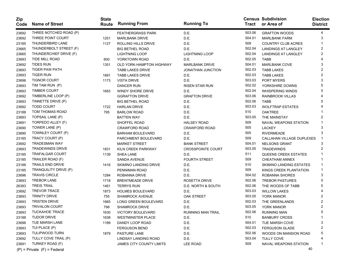| Zip<br>Code | <b>Name of Street</b>           | <b>State</b><br>Route | <b>Running From</b>             | <b>Running To</b>        | Tract  | <b>Census Subdivision</b><br>or Area of | <b>Election</b><br><b>District</b> |
|-------------|---------------------------------|-----------------------|---------------------------------|--------------------------|--------|-----------------------------------------|------------------------------------|
| 23692       | THREE NOTCHED ROAD (P)          |                       | <b>FEATHERGRASS PARK</b>        | D.E.                     | 503.06 | <b>GRAFTON WOODS</b>                    | 4                                  |
| 23692       | THREE POINT COURT               | 1251                  | <b>MARLBANK DRIVE</b>           | D.E.                     | 504.01 | <b>MARLBANK FARM</b>                    | 3                                  |
| 23185       | THUNDERBIRD LANE                | 1127                  | ROLLING HILLS DRIVE             | D.E.                     | 509    | COUNTRY CLUB ACRES                      |                                    |
| 23665       | THUNDERBOLT STREET (F)          |                       | <b>BIG BETHEL ROAD</b>          | D.E.                     | 502.04 | <b>LANDINGS AT LANGLEY</b>              | 2                                  |
| 23665       | THUNDERCHIEF DRIVE (F)          |                       | <b>LIGHTNING LOOP</b>           | <b>LIGHTNING LOOP</b>    | 502.04 | <b>LANDINGS AT LANGLEY</b>              | 2                                  |
| 23693       | TIDE MILL ROAD                  | 600                   | YORKTOWN ROAD                   | D.E.                     | 502.05 | <b>TABB</b>                             |                                    |
| 23692       | <b>TIDES RUN</b>                | 1351                  | <b>OLD YORK-HAMPTON HIGHWAY</b> | <b>MARLBANK DRIVE</b>    | 504.01 | <b>MARLBANK COVE</b>                    | 3                                  |
| 23693       | <b>TIGER PAW PATH</b>           |                       | <b>TABB LAKES DRIVE</b>         | <b>JONATHAN JUNCTION</b> | 502.03 | <b>TABB LAKES</b>                       | 2                                  |
| 23693       | <b>TIGER RUN</b>                | 1691                  | <b>TABB LAKES DRIVE</b>         | D.E.                     | 502.03 | <b>TABB LAKES</b>                       | 2                                  |
| 23696       | <b>TIGNOR COURT</b>             | 1173                  | <b>VISTA DRIVE</b>              | D.E.                     | 503.03 | PORT MYERS                              | 3                                  |
| 23693       | TIM TAM RUN (P)                 |                       | DANCER RUN                      | <b>RISEN STAR RUN</b>    | 502.02 | YORKSHIRE DOWNS                         | 5                                  |
| 23693       | <b>TIMBER COURT</b>             | 1683                  | <b>WINDY SHORE DRIVE</b>        | D.E.                     | 502.04 | <b>WHISPERING WINDS</b>                 | 5                                  |
| 23692       | TIMBERLINE LOOP (P)             |                       | <b>GGRAFTON DRIVE</b>           | <b>GRAFTON DRIVE</b>     | 503.06 | RAINBROOK VILLAS                        |                                    |
| 23693       | TINNETTE DRIVE (P)              |                       | <b>BIG BETHEL ROAD</b>          | D.E.                     | 502.06 | <b>TABB</b>                             | 5                                  |
| 23692       | <b>TODD COURT</b>               | 1722                  | <b>HARLAN DRIVE</b>             | D.E.                     | 503.03 | <b>WOLFTRAP ESTATES</b>                 |                                    |
| 23188       | TOM THOMAS ROAD                 | 795                   | <b>BARLOW ROAD</b>              | D.E.                     | 510    | <b>OAKTREE</b>                          |                                    |
| 23693       | TOPSAIL LANE (P)                |                       | <b>BATTEN WAY</b>               | D.E.                     | 503.05 | THE MAINSTAY                            |                                    |
| 23691       | TORPEDO ALLEY (F)               |                       | SHOFFEL ROAD                    | <b>HALSEY ROAD</b>       | 509    | <b>NAVAL WEAPONS STATION</b>            |                                    |
| 23690       | TOWER LANE (P)                  |                       | <b>CRAWFORD ROAD</b>            | <b>CRAWFORD ROAD</b>     | 505    | <b>LACKEY</b>                           | 3                                  |
| 23690       | TOWNLEY COURT (P)               |                       | <b>BARHAM BOULEVARD</b>         | D.E.                     | 505    | <b>RIVERMEADE</b>                       | 3                                  |
| 23185       | TRACY COURT (P)                 |                       | PARCHMENT BOULEVARD             | D.E.                     | 509    | CALLAHAN VILLAGE DUPLEXES               |                                    |
| 23692       | TRADESMAN WAY                   |                       | <b>MARKET STREET</b>            | <b>BANK STREET</b>       | 504.01 | <b>NELSONS GRANT</b>                    | з                                  |
| 23693       | TRADEWINDS DRIVE                | 1831                  | KILN CREEK PARKWAY              | <b>CROSSPOINTE COURT</b> | 503.05 | <b>TRADEWINDS</b>                       |                                    |
| 23185       | <b>TRAFALGAR COURT</b>          | 1139                  | <b>SHEA LANE</b>                | D.E.                     | 511    | <b>QUEENS CREEK ESTATES</b>             |                                    |
| 23185       | TRAILER ROAD (F)                |                       | SANDA AVENUE                    | <b>FOURTH STREET</b>     | 509    | CHEATHAM ANNEX                          |                                    |
| 23188       | TRAILS END DRIVE                | 1416                  | SKIMINO LANDING DRIVE           | D.E.                     | 510    | SKIMINO LANDING ESTATES                 | 1                                  |
| 23185       | TRANQUILITY DRIVE (P)           |                       | PENNIMAN ROAD                   | D.E.                     | 509    | KINGS CREEK PLANTATION                  |                                    |
| 23696       | <b>TRAVIS CIRCLE</b>            | 1284                  | ROBANNA DRIVE                   | D.E.                     | 504.02 | ROBANNA SHORES                          | 3                                  |
| 23693       | <b>TREBOR LANE</b>              | 1718                  | <b>BRENTMEADE DRIVE</b>         | ROSETTA DRIVE            | 502.06 | <b>TREBOR PASTURES</b>                  | 5                                  |
| 26393       | <b>TREIS TRAIL</b>              | 1461                  | <b>TERRYS RUN</b>               | D.E. NORTH & SOUTH       | 502.06 | THE WOODS OF TABB                       | 5                                  |
| 23692       | <b>TREVOR TRACE</b>             | 1873                  | <b>HOLMES BOULEVARD</b>         | D.E.                     | 503.03 | <b>WILLOW LAKES</b>                     |                                    |
| 23693       | <b>TRINITY DRIVE</b>            | 755                   | <b>SHAMROCK AVENUE</b>          | OAK STREET               | 503.05 | YORK MANOR                              |                                    |
| 23693       | <b>TRISTEN DRIVE</b>            | 1665                  | LONG GREEN BOULEVARD            | D.E.                     | 502.03 | THE GREENLANDS                          |                                    |
| 23693       | <b>TRIVALON COURT</b>           | 798                   | <b>SHAMROCK DRIVE</b>           | D.E.                     | 503.05 | YORK MANOR                              |                                    |
| 23693       | <b>TUCKAHOE TRACE</b>           | 1630                  | VICTORY BOULEVARD               | <b>RUNNING MAN TRAIL</b> | 502.06 | <b>RUNNING MAN</b>                      | 5                                  |
| 23188       | <b>TUDOR DRIVE</b>              | 1638                  | <b>WESTMINSTER PLACE</b>        | D.E.                     | 510    | <b>BANBURY CROSS</b>                    | 1                                  |
| 23696       | TUE MARSH LANE                  | 1189                  | DANDY LOOP ROAD                 | D.E.                     | 504.01 | TUE MARSH COVE                          | 3                                  |
| 23693       | TUI PLACE (P)                   |                       | <b>FERGUSON BEND</b>            | D.E.                     | 502.03 | <b>FERGUSON GLADE</b>                   | 2                                  |
| 23693       | <b>TULIPWOOD TURN</b>           | 1879                  | PASTURE LANE                    | D.E.                     | 502.06 | WOODS ON MANSION ROAD                   | 5                                  |
| 23692       | TULLY COVE TRAIL (P)            |                       | LINDSAY LANDING ROAD            | D.E.                     | 503.04 | <b>TULLY COVE</b>                       |                                    |
| 23691       | TURKEY ROAD (F)                 |                       | <b>JAMES CITY COUNTY LIMITS</b> | LEE ROAD                 | 509    | NAVAL WEAPONS STATION                   |                                    |
|             | $(P)$ = Private $(F)$ = Federal |                       |                                 |                          |        | 40                                      |                                    |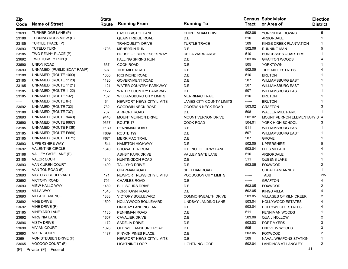| <b>Zip</b><br>Code | <b>Name of Street</b>           | <b>State</b><br>Route | <b>Running From</b>             | <b>Running To</b>               | Tract  | <b>Census Subdivision</b><br>or Area of | <b>Election</b><br><b>District</b> |
|--------------------|---------------------------------|-----------------------|---------------------------------|---------------------------------|--------|-----------------------------------------|------------------------------------|
| 23693              | TURNBRIDGE LANE (P)             |                       | <b>EAST BRISTOL LANE</b>        | <b>CHIPPENHAM DRIVE</b>         | 502.06 | YORKSHIRE DOWNS                         | 5                                  |
| 23188              | TURNING ROCK VIEW (P)           |                       | <b>QUAINT RIDGE ROAD</b>        | D.E.                            | 510    | ARBORDALE                               | 1                                  |
| 23185              | TURTLE TRACE (P)                |                       | <b>TRANQUILITY DRIVE</b>        | <b>TURTLE TRACE</b>             | 509    | KINGS CREEK PLANTATION                  | 1                                  |
| 23693              | <b>TUTELO TURN</b>              | 1798                  | <b>MEHERRIN RUN</b>             | D.E.                            | 502.06 | <b>RUNNING MAN</b>                      | 5                                  |
| 23185              | TWO PENNY PLACE (P)             |                       | <b>HOUSE OF BURGESSES WAY</b>   | DE LA WARR ARCH                 | 510    | <b>BURGESSES QUARTERS</b>               |                                    |
| 23692              | TWO TURKEY RUN (P)              |                       | <b>FALLING SPRING RUN</b>       | D.E.                            | 503.06 | <b>GRAFTON WOODS</b>                    |                                    |
| 23690              | <b>UNION ROAD</b>               | 637                   | COOK ROAD                       | D.E.                            | 505    | <b>YORKTOWN</b>                         |                                    |
| 23693              | UNNAMED (PUBLIC BOAT RAMP)      | 697                   | TIDE MILL ROAD                  | D.E.                            | 502.05 | <b>TIDE MILL ESTATES</b>                |                                    |
| 23188              | UNNAMED (ROUTE 1000)            | 1000                  | RICHMOND ROAD                   | D.E.                            | 510    | <b>BRUTON</b>                           |                                    |
| 23185              | UNNAMED (ROUTE 1120)            | 1120                  | <b>GOVERNMENT ROAD</b>          | D.E.                            | 507    | <b>WILLIAMSBURG EAST</b>                |                                    |
| 23185              | UNNAMED (ROUTE 1121)            | 1121                  | <b>WATER COUNTRY PARKWAY</b>    | D.E.                            | 507    | <b>WILLIAMSBURG EAST</b>                |                                    |
| 23185              | UNNAMED (ROUTE 1122)            | 1122                  | <b>WATER COUNTRY PARKWAY</b>    | D.E.                            | 507    | <b>WILLIAMSBURG EAST</b>                |                                    |
| 23185              | UNNAMED (ROUTE 132)             | 132                   | <b>WILLIAMSBURG CITY LIMITS</b> | <b>MERRIMAC TRAIL</b>           | 510    | <b>BRUTON</b>                           |                                    |
| -----              | UNNAMED (ROUTE 64)              | 64                    | NEWPORT NEWS CITY LIMITS        | <b>JAMES CITY COUNTY LIMITS</b> | ------ | <b>BRUTON</b>                           |                                    |
| 23692              | UNNAMED (ROUTE 732)             | 732                   | <b>GOODWIN NECK ROAD</b>        | <b>GOODWIN NECK ROAD</b>        | 503.02 | <b>GRAFTON</b>                          |                                    |
| 23188              | UNNAMED (ROUTE 737)             | 737                   | AIRPORT ROAD                    | D.E.                            | 508    | <b>WALLER MILL PARK</b>                 |                                    |
| 23693              | UNNAMED (ROUTE 9440)            | 9440                  | <b>MOUNT VERNON DRIVE</b>       | <b>MOUNT VERNON DRIVE</b>       | 502.02 | <b>MOUNT VERNON ELEMENTARY S 4</b>      |                                    |
| 23690              | UNNAMED (ROUTE 9667)            | 9667                  | ROUTE 17                        | <b>COOK ROAD</b>                | 504.01 | YORK HIGH SCHOOL                        |                                    |
| 23185              | UNNAMED (ROUTE F139)            | F139                  | PENNIMAN ROAD                   | D.E.                            | 511    | <b>WILLIAMSBURG EAST</b>                |                                    |
| 23185              | UNNAMED (ROUTE F669)            | F669                  | ROUTE 199                       | D.E.                            | 507    | <b>WILLIAMSBURG EAST</b>                |                                    |
| 23185              | UNNAMED (ROUTE F671)            | F671                  | <b>MERRIMAC TRAIL</b>           | D.E.                            | 507    | <b>GROVE</b>                            |                                    |
| 23693              | UPPERSHIRE WAY                  | 1544                  | <b>HAMPTON HIGHWAY</b>          | D.E.                            | 502.05 | <b>UPPERSHIRE</b>                       | 5                                  |
| 23692              | <b>VALENTINE CIRCLE</b>         | 1640                  | SHOWALTER ROAD                  | D.E. NO. OF GRAY LANE           | 503.04 | <b>LEES VILLAGE</b>                     |                                    |
| 23188              | VALLEY GATE LANE (P)            |                       | <b>ASHBY PARK DRIVE</b>         | <b>VALLEY GATE LANE</b>         | 510    | ARBORDALE                               |                                    |
| 23185              | VALOR COURT                     | 1340                  | <b>HUNTINGDON ROAD</b>          | D.E.                            | 511    | QUEENS LAKE                             |                                    |
| 23693              | VAN CUREN COURT                 | 1490                  | <b>TALLYHO DRIVE</b>            | D.E.                            | 503.05 | <b>FOXWOOD</b>                          | 2                                  |
| 23185              | VAN TOL ROAD (F)                |                       | <b>CHAPMAN ROAD</b>             | SHEEHAN ROAD                    |        | <b>CHEATHAM ANNEX</b>                   |                                    |
| 23693              | <b>VICTORY BOULEVARD</b>        | 171                   | NEWPORT NEWS CITY LIMITS        | POQUOSON CITY LIMITS            | ------ | <b>TABB</b>                             | 2/5                                |
| 23692              | <b>VICTORY ROAD</b>             | 791                   | <b>CHARLES ROAD</b>             | D.E.                            | ------ | <b>GRAFTON</b>                          |                                    |
| 23693              | <b>VIEW HALLO WAY</b>           | 1489                  | <b>BILL SOURS DRIVE</b>         | D.E.                            | 503.05 | <b>FOXWOOD</b>                          | 2                                  |
| 23693              | <b>VILLA WAY</b>                | 1545                  | YORKTOWN ROAD                   | D.E.                            | 502.05 | <b>KINGS VILLA</b>                      |                                    |
| 23693              | <b>VILLAGE AVENUE</b>           | 1838                  | <b>VICTORY BOULEVARD</b>        | <b>COMMONWEALTH DRIVE</b>       | 503.05 | <b>VILLAGES OF KILN CREEK</b>           | 2                                  |
| 23692              | <b>VINE DRIVE</b>               | 1509                  | <b>HOLLYWOOD BOULEVARD</b>      | <b>LINDSAY LANDING LANE</b>     | 503.04 | <b>HOLLYWOOD ESTATES</b>                |                                    |
| 23692              | VINE DRIVE (P)                  |                       | <b>LINDSAY LANDING LANE</b>     | D.E.                            | 503.04 | <b>HOLLYWOOD ESTATES</b>                |                                    |
| 23185              | <b>VINEYARD LANE</b>            | 1135                  | PENNIMAN ROAD                   | D.E.                            | 511    | PENNIMAN WOODS                          |                                    |
| 23692              | <b>VIRGINIA LANE</b>            | 1607                  | <b>CAVALIER DRIVE</b>           | D.E.                            | 503.06 | <b>QUAIL HOLLOW</b>                     | 2                                  |
| 23696              | <b>VISTA DRIVE</b>              | 1172                  | SADELIA DRIVE                   | D.E.                            | 503.03 | PORT MYERS                              | 3                                  |
| 23690              | <b>VIVIAN COURT</b>             | 1026                  | OLD WILLIAMSBURG ROAD           | D.E.                            | 505    | <b>ENDVIEW WOODS</b>                    | 3                                  |
| 23693              | <b>VIXEN COURT</b>              | 1487                  | PINYON PINES PLACE              | D.E.                            | 503.05 | <b>FOXWOOD</b>                          | 2                                  |
| 23691              | VON STEUBEN DRIVE (F)           |                       | NEWPORT NEWS CITY LIMITS        | D.E.                            | 509    | NAVAL WEAPONS STATION                   | 1                                  |
| 23665              | VOODOO COURT (F)                |                       | <b>LIGHTNING LOOP</b>           | <b>LIGHTNING LOOP</b>           | 502.04 | <b>LANDINGS AT LANGLEY</b>              | 2                                  |
|                    | $(P)$ = Private $(F)$ = Federal |                       |                                 |                                 |        | 41                                      |                                    |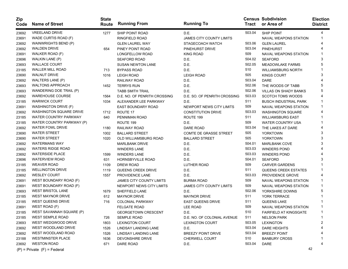| Zip<br>Code | <b>Name of Street</b>           | <b>State</b><br>Route | <b>Running From</b>             | <b>Running To</b>               | Tract  | <b>Census Subdivision</b><br>or Area of | <b>Election</b><br><b>District</b> |
|-------------|---------------------------------|-----------------------|---------------------------------|---------------------------------|--------|-----------------------------------------|------------------------------------|
| 23692       | <b>VREELAND DRIVE</b>           | 1277                  | SHIP POINT ROAD                 | D.E.                            | 503.04 | SHIP POINT                              | 4                                  |
| 23691       | WADE CURTIS ROAD (F)            |                       | <b>RINGFIELD ROAD</b>           | <b>JAMES CITY COUNTY LIMITS</b> |        | <b>NAVAL WEAPONS STATION</b>            | 1                                  |
| 23692       | WAINWRIGHTS BEND (P)            |                       | <b>GLEN LAUREL WAY</b>          | STAGECOACH WATCH                | 503.06 | <b>GLEN LAUREL</b>                      |                                    |
| 23692       | <b>WALDEN DRIVE</b>             | 654                   | PINEY POINT ROAD                | PINEHURST DRIVE                 | 503.04 | <b>PINEHURST</b>                        |                                    |
| 23691       | WALKER ROAD (F)                 |                       | LONGFELLOW ROAD                 | <b>KING ROAD</b>                | 509    | <b>NAVAL WEAPONS STATION</b>            |                                    |
| 23696       | WALKIN LANE (P)                 |                       | <b>SEAFORD ROAD</b>             | D.E.                            | 504.02 | <b>SEAFORD</b>                          |                                    |
| 23693       | <b>WALLACE COURT</b>            |                       | <b>SUSAN NEWTON LANE</b>        | D.E.                            | 502.05 | <b>MEADOWLAKE FARMS</b>                 | 5                                  |
| 23185       | <b>WALLER MILL ROAD</b>         | 713                   | <b>BYPASS ROAD</b>              | D.E.                            | 510    | <b>WILLIAMSBURG NORTH</b>               |                                    |
| 23690       | <b>WALNUT DRIVE</b>             | 1016                  | <b>LEIGH ROAD</b>               | <b>LEIGH ROAD</b>               | 505    | KINGS COURT                             | 3                                  |
| 23692       | WALTERS LANE (P)                |                       | RAILWAY ROAD                    | D.E.                            | 503.04 | <b>DARE</b>                             |                                    |
| 23693       | <b>WALTONS APPROACH</b>         | 1452                  | <b>TERRYS RUN</b>               | D.E.                            | 502.06 | THE WOODS OF TABB                       | 5                                  |
| 23693       | WANDERING DOE TRAIL (P)         |                       | <b>TABB SMITH TRAIL</b>         | D.E.                            | 502.06 | <b>VILLAS ON SHADY BANKS</b>            | 5                                  |
| 23692       | <b>WAREHOUSE COURSE</b>         | 1564                  | D.E. NO. OF PENRITH CROSSING    | D.E. SO. OF PENRITH CROSSING    | 503.03 | <b>SCOTCH TOMS WOODS</b>                |                                    |
| 23185       | <b>WARWICK COURT</b>            | 1034                  | ALEXANDER LEE PARKWAY           | D.E.                            | 511    | <b>BUSCH INDUSTRIAL PARK</b>            |                                    |
| 23691       | <b>WASHINGTON DRIVE (F)</b>     |                       | <b>EAST BOUNDARY ROAD</b>       | NEWPORT NEWS CITY LIMITS        | 509    | <b>NAVAL WEAPONS STATION</b>            |                                    |
| 23692       | <b>WASHINGTON SQUARE DRIVE</b>  | 1712                  | ROUTE 17                        | <b>CONSTITUTION DRIVE</b>       | 503.03 | <b>WASHINGTON SQUARE</b>                |                                    |
| 23185       | WATER COUNTRY PARKWAY           | 640                   | PENNIMAN ROAD                   | ROUTE 199                       | 511    | <b>WILLIAMSBURG EAST</b>                |                                    |
| 23185       | WATER COUNTRY PARKWAY (P)       |                       | ROUTE 199                       | D.E.                            | 509    | <b>WATER COUNTRY USA</b>                |                                    |
| 23692       | <b>WATER FOWL DRIVE</b>         | 1180                  | RAILWAY ROAD                    | DARE ROAD                       | 503.04 | THE LAKES AT DARE                       |                                    |
| 23690       | <b>WATER STREET</b>             | 1002                  | <b>BALLARD STREET</b>           | <b>COMTE DE GRASSE STREET</b>   | 505    | <b>YORKTOWN</b>                         | 3                                  |
| 23690       | <b>WATER STREET</b>             | 1020                  | OLD WILLIAMSBURG ROAD           | <b>BALLARD STREET</b>           | 505    | <b>YORKTOWN</b>                         |                                    |
| 23692       | <b>WATERMANS WAY</b>            |                       | <b>MARLBANK DRIVE</b>           | D.E.                            | 504.01 | <b>MARLBANK COVE</b>                    | 3                                  |
| 23692       | <b>WATERS RIDGE ROAD</b>        |                       | <b>WINDERS LANE</b>             | D.E.                            | 503.03 | <b>WINDERS POND</b>                     |                                    |
| 23692       | <b>WATERSIDE PLACE</b>          | 1599                  | <b>WINDERS LANE</b>             | D.E.                            | 503.03 | <b>WINDERS POND</b>                     |                                    |
| 23696       | <b>WATERVIEW ROAD</b>           | 631                   | HORNSBYVILLE ROAD               | D.E.                            | 504.01 | <b>SEAFORD</b>                          | 3                                  |
| 23185       | <b>WEAVER ROAD</b>              | 1109                  | <b>DREW ROAD</b>                | LUTHER ROAD                     | 509    | <b>CARVER GARDENS</b>                   |                                    |
| 23185       | <b>WELLINGTON DRIVE</b>         | 1119                  | QUEENS CREEK DRIVE              | D.E.                            | 511    | <b>QUEENS CREEK ESTATES</b>             |                                    |
| 23692       | <b>WESLEY COURT</b>             | 1557                  | PROVIDENCE LANE                 | D.E.                            | 503.03 | PROVIDENCE GROVE                        |                                    |
| 23691       | WEST BOUNDARY ROAD (F)          |                       | <b>JAMES CITY COUNTY LIMITS</b> | <b>BURMA ROAD</b>               | 509    | <b>NAVAL WEAPONS STATION</b>            |                                    |
| 23691       | WEST BOUNDARY ROAD (F)          |                       | NEWPORT NEWS CITY LIMITS        | <b>JAMES CITY COUNTY LIMITS</b> | 509    | <b>NAVAL WEAPONS STATION</b>            |                                    |
| 23693       | <b>WEST BRISTOL LANE</b>        | 1679                  | SHEFFIELD LANE                  | D.E.                            | 502.06 | YORKSHIRE DOWNS                         | 5                                  |
| 23185       | <b>WEST MAYNOR DRIVE</b>        | 612                   | <b>MAYNOR DRIVE</b>             | <b>MAYNOR DRIVE</b>             | 511    | YORK TERRACE                            |                                    |
| 23185       | <b>WEST QUEENS DRIVE</b>        | 716                   | <b>COLONIAL PARKWAY</b>         | <b>EAST QUEENS DRIVE</b>        | 511    | QUEENS LAKE                             |                                    |
| 23691       | WEST ROAD (F)                   |                       | <b>FELGATE ROAD</b>             | <b>LEE ROAD</b>                 | 509    | NAVAL WEAPONS STATION                   |                                    |
| 23185       | WEST SAVANNAH SQUARE (P)        |                       | <b>GEORGETOWN CRESCENT</b>      | D.E.                            | 510    | <b>FAIRFIELD AT KINGSGATE</b>           |                                    |
| 23185       | <b>WEST SEMPLE ROAD</b>         | 726                   | <b>SEMPLE ROAD</b>              | D.E. NO. OF COLONIAL AVENUE     | 511    | <b>NELSON PARK</b>                      | -1                                 |
| 23693       | WEST WEDGWOOD DRIVE             | 1803                  | <b>LEXINGTON COURT</b>          | <b>LEXINGTON COURT</b>          | 503.05 | <b>LEXINGTON</b>                        | 2                                  |
| 23692       | WEST WOODLAND DRIVE             | 1526                  | LINDSAY LANDING LANE            | D.E.                            | 503.04 | <b>DARE HEIGHTS</b>                     |                                    |
| 23692       | WEST WOODLAND ROAD              | 1526                  | LINDSAY LANDING LANE            | <b>BREEZY POINT DRIVE</b>       | 503.04 | <b>BREEZY POINT</b>                     |                                    |
| 23188       | <b>WESTMINSTER PLACE</b>        | 1636                  | DEVONSHIRE DRIVE                | CHERWELL COURT                  | 510    | <b>BANBURY CROSS</b>                    |                                    |
| 23692       | <b>WESTON ROAD</b>              | 671                   | DARE ROAD                       | D.E.                            | 503.04 | DARE                                    |                                    |
|             | $(P)$ = Private $(F)$ = Federal |                       |                                 |                                 |        |                                         | 42                                 |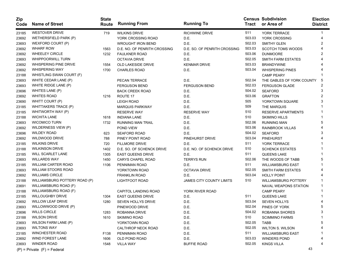| Zip<br>Code | <b>Name of Street</b>           | <b>State</b><br>Route | <b>Running From</b>          | <b>Running To</b>               | Tract  | <b>Census Subdivision</b><br>or Area of | <b>Election</b><br><b>District</b> |
|-------------|---------------------------------|-----------------------|------------------------------|---------------------------------|--------|-----------------------------------------|------------------------------------|
| 23185       | <b>WESTOVER DRIVE</b>           | 719                   | WILKINS DRIVE                | <b>RICHWINE DRIVE</b>           | 511    | YORK TERRACE                            | 1                                  |
| 23692       | WETHERSFIELD PARK (P)           |                       | YORK CROSSING ROAD           | D.E.                            | 503.03 | YORK CROSSING                           | 4                                  |
| 23693       | WEXFORD COURT (P)               |                       | <b>WROUGHT IRON BEND</b>     | D.E.                            | 502.03 | <b>SMITHY GLEN</b>                      | 2                                  |
| 23692       | <b>WHARF ROW</b>                | 1563                  | D.E. NO. OF PENRITH CROSSING | D.E. SO. OF PENRITH CROSSING    | 503.03 | <b>SCOTCH TOMS WOODS</b>                |                                    |
| 23692       | <b>WHEELEY CIRCLE</b>           | 1232                  | <b>FAULKNER ROAD</b>         | D.E.                            | 503.06 | <b>DUNMOORE</b>                         | 2                                  |
| 23693       | <b>WHIPPOORWILL TURN</b>        |                       | <b>OCTAVIA DRIVE</b>         | D.E.                            | 502.05 | SMITH FARM ESTATES                      |                                    |
| 23692       | WHISPERING PINE DRIVE           | 1554                  | OLD LAKESIDE DRIVE           | <b>KENMAR DRIVE</b>             | 503.03 | <b>BRANDYWINE</b>                       |                                    |
| 23692       | <b>WHISPERING WAY</b>           | 1700                  | <b>CHARLES ROAD</b>          | D.E.                            | 503.04 | <b>WHISPERING PINES</b>                 |                                    |
| 23188       | WHISTLING SWAN COURT (F)        |                       |                              |                                 |        | <b>CAMP PEARY</b>                       |                                    |
| 23693       | WHITE CEDAR LANE (P)            |                       | PECAN TERRACE                | D.E.                            | 502.04 | THE GABLES OF YORK COUNTY               | 5                                  |
| 23693       | WHITE RIDGE LANE (P)            |                       | <b>FERGUSON BEND</b>         | <b>FERGUSON BEND</b>            | 502.03 | <b>FERGUSON GLADE</b>                   |                                    |
| 23696       | WHITES LANE (P)                 |                       | <b>BACK CREEK ROAD</b>       | D.E.                            | 504.02 | <b>SEAFORD</b>                          |                                    |
| 23692       | <b>WHITES ROAD</b>              | 1216                  | ROUTE 17                     | D.E.                            | 503.06 | <b>GRAFTON</b>                          | 2                                  |
| 23690       | WHITT COURT (P)                 |                       | <b>LEIGH ROAD</b>            | D.E.                            | 505    | YORKTOWN SQUARE                         | 3                                  |
| 23185       | WHITTAKERS TRACE (P)            |                       | <b>MARQUIS PARKWAY</b>       | D.E.                            | 509    | THE MARQUIS                             |                                    |
| 23185       | WHITWORTH WAY (P)               |                       | <b>RESERVE WAY</b>           | <b>RESERVE WAY</b>              | 510    | <b>RESERVE APARTMENTS</b>               |                                    |
| 23188       | <b>WICHITA LANE</b>             | 1618                  | <b>INDIANA LANE</b>          | D.E.                            | 510    | <b>SKIMINO HILLS</b>                    |                                    |
| 23693       | <b>WICOMICO TURN</b>            | 1732                  | <b>RUNNING MAN TRAIL</b>     | D.E.                            | 502.06 | <b>RUNNING MAN</b>                      | 5                                  |
| 23692       | WILDERNESS VIEW (P)             |                       | POND VIEW                    | D.E.                            | 503.06 | <b>RAINBROOK VILLAS</b>                 |                                    |
| 23696       | <b>WILDEY ROAD</b>              | 623                   | <b>SEAFORD ROAD</b>          | D.E.                            | 504.02 | <b>SEAFORD</b>                          | 3                                  |
| 23692       | <b>WILDWOOD DRIVE</b>           | 788                   | PINEY POINT ROAD             | PINEHURST DRIVE                 | 503.04 | <b>PINEHURST</b>                        |                                    |
| 23185       | <b>WILKINS DRIVE</b>            | 720                   | <b>FILLMORE DRIVE</b>        | D.E.                            | 511    | <b>YORK TERRACE</b>                     |                                    |
| 23188       | <b>WILKINSON DRIVE</b>          | 1402                  | D.E. SO. OF SCHENCK DRIVE    | D.E. NO. OF SCHENCK DRIVE       | 510    | <b>SCHENCK ESTATES</b>                  |                                    |
| 23185       | WILL SCARLET LANE               | 1305                  | <b>EAST QUEENS DRIVE</b>     | D.E.                            | 511    | <b>QUEENS LAKE</b>                      |                                    |
| 23693       | <b>WILLARDS WAY</b>             | 1450                  | <b>CARYS CHAPEL ROAD</b>     | <b>TERRYS RUN</b>               | 502.06 | THE WOODS OF TABB                       | 5                                  |
| 23185       | <b>WILLIAM CARTER ROAD</b>      | 1106                  | PENNIMAN ROAD                | D.E.                            | 511    | <b>WILLIAMSBURG EAST</b>                |                                    |
| 23693       | <b>WILLIAM STOORS ROAD</b>      |                       | YORKTOWN ROAD                | <b>OCTAVIA DRIVE</b>            | 502.05 | SMITH FARM ESTATES                      |                                    |
| 23692       | <b>WILLIAMS CIRCLE</b>          |                       | <b>FRANKLIN ROAD</b>         | D.E.                            | 503.04 | <b>HOLLY POINT</b>                      |                                    |
| 23188       | WILLIAMSBURG POTTERY ROAD (P)   |                       | <b>LIGHTFOOT ROAD</b>        | <b>JAMES CITY COUNTY LIMITS</b> | 510    | <b>WILLIAMSBURG POTTERY</b>             |                                    |
| 23691       | WILLIAMSBURG ROAD (F)           |                       |                              |                                 |        | <b>NAVAL WEAPONS STATION</b>            |                                    |
| 23188       | WILLIAMSBURG ROAD (F)           |                       | CAPITOL LANDING ROAD         | YORK RIVER ROAD                 |        | <b>CAMP PEARY</b>                       |                                    |
| 23185       | <b>WILLOUGHBY DRIVE</b>         | 1304                  | <b>EAST QUEENS DRIVE</b>     | D.E.                            | 511    | QUEENS LAKE                             |                                    |
| 23692       | <b>WILLOW LEAF DRIVE</b>        | 1280                  | SEVEN HOLLYS DRIVE           | D.E.                            | 503.04 | <b>SEVEN HOLLYS</b>                     |                                    |
| 23693       | WILLOWWOOD DRIVE (P)            |                       | PINEWOOD DRIVE               | D.E.                            | 502.04 | PINES OF YORK                           | 5                                  |
| 23696       | <b>WILLS CIRCLE</b>             | 1283                  | ROBANNA DRIVE                | D.E.                            | 504.02 | ROBANNA SHORES                          |                                    |
| 23188       | <b>WILSON DRIVE</b>             | 1610                  | <b>SKIMINO ROAD</b>          | D.E.                            | 510    | <b>SCIMMINO FARMS</b>                   |                                    |
| 23693       | WILSON FARM LANE (P)            |                       | YORKTOWN ROAD                | D.E.                            | 502.05 | TABB                                    |                                    |
| 23693       | <b>WILTONS WAY</b>              |                       | CALTHROP NECK ROAD           | D.E.                            | 502.05 | <b>WILTON S. WILSON</b>                 |                                    |
| 23185       | <b>WINCHESTER ROAD</b>          | F138                  | PENNIMAN ROAD                | D.E.                            | 511    | <b>WILLIAMSBURG EAST</b>                |                                    |
| 23692       | WIND FOREST LANE                | 1606                  | OLD POND ROAD                | D.E.                            | 503.03 | <b>WINDERS POND</b>                     |                                    |
| 23693       | <b>WINDER ROAD</b>              | 1548                  | <b>VILLA WAY</b>             | <b>BUFFIE ROAD</b>              | 502.05 | <b>KINGS VILLA</b>                      |                                    |
|             | $(P)$ = Private $(F)$ = Federal |                       |                              |                                 |        | 43                                      |                                    |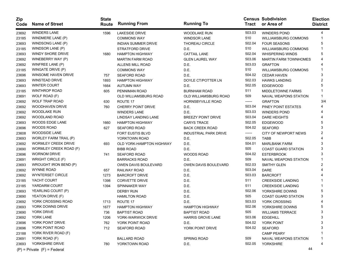| Zip<br>Code | <b>Name of Street</b>           | <b>State</b><br>Route | <b>Running From</b>        | <b>Running To</b>            | <b>Tract</b> | <b>Census Subdivision</b><br>or Area of | <b>Election</b><br><b>District</b> |
|-------------|---------------------------------|-----------------------|----------------------------|------------------------------|--------------|-----------------------------------------|------------------------------------|
| 23692       | <b>WINDERS LANE</b>             | 1596                  | <b>LAKESIDE DRIVE</b>      | <b>WOODLAKE RUN</b>          | 503.03       | <b>WINDERS POND</b>                     | 4                                  |
| 23185       | WINDMERE LANE (P)               |                       | <b>COMMONS WAY</b>         | <b>WINDSOR LANE</b>          | 510          | WILLIAMSBURG COMMONS                    |                                    |
| 23693       | WINDSONG LANE (P)               |                       | <b>INDIAN SUMMER DRIVE</b> | <b>THOREAU CIRCLE</b>        | 502.04       | <b>FOUR SEASONS</b>                     | 5                                  |
| 23185       | WINDSOR LANE (P)                |                       | STRATFORD DRIVE            | D.E.                         | 510          | WILLIAMSBURG COMMONS                    |                                    |
| 23693       | WINDY SHORE DRIVE               | 1680                  | <b>HAMPTON HIGHWAY</b>     | <b>CATTAIL LANE</b>          | 502.04       | <b>WHISPERING WINDS</b>                 | 5                                  |
| 23692       | WINEBERRY WAY (P)               |                       | <b>MARTIN FARM ROAD</b>    | <b>GLEN LAUREL WAY</b>       | 503.06       | <b>MARTIN FARM TOWNHOMES</b>            |                                    |
| 23692       | WINFREE LANE (P)                |                       | ALLENS MILL ROAD           | D.E.                         | 503.03       | <b>GRAFTON</b>                          |                                    |
| 23185       | WINGATE DRIVE (P)               |                       | <b>COMMONS WAY</b>         | D.E.                         | 510          | <b>WILLIAMSBURG COMMONS</b>             |                                    |
| 23696       | <b>WINSOME HAVEN DRIVE</b>      | 757                   | <b>SEAFORD ROAD</b>        | D.E.                         | 504.02       | <b>CEDAR HAVEN</b>                      | 3                                  |
| 23693       | WINSTEAD DRIVE                  | 1893                  | <b>HAMPTON HIGHWAY</b>     | DOYLE CT/POTTER LN           | 502.03       | <b>HAWKS LANDING</b>                    | 2                                  |
| 23693       | <b>WINTER COURT</b>             | 1664                  | <b>AUTUMN WAY</b>          | D.E.                         | 502.05       | <b>EDGEWOOD</b>                         | 5                                  |
| 23185       | <b>WINTHROP ROAD</b>            | 605                   | PENNIMAN ROAD              | <b>BURNHAM ROAD</b>          | 511          | <b>MIDDLETOWNE FARMS</b>                |                                    |
| 23691       | WOLF ROAD (F)                   |                       | OLD WILLIAMSBURG ROAD      | OLD WILLIAMSBURG ROAD        | 509          | <b>NAVAL WEAPONS STATION</b>            |                                    |
| 23692       | <b>WOLF TRAP ROAD</b>           | 630                   | ROUTE 17                   | <b>HORNSBYVILLE ROAD</b>     | ------       | <b>GRAFTON</b>                          | 3/4                                |
| 23692       | <b>WOODHAVEN DRIVE</b>          | 760                   | CHERRY POINT DRIVE         | D.E.                         | 503.04       | PINEY POINT ESTATES                     |                                    |
| 23692       | <b>WOODLAKE RUN</b>             |                       | <b>WINDERS LANE</b>        | D.E.                         | 503.03       | <b>WINDERS POND</b>                     |                                    |
| 23692       | <b>WOODLAND ROAD</b>            |                       | LINDSAY LANDING LANE       | <b>BREEZY POINT DRIVE</b>    | 503.04       | <b>DARE HEIGHTS</b>                     |                                    |
| 23693       | <b>WOODS EDGE LANE</b>          | 1660                  | <b>HAMPTON HIGHWAY</b>     | <b>CARYS TRACE</b>           | 502.05       | EDGEWOOD                                | 5                                  |
| 23696       | <b>WOODS ROAD</b>               | 627                   | <b>SEAFORD ROAD</b>        | <b>BACK CREEK ROAD</b>       | 504.02       | <b>SEAFORD</b>                          |                                    |
| 23608       | <b>WOODSIDE LANE</b>            |                       | FORT EUSTIS BLVD           | <b>INDUSTRIAL PARK DRIVE</b> | ------       | <b>CITY OF NEWPORT NEWS</b>             | 2                                  |
| 23693       | <b>WORLEY FARM TRAIL (P)</b>    |                       | YORKTOWN ROAD              | D.E.                         | 502.05       | <b>TABB</b>                             |                                    |
| 23692       | <b>WORMLEY CREEK DRIVE</b>      | 693                   | OLD YORK-HAMPTON HIGHWAY   | D.E.                         | 504.01       | <b>MARLBANK FARM</b>                    | 3                                  |
| 23690       | WORMLEY CREEK ROAD (F)          |                       | <b>BIBB ROAD</b>           | D.E.                         | 505          | <b>COAST GUARD STATION</b>              | 3                                  |
| 23696       | <b>WORNOM DRIVE</b>             | 741                   | <b>SEAFORD ROAD</b>        | <b>WOODS ROAD</b>            | 504.02       | <b>ESTERBROOK</b>                       | 3                                  |
| 23691       | <b>WRIGHT CIRCLE (F)</b>        |                       | <b>BARRACKS ROAD</b>       | D.E.                         | 509          | <b>NAVAL WEAPONS STATION</b>            |                                    |
| 23693       | WROUGHT IRON BEND (P)           |                       | OWEN DAVIS BOULEVARD       | OWEN DAVIS BOULEVARD         | 502.03       | <b>SMITHY GLEN</b>                      | 2                                  |
| 23692       | <b>WYNNE ROAD</b>               | 657                   | RAILWAY ROAD               | D.E.                         | 503.04       | DARE                                    |                                    |
| 23692       | WYNTERSET CIRCLE                | 1273                  | <b>BARCROFT DRIVE</b>      | D.E.                         | 503.03       | <b>BARCROFT</b>                         |                                    |
| 23185       | YACHT COURT                     | 1398                  | <b>CORVETTE DRIVE</b>      | D.E.                         | 511          | <b>CREEKSIDE LANDING</b>                |                                    |
| 23185       | YARDARM COURT                   | 1394                  | SPINNAKER WAY              | D.E.                         | 511          | <b>CREEKSIDE LANDING</b>                |                                    |
| 23693       | YEARLING COURT (P)              |                       | <b>DERBY RUN</b>           | D.E.                         | 502.06       | YORKSHIRE DOWNS                         | 5                                  |
| 23690       | YEATON DRIVE (F)                |                       | <b>HAMILTON ROAD</b>       | D.E.                         | 505          | <b>COAST GUARD STATION</b>              | 3                                  |
| 23692       | YORK CROSSING ROAD              | 1713                  | ROUTE 17                   | D.E.                         | 503.03       | YORK CROSSING                           |                                    |
| 23693       | YORK DOWNS DRIVE                | 1677                  | <b>HAMPTON HIGHWAY</b>     | <b>HAMPTON HIGHWAY</b>       | 502.06       | YORKSHIRE DOWNS                         | 5                                  |
| 23690       | YORK DRIVE                      | 736                   | <b>BAPTIST ROAD</b>        | <b>BAPTIST ROAD</b>          | 505          | <b>WILLIAMS TERRACE</b>                 |                                    |
| 23692       | YORK LANE                       | 1206                  | YORK-WARWICK DRIVE         | <b>HARRIS GROVE LANE</b>     | 503.06       | <b>EDGEHILL</b>                         | 3                                  |
| 23696       | YORK POINT DRIVE                | 762                   | YORK POINT ROAD            | D.E.                         | 504.02       | YORK POINT                              | 3                                  |
| 23696       | YORK POINT ROAD                 | 712                   | <b>SEAFORD ROAD</b>        | YORK POINT DRIVE             | 504.02       | <b>SEAFORD</b>                          | з                                  |
| 23188       | YORK RIVER ROAD (F)             |                       |                            |                              |              | <b>CAMP PEARY</b>                       |                                    |
| 23691       | YORK ROAD (F)                   |                       | <b>BALLARD ROAD</b>        | <b>SPRING ROAD</b>           | 509          | NAVAL WEAPONS STATION                   |                                    |
| 23693       | YORKSHIRE DRIVE                 | 780                   | YORKTOWN ROAD              | D.E.                         | 502.05       | <b>YORKSHIRE</b>                        |                                    |
|             | $(P)$ = Private $(F)$ = Federal |                       |                            |                              |              | 44                                      |                                    |